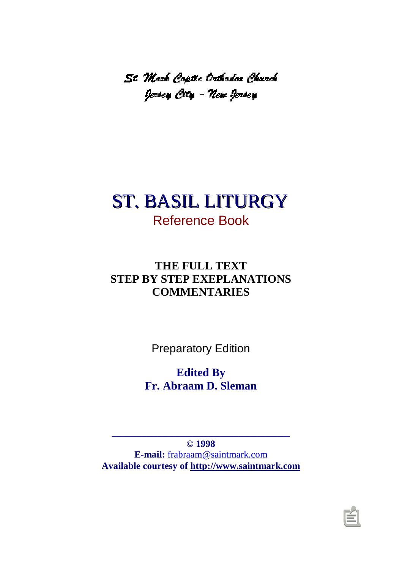-  

# ST. BASIL LITURGY Reference Book

## **THE FULL TEXT STEP BY STEP EXEPLANATIONS COMMENTARIES**

Preparatory Edition

**Edited By Fr. Abraam D. Sleman**

**© 1998 E-mail:** [frabraam@saintmark.com](mailto:frabraam@saintmark.com) **[Available courtesy of http://www.saintmark.com](http://www.saintmark.com)**

**\_\_\_\_\_\_\_\_\_\_\_\_\_\_\_\_\_\_\_\_\_\_\_\_\_\_\_\_\_\_\_**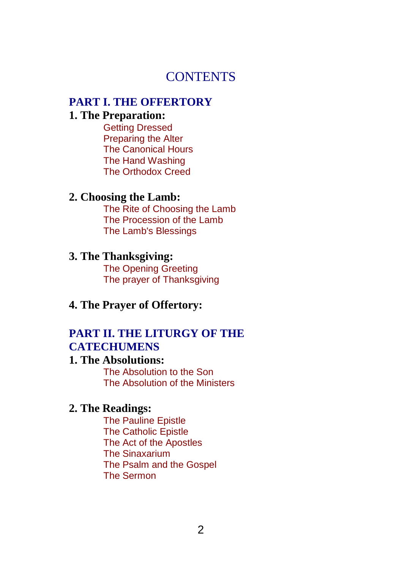## **CONTENTS**

# **[PART I. THE OFFERTORY](#page-5-0)**

## **[1. The Preparation:](#page-5-1)**

Getting Dressed Preparing the Alter The Canonical Hours The Hand Washing The Orthodox Creed

#### **[2. Choosing the Lamb:](#page-16-0)**

The Rite of Choosing the Lamb The Procession of the Lamb The Lamb's Blessings

#### **[3. The Thanksgiving:](#page-23-0)**

The Opening Greeting The prayer of Thanksgiving

### **[4. The Prayer of Offertory:](#page-27-0)**

### **[PART II. THE LITURGY OF THE](#page-30-0) CATECHUMENS**

### **[1. The Absolutions:](#page-30-1)**

The Absolution to the Son The Absolution of the Ministers

#### **[2. The Readings:](#page-34-0)**

The Pauline Epistle The Catholic Epistle The Act of the Apostles The Sinaxarium The Psalm and the Gospel The Sermon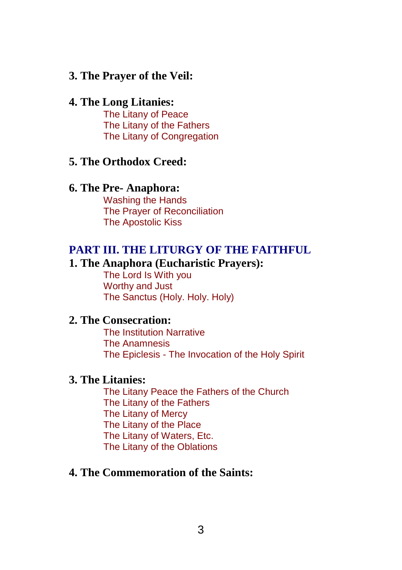### **[3. The Prayer of the Veil:](#page-67-0)**

#### **[4. The Long Litanies:](#page-67-0)**

The Litany of Peace The Litany of the Fathers The Litany of Congregation

#### **[5. The Orthodox Creed:](#page-14-0)**

#### **[6. The Pre- Anaphora:](#page-76-0)**

Washing the Hands The Prayer of Reconciliation The Apostolic Kiss

#### **[PART III. THE LITURGY OF THE FAITHFUL](#page-82-0)**

### **[1. The Anaphora \(Eucharistic Prayers\):](#page-82-1)**

The Lord Is With you Worthy and Just The Sanctus (Holy. Holy. Holy)

#### **[2. The Consecration:](#page-90-0)**

The Institution Narrative The Anamnesis The Epiclesis - The Invocation of the Holy Spirit

### **[3. The Litanies:](#page-99-0)**

The Litany Peace the Fathers of the Church The Litany of the Fathers The Litany of Mercy The Litany of the Place The Litany of Waters, Etc. The Litany of the Oblations

## **[4. The Commemoration of the Saints:](#page-107-0)**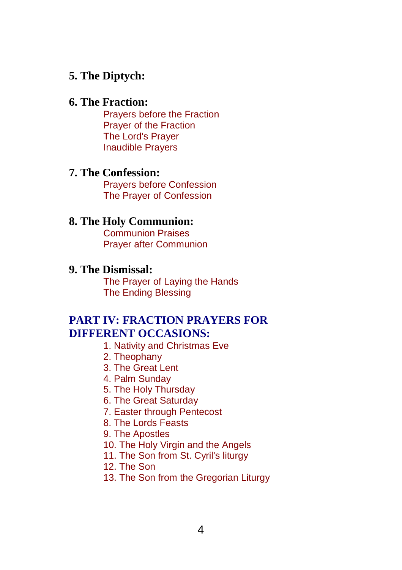### **[5. The Diptych:](#page-110-0)**

#### **[6. The Fraction:](#page-113-0)**

Prayers before the Fraction Prayer of the Fraction The Lord's Prayer Inaudible Prayers

#### **[7. The Confession:](#page-124-0)**

Prayers before Confession The Prayer of Confession

#### **[8. The Holy Communion:](#page-129-0)**

Communion Praises Prayer after Communion

#### **[9. The Dismissal:](#page-133-0)**

The Prayer of Laying the Hands The Ending Blessing

## **[PART IV: FRACTION PRAYERS FOR](#page-139-0) DIFFERENT OCCASIONS:**

- 1. Nativity and Christmas Eve
- 2. Theophany
- 3. The Great Lent
- 4. Palm Sunday
- 5. The Holy Thursday
- 6. The Great Saturday
- 7. Easter through Pentecost
- 8. The Lords Feasts
- 9. The Apostles
- 10. The Holy Virgin and the Angels
- 11. The Son from St. Cyril's liturgy
- 12. The Son
- 13. The Son from the Gregorian Liturgy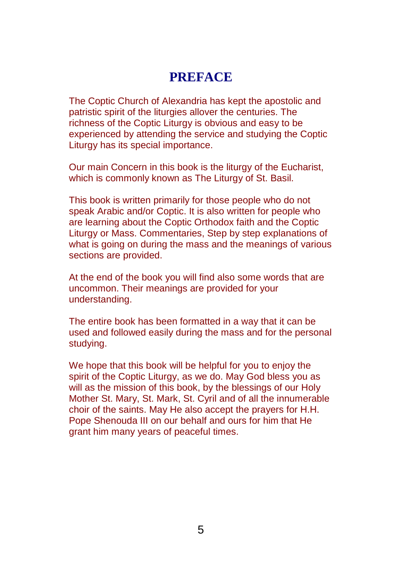## **PREFACE**

The Coptic Church of Alexandria has kept the apostolic and patristic spirit of the liturgies allover the centuries. The richness of the Coptic Liturgy is obvious and easy to be experienced by attending the service and studying the Coptic Liturgy has its special importance.

Our main Concern in this book is the liturgy of the Eucharist, which is commonly known as The Liturgy of St. Basil.

This book is written primarily for those people who do not speak Arabic and/or Coptic. It is also written for people who are learning about the Coptic Orthodox faith and the Coptic Liturgy or Mass. Commentaries, Step by step explanations of what is going on during the mass and the meanings of various sections are provided.

At the end of the book you will find also some words that are uncommon. Their meanings are provided for your understanding.

The entire book has been formatted in a way that it can be used and followed easily during the mass and for the personal studying.

We hope that this book will be helpful for you to enjoy the spirit of the Coptic Liturgy, as we do. May God bless you as will as the mission of this book, by the blessings of our Holy Mother St. Mary, St. Mark, St. Cyril and of all the innumerable choir of the saints. May He also accept the prayers for H.H. Pope Shenouda III on our behalf and ours for him that He grant him many years of peaceful times.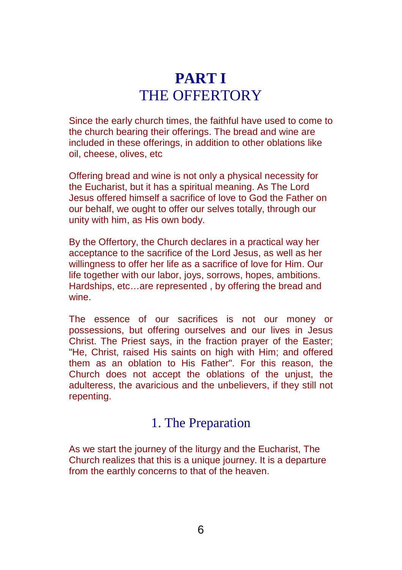# **PART I** THE OFFERTORY

<span id="page-5-1"></span><span id="page-5-0"></span>Since the early church times, the faithful have used to come to the church bearing their offerings. The bread and wine are included in these offerings, in addition to other oblations like oil, cheese, olives, etc

Offering bread and wine is not only a physical necessity for the Eucharist, but it has a spiritual meaning. As The Lord Jesus offered himself a sacrifice of love to God the Father on our behalf, we ought to offer our selves totally, through our unity with him, as His own body.

By the Offertory, the Church declares in a practical way her acceptance to the sacrifice of the Lord Jesus, as well as her willingness to offer her life as a sacrifice of love for Him. Our life together with our labor, joys, sorrows, hopes, ambitions. Hardships, etc…are represented , by offering the bread and wine.

The essence of our sacrifices is not our money or possessions, but offering ourselves and our lives in Jesus Christ. The Priest says, in the fraction prayer of the Easter; "He, Christ, raised His saints on high with Him; and offered them as an oblation to His Father". For this reason, the Church does not accept the oblations of the unjust, the adulteress, the avaricious and the unbelievers, if they still not repenting.

## 1. The Preparation

As we start the journey of the liturgy and the Eucharist, The Church realizes that this is a unique journey. It is a departure from the earthly concerns to that of the heaven.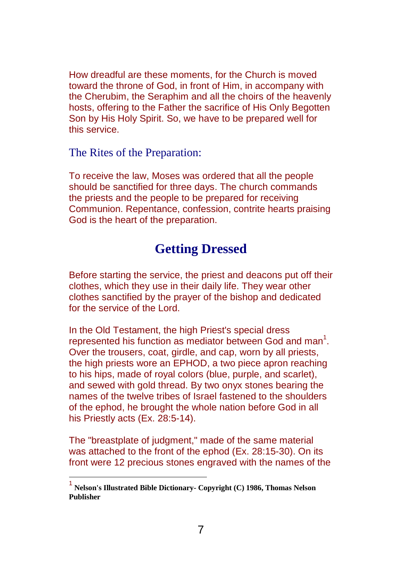How dreadful are these moments, for the Church is moved toward the throne of God, in front of Him, in accompany with the Cherubim, the Seraphim and all the choirs of the heavenly hosts, offering to the Father the sacrifice of His Only Begotten Son by His Holy Spirit. So, we have to be prepared well for this service.

The Rites of the Preparation:

To receive the law, Moses was ordered that all the people should be sanctified for three days. The church commands the priests and the people to be prepared for receiving Communion. Repentance, confession, contrite hearts praising God is the heart of the preparation.

## **Getting Dressed**

Before starting the service, the priest and deacons put off their clothes, which they use in their daily life. They wear other clothes sanctified by the prayer of the bishop and dedicated for the service of the Lord.

In the Old Testament, the high Priest's special dress represented his function as mediator between God and man<sup>1</sup>. Over the trousers, coat, girdle, and cap, worn by all priests, the high priests wore an EPHOD, a two piece apron reaching to his hips, made of royal colors (blue, purple, and scarlet), and sewed with gold thread. By two onyx stones bearing the names of the twelve tribes of Israel fastened to the shoulders of the ephod, he brought the whole nation before God in all his Priestly acts (Ex. 28:5-14).

The "breastplate of judgment," made of the same material was attached to the front of the ephod (Ex. 28:15-30). On its front were 12 precious stones engraved with the names of the

 $\overline{\phantom{a}}$ 

<sup>1</sup> **Nelson's Illustrated Bible Dictionary- Copyright (C) 1986, Thomas Nelson Publisher**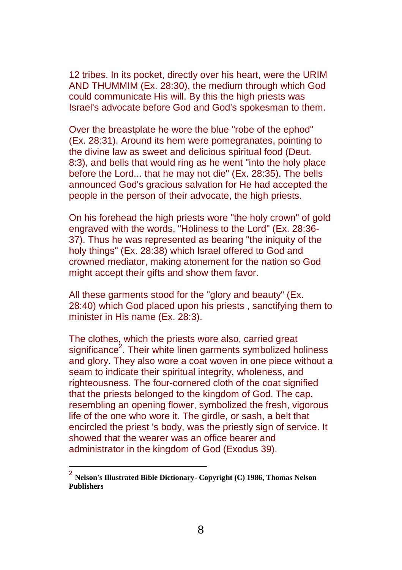12 tribes. In its pocket, directly over his heart, were the URIM AND THUMMIM (Ex. 28:30), the medium through which God could communicate His will. By this the high priests was Israel's advocate before God and God's spokesman to them.

Over the breastplate he wore the blue "robe of the ephod" (Ex. 28:31). Around its hem were pomegranates, pointing to the divine law as sweet and delicious spiritual food (Deut. 8:3), and bells that would ring as he went "into the holy place before the Lord... that he may not die" (Ex. 28:35). The bells announced God's gracious salvation for He had accepted the people in the person of their advocate, the high priests.

On his forehead the high priests wore "the holy crown" of gold engraved with the words, "Holiness to the Lord" (Ex. 28:36- 37). Thus he was represented as bearing "the iniquity of the holy things" (Ex. 28:38) which Israel offered to God and crowned mediator, making atonement for the nation so God might accept their gifts and show them favor.

All these garments stood for the "glory and beauty" (Ex. 28:40) which God placed upon his priests , sanctifying them to minister in His name (Ex. 28:3).

The clothes, which the priests wore also, carried great significance<sup>2</sup>. Their white linen garments symbolized holiness and glory. They also wore a coat woven in one piece without a seam to indicate their spiritual integrity, wholeness, and righteousness. The four-cornered cloth of the coat signified that the priests belonged to the kingdom of God. The cap, resembling an opening flower, symbolized the fresh, vigorous life of the one who wore it. The girdle, or sash, a belt that encircled the priest 's body, was the priestly sign of service. It showed that the wearer was an office bearer and administrator in the kingdom of God (Exodus 39).

<sup>2</sup> **Nelson's Illustrated Bible Dictionary- Copyright (C) 1986, Thomas Nelson Publishers**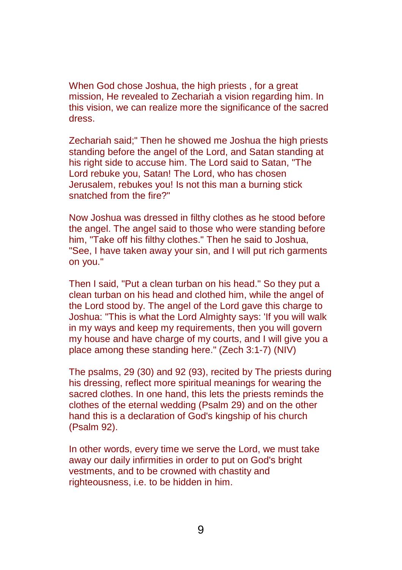When God chose Joshua, the high priests , for a great mission, He revealed to Zechariah a vision regarding him. In this vision, we can realize more the significance of the sacred dress.

Zechariah said;" Then he showed me Joshua the high priests standing before the angel of the Lord, and Satan standing at his right side to accuse him. The Lord said to Satan, "The Lord rebuke you, Satan! The Lord, who has chosen Jerusalem, rebukes you! Is not this man a burning stick snatched from the fire?"

Now Joshua was dressed in filthy clothes as he stood before the angel. The angel said to those who were standing before him, "Take off his filthy clothes." Then he said to Joshua, "See, I have taken away your sin, and I will put rich garments on you."

Then I said, "Put a clean turban on his head." So they put a clean turban on his head and clothed him, while the angel of the Lord stood by. The angel of the Lord gave this charge to Joshua: "This is what the Lord Almighty says: 'If you will walk in my ways and keep my requirements, then you will govern my house and have charge of my courts, and I will give you a place among these standing here." (Zech 3:1-7) (NIV)

The psalms, 29 (30) and 92 (93), recited by The priests during his dressing, reflect more spiritual meanings for wearing the sacred clothes. In one hand, this lets the priests reminds the clothes of the eternal wedding (Psalm 29) and on the other hand this is a declaration of God's kingship of his church (Psalm 92).

In other words, every time we serve the Lord, we must take away our daily infirmities in order to put on God's bright vestments, and to be crowned with chastity and righteousness, i.e. to be hidden in him.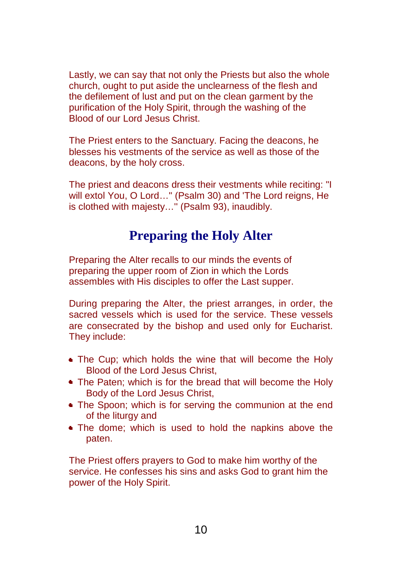Lastly, we can say that not only the Priests but also the whole church, ought to put aside the unclearness of the flesh and the defilement of lust and put on the clean garment by the purification of the Holy Spirit, through the washing of the Blood of our Lord Jesus Christ.

The Priest enters to the Sanctuary. Facing the deacons, he blesses his vestments of the service as well as those of the deacons, by the holy cross.

The priest and deacons dress their vestments while reciting: "I will extol You, O Lord…" (Psalm 30) and 'The Lord reigns, He is clothed with majesty…'' (Psalm 93), inaudibly.

## **Preparing the Holy Alter**

Preparing the Alter recalls to our minds the events of preparing the upper room of Zion in which the Lords assembles with His disciples to offer the Last supper.

During preparing the Alter, the priest arranges, in order, the sacred vessels which is used for the service. These vessels are consecrated by the bishop and used only for Eucharist. They include:

- **The Cup; which holds the wine that will become the Holy** Blood of the Lord Jesus Christ,
- **The Paten; which is for the bread that will become the Holy** Body of the Lord Jesus Christ,
- **The Spoon; which is for serving the communion at the end** of the liturgy and
- The dome; which is used to hold the napkins above the paten.

The Priest offers prayers to God to make him worthy of the service. He confesses his sins and asks God to grant him the power of the Holy Spirit.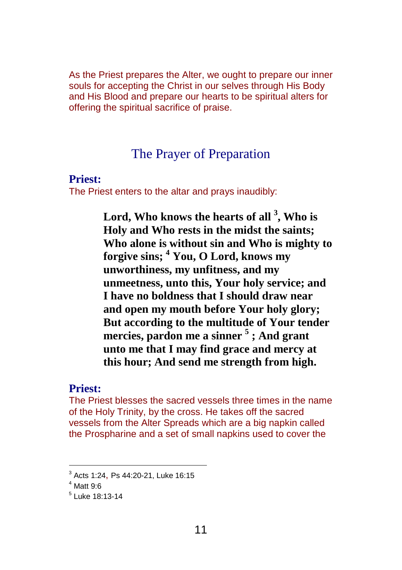As the Priest prepares the Alter, we ought to prepare our inner souls for accepting the Christ in our selves through His Body and His Blood and prepare our hearts to be spiritual alters for offering the spiritual sacrifice of praise.

## The Prayer of Preparation

#### **Priest:**

The Priest enters to the altar and prays inaudibly:

**Lord, Who knows the hearts of all <sup>3</sup> , Who is Holy and Who rests in the midst the saints; Who alone is without sin and Who is mighty to forgive sins; <sup>4</sup> You, O Lord, knows my unworthiness, my unfitness, and my unmeetness, unto this, Your holy service; and I have no boldness that I should draw near and open my mouth before Your holy glory; But according to the multitude of Your tender mercies, pardon me a sinner <sup>5</sup> ; And grant unto me that I may find grace and mercy at this hour; And send me strength from high.**

### **Priest:**

The Priest blesses the sacred vessels three times in the name of the Holy Trinity, by the cross. He takes off the sacred vessels from the Alter Spreads which are a big napkin called the Prospharine and a set of small napkins used to cover the

<sup>3</sup> Acts 1:24, Ps 44:20-21, Luke 16:15

 $4$  Matt 9:6

<sup>5</sup> Luke 18:13-14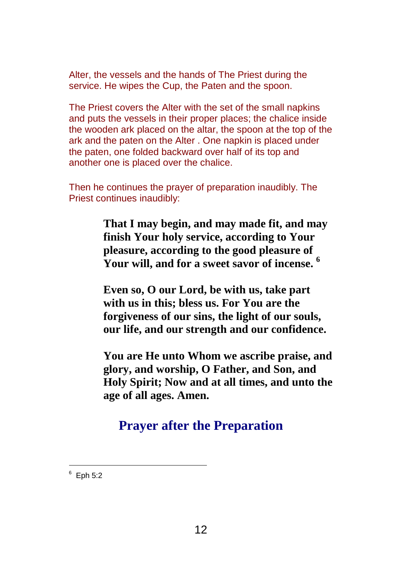Alter, the vessels and the hands of The Priest during the service. He wipes the Cup, the Paten and the spoon.

The Priest covers the Alter with the set of the small napkins and puts the vessels in their proper places; the chalice inside the wooden ark placed on the altar, the spoon at the top of the ark and the paten on the Alter . One napkin is placed under the paten, one folded backward over half of its top and another one is placed over the chalice.

Then he continues the prayer of preparation inaudibly. The Priest continues inaudibly:

> **That I may begin, and may made fit, and may finish Your holy service, according to Your pleasure, according to the good pleasure of Your will, and for a sweet savor of incense. 6**

> **Even so, O our Lord, be with us, take part with us in this; bless us. For You are the forgiveness of our sins, the light of our souls, our life, and our strength and our confidence.**

**You are He unto Whom we ascribe praise, and glory, and worship, O Father, and Son, and Holy Spirit; Now and at all times, and unto the age of all ages. Amen.**

## **Prayer after the Preparation**

 $6$  Eph 5:2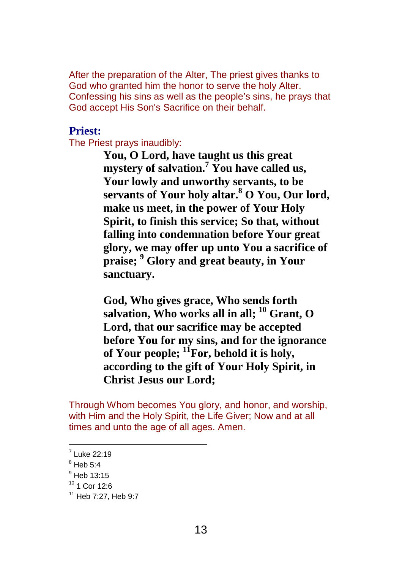After the preparation of the Alter, The priest gives thanks to God who granted him the honor to serve the holy Alter. Confessing his sins as well as the people's sins, he prays that God accept His Son's Sacrifice on their behalf.

### **Priest:**

The Priest prays inaudibly:

**You, O Lord, have taught us this great mystery of salvation. <sup>7</sup> You have called us, Your lowly and unworthy servants, to be servants of Your holy altar. <sup>8</sup> O You, Our lord, make us meet, in the power of Your Holy Spirit, to finish this service; So that, without falling into condemnation before Your great glory, we may offer up unto You a sacrifice of praise; <sup>9</sup> Glory and great beauty, in Your sanctuary.**

**God, Who gives grace, Who sends forth salvation, Who works all in all; <sup>10</sup> Grant, O Lord, that our sacrifice may be accepted before You for my sins, and for the ignorance of Your people; <sup>11</sup>For, behold it is holy, according to the gift of Your Holy Spirit, in Christ Jesus our Lord;**

Through Whom becomes You glory, and honor, and worship, with Him and the Holy Spirit, the Life Giver; Now and at all times and unto the age of all ages. Amen.

 $7$  Luke 22:19

 $<sup>8</sup>$  Heb 5:4</sup>

 $9$  Heb 13:15

 $10$  1 Cor 12:6

<sup>11</sup> Heb 7:27, Heb 9:7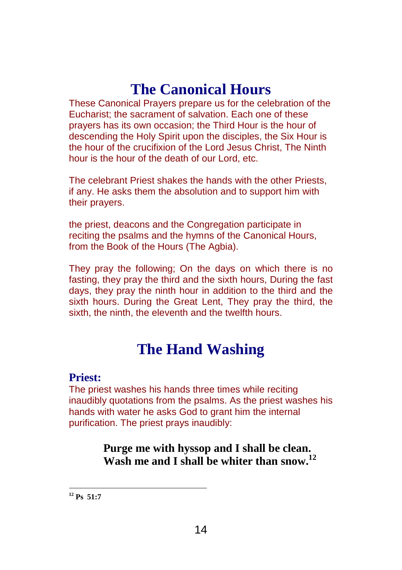# **The Canonical Hours**

These Canonical Prayers prepare us for the celebration of the Eucharist; the sacrament of salvation. Each one of these prayers has its own occasion; the Third Hour is the hour of descending the Holy Spirit upon the disciples, the Six Hour is the hour of the crucifixion of the Lord Jesus Christ, The Ninth hour is the hour of the death of our Lord, etc.

The celebrant Priest shakes the hands with the other Priests, if any. He asks them the absolution and to support him with their prayers.

the priest, deacons and the Congregation participate in reciting the psalms and the hymns of the Canonical Hours, from the Book of the Hours (The Agbia).

They pray the following; On the days on which there is no fasting, they pray the third and the sixth hours, During the fast days, they pray the ninth hour in addition to the third and the sixth hours. During the Great Lent, They pray the third, the sixth, the ninth, the eleventh and the twelfth hours.

# **The Hand Washing**

#### **Priest:**

The priest washes his hands three times while reciting inaudibly quotations from the psalms. As the priest washes his hands with water he asks God to grant him the internal purification. The priest prays inaudibly:

> **Purge me with hyssop and I shall be clean. Wash me and I shall be whiter than snow. 12**

 $\overline{a}$ **<sup>12</sup> Ps 51:7**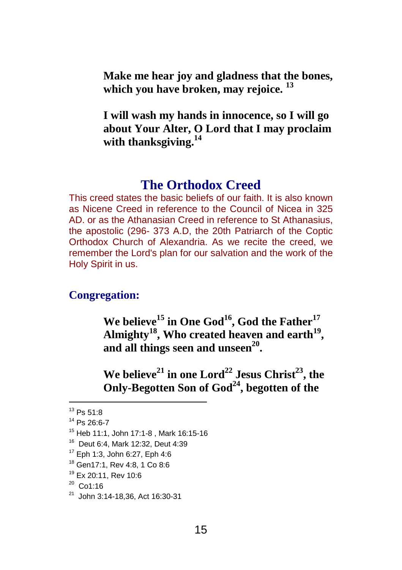<span id="page-14-0"></span>**Make me hear joy and gladness that the bones, which you have broken, may rejoice. 13**

**I will wash my hands in innocence, so I will go about Your Alter, O Lord that I may proclaim with thanksgiving. 14**

## **The Orthodox Creed**

This creed states the basic beliefs of our faith. It is also known as Nicene Creed in reference to the Council of Nicea in 325 AD. or as the Athanasian Creed in reference to St Athanasius, the apostolic (296- 373 A.D, the 20th Patriarch of the Coptic Orthodox Church of Alexandria. As we recite the creed, we remember the Lord's plan for our salvation and the work of the Holy Spirit in us.

### **Congregation:**

**We believe <sup>15</sup> in One God 16 , God the Father 17 Almighty <sup>18</sup>, Who created heaven and earth 19 , and all things seen and unseen 20 .**

**We believe <sup>21</sup> in one Lord <sup>22</sup> Jesus Christ 23 , the Only-Begotten Son of God 24 , begotten of the**

 $13$  Ps  $51.8$ 

<sup>14</sup> Ps 26:6-7

<sup>15</sup> Heb 11:1, John 17:1-8 , Mark 16:15-16

<sup>16</sup> Deut 6:4, Mark 12:32, Deut 4:39

<sup>17</sup> Eph 1:3, John 6:27, Eph 4:6

<sup>18</sup> Gen17:1, Rev 4:8, 1 Co 8:6

<sup>19</sup> Ex 20:11, Rev 10:6

 $^{20}$  Co1:16

<sup>21</sup> John 3:14-18,36, Act 16:30-31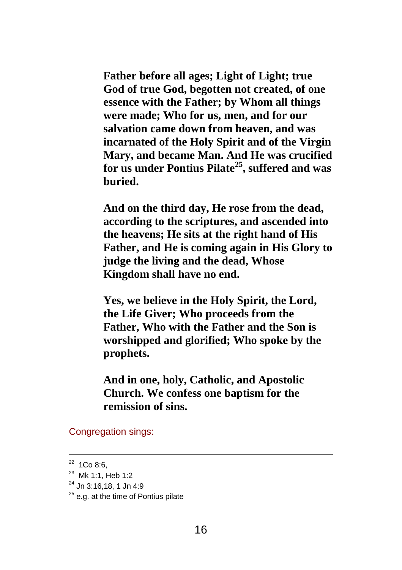**Father before all ages; Light of Light; true God of true God, begotten not created, of one essence with the Father; by Whom all things were made; Who for us, men, and for our salvation came down from heaven, and was incarnated of the Holy Spirit and of the Virgin Mary, and became Man. And He was crucified for us under Pontius Pilate 25 , suffered and was buried.**

**And on the third day, He rose from the dead, according to the scriptures, and ascended into the heavens; He sits at the right hand of His Father, and He is coming again in His Glory to judge the living and the dead, Whose Kingdom shall have no end.**

**Yes, we believe in the Holy Spirit, the Lord, the Life Giver; Who proceeds from the Father, Who with the Father and the Son is worshipped and glorified; Who spoke by the prophets.**

**And in one, holy, Catholic, and Apostolic Church. We confess one baptism for the remission of sins.**

Congregation sings:

 $22$  1Co 8:6,

<sup>&</sup>lt;sup>23</sup> Mk 1:1, Heb 1:2

 $^{24}$  Jn 3:16.18, 1 Jn 4:9

 $25$  e.g. at the time of Pontius pilate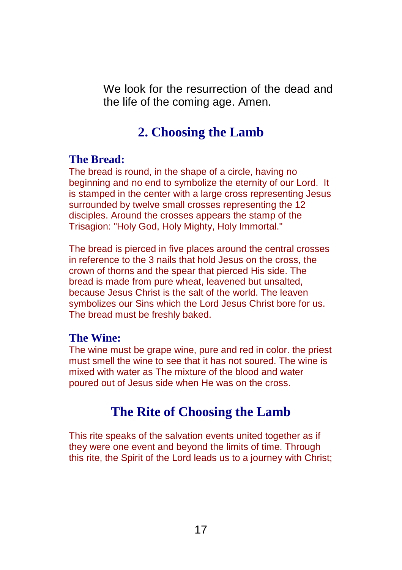<span id="page-16-0"></span>We look for the resurrection of the dead and the life of the coming age. Amen.

## **2. Choosing the Lamb**

### **The Bread:**

The bread is round, in the shape of a circle, having no beginning and no end to symbolize the eternity of our Lord. It is stamped in the center with a large cross representing Jesus surrounded by twelve small crosses representing the 12 disciples. Around the crosses appears the stamp of the Trisagion: "Holy God, Holy Mighty, Holy Immortal."

The bread is pierced in five places around the central crosses in reference to the 3 nails that hold Jesus on the cross, the crown of thorns and the spear that pierced His side. The bread is made from pure wheat, leavened but unsalted, because Jesus Christ is the salt of the world. The leaven symbolizes our Sins which the Lord Jesus Christ bore for us. The bread must be freshly baked.

### **The Wine:**

The wine must be grape wine, pure and red in color. the priest must smell the wine to see that it has not soured. The wine is mixed with water as The mixture of the blood and water poured out of Jesus side when He was on the cross.

## **The Rite of Choosing the Lamb**

This rite speaks of the salvation events united together as if they were one event and beyond the limits of time. Through this rite, the Spirit of the Lord leads us to a journey with Christ;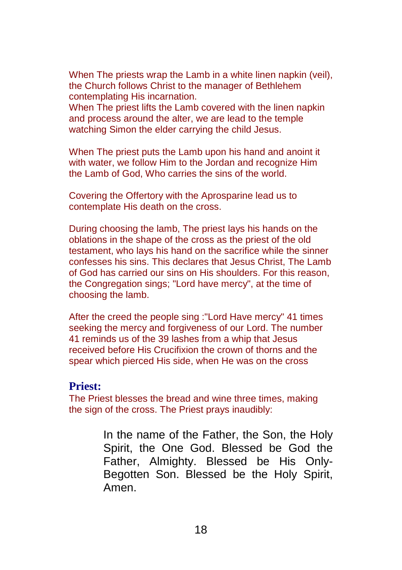When The priests wrap the Lamb in a white linen napkin (veil), the Church follows Christ to the manager of Bethlehem contemplating His incarnation.

When The priest lifts the Lamb covered with the linen napkin and process around the alter, we are lead to the temple watching Simon the elder carrying the child Jesus.

When The priest puts the Lamb upon his hand and anoint it with water, we follow Him to the Jordan and recognize Him the Lamb of God, Who carries the sins of the world.

Covering the Offertory with the Aprosparine lead us to contemplate His death on the cross.

During choosing the lamb, The priest lays his hands on the oblations in the shape of the cross as the priest of the old testament, who lays his hand on the sacrifice while the sinner confesses his sins. This declares that Jesus Christ, The Lamb of God has carried our sins on His shoulders. For this reason, the Congregation sings; "Lord have mercy", at the time of choosing the lamb.

After the creed the people sing :"Lord Have mercy" 41 times seeking the mercy and forgiveness of our Lord. The number 41 reminds us of the 39 lashes from a whip that Jesus received before His Crucifixion the crown of thorns and the spear which pierced His side, when He was on the cross

### **Priest:**

The Priest blesses the bread and wine three times, making the sign of the cross. The Priest prays inaudibly:

> In the name of the Father, the Son, the Holy Spirit, the One God. Blessed be God the Father, Almighty. Blessed be His Only-Begotten Son. Blessed be the Holy Spirit, Amen.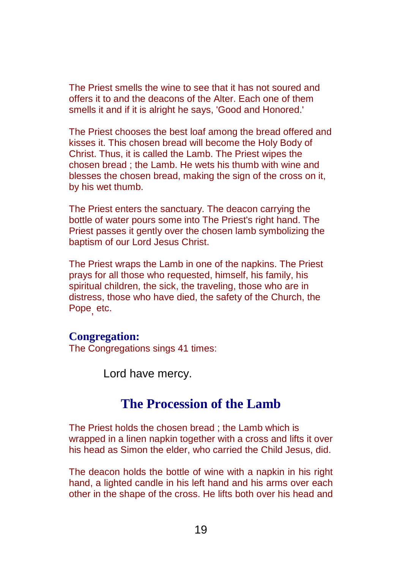The Priest smells the wine to see that it has not soured and offers it to and the deacons of the Alter. Each one of them smells it and if it is alright he says, 'Good and Honored.'

The Priest chooses the best loaf among the bread offered and kisses it. This chosen bread will become the Holy Body of Christ. Thus, it is called the Lamb. The Priest wipes the chosen bread ; the Lamb. He wets his thumb with wine and blesses the chosen bread, making the sign of the cross on it, by his wet thumb.

The Priest enters the sanctuary. The deacon carrying the bottle of water pours some into The Priest's right hand. The Priest passes it gently over the chosen lamb symbolizing the baptism of our Lord Jesus Christ.

The Priest wraps the Lamb in one of the napkins. The Priest prays for all those who requested, himself, his family, his spiritual children, the sick, the traveling, those who are in distress, those who have died, the safety of the Church, the Pope, etc.

#### **Congregation:**

The Congregations sings 41 times:

Lord have mercy.

## **The Procession of the Lamb**

The Priest holds the chosen bread ; the Lamb which is wrapped in a linen napkin together with a cross and lifts it over his head as Simon the elder, who carried the Child Jesus, did.

The deacon holds the bottle of wine with a napkin in his right hand, a lighted candle in his left hand and his arms over each other in the shape of the cross. He lifts both over his head and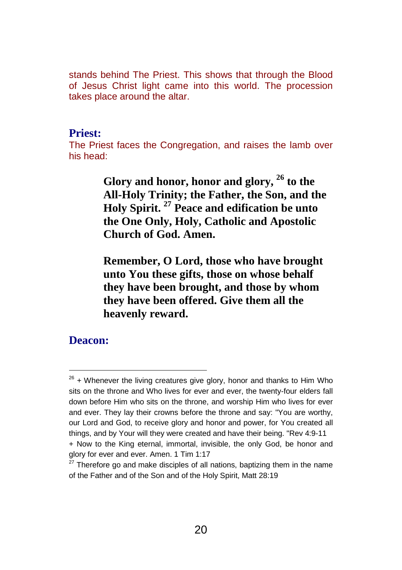stands behind The Priest. This shows that through the Blood of Jesus Christ light came into this world. The procession takes place around the altar.

#### **Priest:**

The Priest faces the Congregation, and raises the lamb over his head:

> **Glory and honor, honor and glory, <sup>26</sup> to the All-Holy Trinity; the Father, the Son, and the Holy Spirit. <sup>27</sup> Peace and edification be unto the One Only, Holy, Catholic and Apostolic Church of God. Amen.**

**Remember, O Lord, those who have brought unto You these gifts, those on whose behalf they have been brought, and those by whom they have been offered. Give them all the heavenly reward.**

### **Deacon:**

 $26$  + Whenever the living creatures give glory, honor and thanks to Him Who sits on the throne and Who lives for ever and ever, the twenty-four elders fall down before Him who sits on the throne, and worship Him who lives for ever and ever. They lay their crowns before the throne and say: "You are worthy, our Lord and God, to receive glory and honor and power, for You created all things, and by Your will they were created and have their being. "Rev 4:9-11 + Now to the King eternal, immortal, invisible, the only God, be honor and glory for ever and ever. Amen. 1 Tim 1:17

 $27$  Therefore go and make disciples of all nations, baptizing them in the name of the Father and of the Son and of the Holy Spirit, Matt 28:19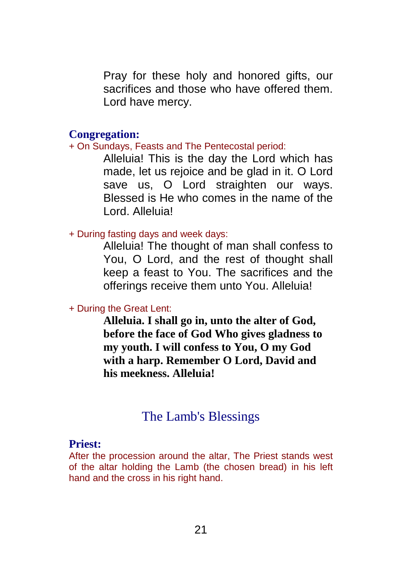Pray for these holy and honored gifts, our sacrifices and those who have offered them. Lord have mercy.

#### **Congregation:**

#### + On Sundays, Feasts and The Pentecostal period:

Alleluia! This is the day the Lord which has made, let us rejoice and be glad in it. O Lord save us, O Lord straighten our ways. Blessed is He who comes in the name of the Lord. Alleluia!

#### + During fasting days and week days:

Alleluia! The thought of man shall confess to You, O Lord, and the rest of thought shall keep a feast to You. The sacrifices and the offerings receive them unto You. Alleluia!

#### + During the Great Lent:

**Alleluia. I shall go in, unto the alter of God, before the face of God Who gives gladness to my youth. I will confess to You, O my God with a harp. Remember O Lord, David and his meekness. Alleluia!**

## The Lamb's Blessings

#### **Priest:**

After the procession around the altar, The Priest stands west of the altar holding the Lamb (the chosen bread) in his left hand and the cross in his right hand.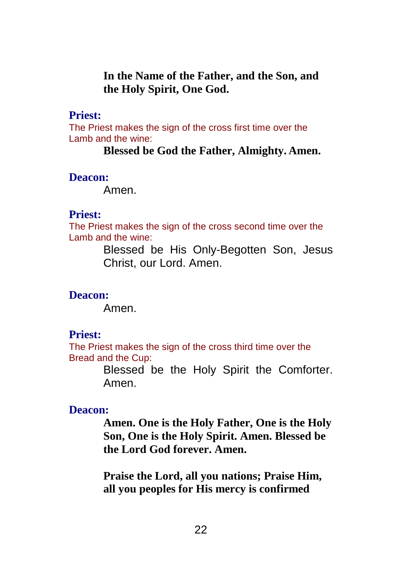**In the Name of the Father, and the Son, and the Holy Spirit, One God.**

#### **Priest:**

The Priest makes the sign of the cross first time over the Lamb and the wine:

**Blessed be God the Father, Almighty. Amen.**

#### **Deacon:**

Amen.

#### **Priest:**

The Priest makes the sign of the cross second time over the Lamb and the wine:

> Blessed be His Only-Begotten Son, Jesus Christ, our Lord. Amen.

#### **Deacon:**

Amen.

#### **Priest:**

The Priest makes the sign of the cross third time over the Bread and the Cup:

> Blessed be the Holy Spirit the Comforter. Amen.

#### **Deacon:**

**Amen. One is the Holy Father, One is the Holy Son, One is the Holy Spirit. Amen. Blessed be the Lord God forever. Amen.**

**Praise the Lord, all you nations; Praise Him, all you peoples for His mercy is confirmed**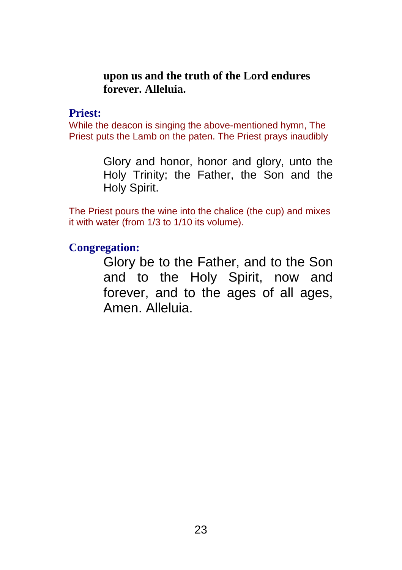### **upon us and the truth of the Lord endures forever. Alleluia.**

### **Priest:**

While the deacon is singing the above-mentioned hymn, The Priest puts the Lamb on the paten. The Priest prays inaudibly

> Glory and honor, honor and glory, unto the Holy Trinity; the Father, the Son and the Holy Spirit.

The Priest pours the wine into the chalice (the cup) and mixes it with water (from 1/3 to 1/10 its volume).

### **Congregation:**

Glory be to the Father, and to the Son and to the Holy Spirit, now and forever, and to the ages of all ages, Amen. Alleluia.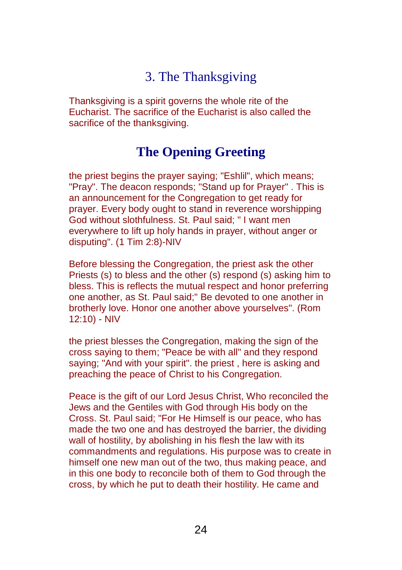## 3. The Thanksgiving

<span id="page-23-0"></span>Thanksgiving is a spirit governs the whole rite of the Eucharist. The sacrifice of the Eucharist is also called the sacrifice of the thanksgiving.

## **The Opening Greeting**

the priest begins the prayer saying; "Eshlil", which means; "Pray". The deacon responds; "Stand up for Prayer" . This is an announcement for the Congregation to get ready for prayer. Every body ought to stand in reverence worshipping God without slothfulness. St. Paul said; " I want men everywhere to lift up holy hands in prayer, without anger or disputing". (1 Tim 2:8)-NIV

Before blessing the Congregation, the priest ask the other Priests (s) to bless and the other (s) respond (s) asking him to bless. This is reflects the mutual respect and honor preferring one another, as St. Paul said;" Be devoted to one another in brotherly love. Honor one another above yourselves". (Rom 12:10) - NIV

the priest blesses the Congregation, making the sign of the cross saying to them; "Peace be with all" and they respond saying; "And with your spirit". the priest , here is asking and preaching the peace of Christ to his Congregation.

Peace is the gift of our Lord Jesus Christ, Who reconciled the Jews and the Gentiles with God through His body on the Cross. St. Paul said; "For He Himself is our peace, who has made the two one and has destroyed the barrier, the dividing wall of hostility, by abolishing in his flesh the law with its commandments and regulations. His purpose was to create in himself one new man out of the two, thus making peace, and in this one body to reconcile both of them to God through the cross, by which he put to death their hostility. He came and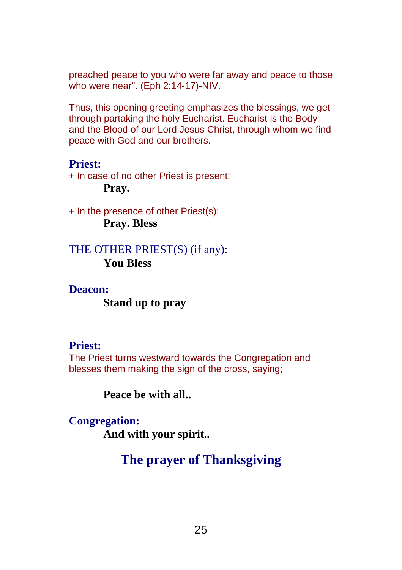preached peace to you who were far away and peace to those who were near". (Eph 2:14-17)-NIV.

Thus, this opening greeting emphasizes the blessings, we get through partaking the holy Eucharist. Eucharist is the Body and the Blood of our Lord Jesus Christ, through whom we find peace with God and our brothers.

### **Priest:**

+ In case of no other Priest is present: **Pray.**

+ In the presence of other Priest(s): **Pray. Bless**

## THE OTHER PRIEST(S) (if any): **You Bless**

### **Deacon:**

### **Stand up to pray**

### **Priest:**

The Priest turns westward towards the Congregation and blesses them making the sign of the cross, saying;

**Peace be with all..**

### **Congregation:**

**And with your spirit..**

# **The prayer of Thanksgiving**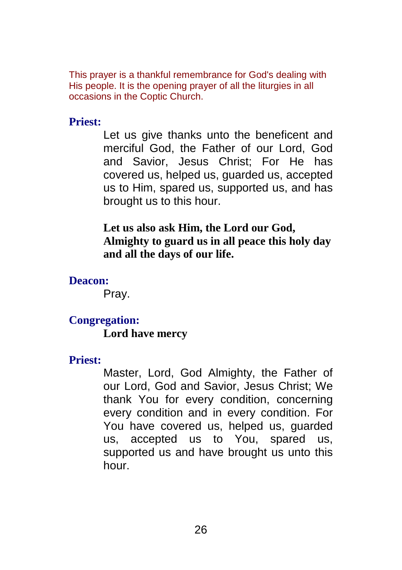This prayer is a thankful remembrance for God's dealing with His people. It is the opening prayer of all the liturgies in all occasions in the Coptic Church.

### **Priest:**

Let us give thanks unto the beneficent and merciful God, the Father of our Lord, God and Savior, Jesus Christ; For He has covered us, helped us, guarded us, accepted us to Him, spared us, supported us, and has brought us to this hour.

## **Let us also ask Him, the Lord our God, Almighty to guard us in all peace this holy day and all the days of our life.**

**Deacon:**

Pray.

## **Congregation:**

## **Lord have mercy**

### **Priest:**

Master, Lord, God Almighty, the Father of our Lord, God and Savior, Jesus Christ; We thank You for every condition, concerning every condition and in every condition. For You have covered us, helped us, guarded us, accepted us to You, spared us, supported us and have brought us unto this hour.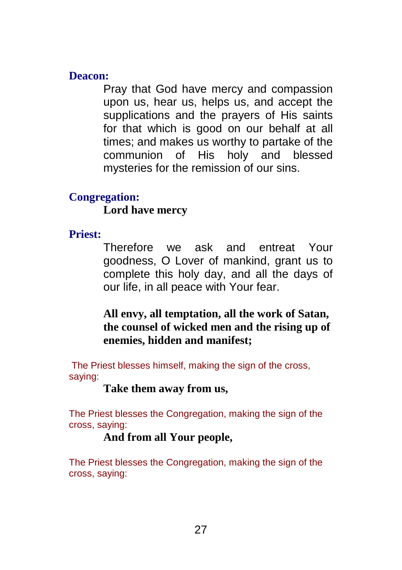### **Deacon:**

Pray that God have mercy and compassion upon us, hear us, helps us, and accept the supplications and the prayers of His saints for that which is good on our behalf at all times; and makes us worthy to partake of the communion of His holy and blessed mysteries for the remission of our sins.

## **Congregation:**

**Lord have mercy**

## **Priest:**

Therefore we ask and entreat Your goodness, O Lover of mankind, grant us to complete this holy day, and all the days of our life, in all peace with Your fear.

**All envy, all temptation, all the work of Satan, the counsel of wicked men and the rising up of enemies, hidden and manifest;**

The Priest blesses himself, making the sign of the cross, saying:

**Take them away from us,**

The Priest blesses the Congregation, making the sign of the cross, saying:

## **And from all Your people,**

The Priest blesses the Congregation, making the sign of the cross, saying: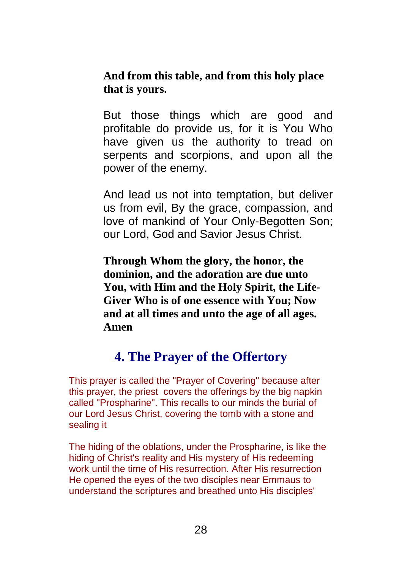<span id="page-27-0"></span>**And from this table, and from this holy place that is yours.**

But those things which are good and profitable do provide us, for it is You Who have given us the authority to tread on serpents and scorpions, and upon all the power of the enemy.

And lead us not into temptation, but deliver us from evil, By the grace, compassion, and love of mankind of Your Only-Begotten Son; our Lord, God and Savior Jesus Christ.

**Through Whom the glory, the honor, the dominion, and the adoration are due unto You, with Him and the Holy Spirit, the Life-Giver Who is of one essence with You; Now and at all times and unto the age of all ages. Amen**

## **4. The Prayer of the Offertory**

This prayer is called the "Prayer of Covering" because after this prayer, the priest covers the offerings by the big napkin called "Prospharine". This recalls to our minds the burial of our Lord Jesus Christ, covering the tomb with a stone and sealing it

The hiding of the oblations, under the Prospharine, is like the hiding of Christ's reality and His mystery of His redeeming work until the time of His resurrection. After His resurrection He opened the eyes of the two disciples near Emmaus to understand the scriptures and breathed unto His disciples'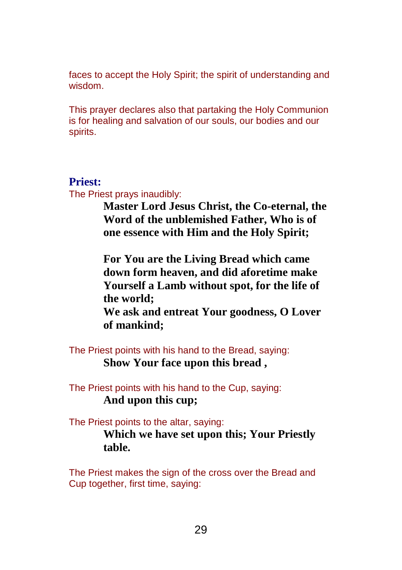faces to accept the Holy Spirit; the spirit of understanding and wisdom.

This prayer declares also that partaking the Holy Communion is for healing and salvation of our souls, our bodies and our spirits.

#### **Priest:**

The Priest prays inaudibly:

**Master Lord Jesus Christ, the Co-eternal, the Word of the unblemished Father, Who is of one essence with Him and the Holy Spirit;**

**For You are the Living Bread which came down form heaven, and did aforetime make Yourself a Lamb without spot, for the life of the world;**

**We ask and entreat Your goodness, O Lover of mankind;**

The Priest points with his hand to the Bread, saying: **Show Your face upon this bread ,**

The Priest points with his hand to the Cup, saying: **And upon this cup;**

The Priest points to the altar, saying: **Which we have set upon this; Your Priestly table.**

The Priest makes the sign of the cross over the Bread and Cup together, first time, saying: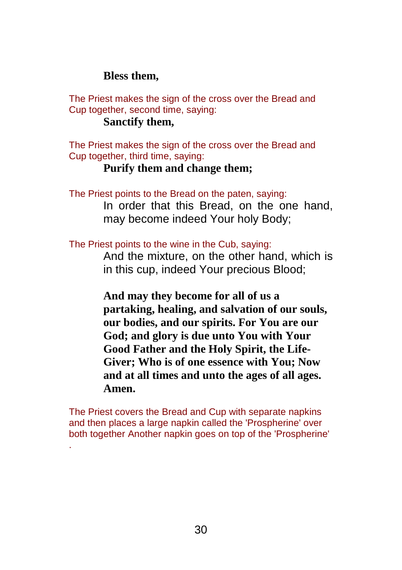### **Bless them,**

The Priest makes the sign of the cross over the Bread and Cup together, second time, saying:

### **Sanctify them,**

.

The Priest makes the sign of the cross over the Bread and Cup together, third time, saying:

### **Purify them and change them;**

The Priest points to the Bread on the paten, saying:

In order that this Bread, on the one hand, may become indeed Your holy Body;

The Priest points to the wine in the Cub, saying:

And the mixture, on the other hand, which is in this cup, indeed Your precious Blood;

**And may they become for all of us a partaking, healing, and salvation of our souls, our bodies, and our spirits. For You are our God; and glory is due unto You with Your Good Father and the Holy Spirit, the Life-Giver; Who is of one essence with You; Now and at all times and unto the ages of all ages. Amen.**

The Priest covers the Bread and Cup with separate napkins and then places a large napkin called the 'Prospherine' over both together Another napkin goes on top of the 'Prospherine'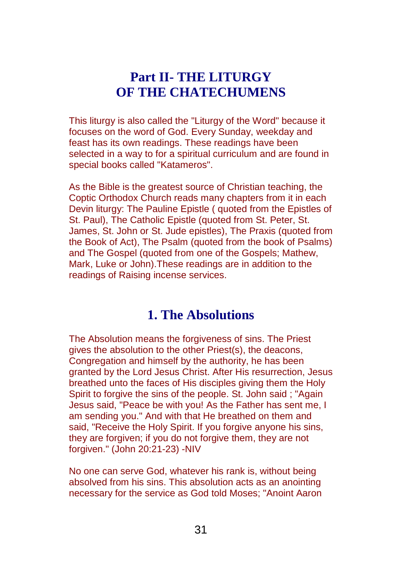## **Part II- THE LITURGY OF THE CHATECHUMENS**

<span id="page-30-1"></span><span id="page-30-0"></span>This liturgy is also called the "Liturgy of the Word" because it focuses on the word of God. Every Sunday, weekday and feast has its own readings. These readings have been selected in a way to for a spiritual curriculum and are found in special books called "Katameros".

As the Bible is the greatest source of Christian teaching, the Coptic Orthodox Church reads many chapters from it in each Devin liturgy: The Pauline Epistle ( quoted from the Epistles of St. Paul), The Catholic Epistle (quoted from St. Peter, St. James, St. John or St. Jude epistles), The Praxis (quoted from the Book of Act), The Psalm (quoted from the book of Psalms) and The Gospel (quoted from one of the Gospels; Mathew, Mark, Luke or John).These readings are in addition to the readings of Raising incense services.

## **1. The Absolutions**

The Absolution means the forgiveness of sins. The Priest gives the absolution to the other Priest(s), the deacons, Congregation and himself by the authority, he has been granted by the Lord Jesus Christ. After His resurrection, Jesus breathed unto the faces of His disciples giving them the Holy Spirit to forgive the sins of the people. St. John said ; "Again Jesus said, "Peace be with you! As the Father has sent me, I am sending you." And with that He breathed on them and said, "Receive the Holy Spirit. If you forgive anyone his sins, they are forgiven; if you do not forgive them, they are not forgiven." (John 20:21-23) -NIV

No one can serve God, whatever his rank is, without being absolved from his sins. This absolution acts as an anointing necessary for the service as God told Moses; "Anoint Aaron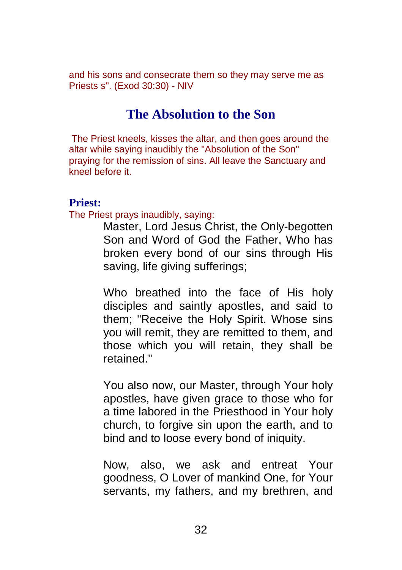and his sons and consecrate them so they may serve me as Priests s". (Exod 30:30) - NIV

## **The Absolution to the Son**

The Priest kneels, kisses the altar, and then goes around the altar while saying inaudibly the "Absolution of the Son" praying for the remission of sins. All leave the Sanctuary and kneel before it.

#### **Priest:**

The Priest prays inaudibly, saying:

Master, Lord Jesus Christ, the Only-begotten Son and Word of God the Father, Who has broken every bond of our sins through His saving, life giving sufferings;

Who breathed into the face of His holy disciples and saintly apostles, and said to them; "Receive the Holy Spirit. Whose sins you will remit, they are remitted to them, and those which you will retain, they shall be retained."

You also now, our Master, through Your holy apostles, have given grace to those who for a time labored in the Priesthood in Your holy church, to forgive sin upon the earth, and to bind and to loose every bond of iniquity.

Now, also, we ask and entreat Your goodness, O Lover of mankind One, for Your servants, my fathers, and my brethren, and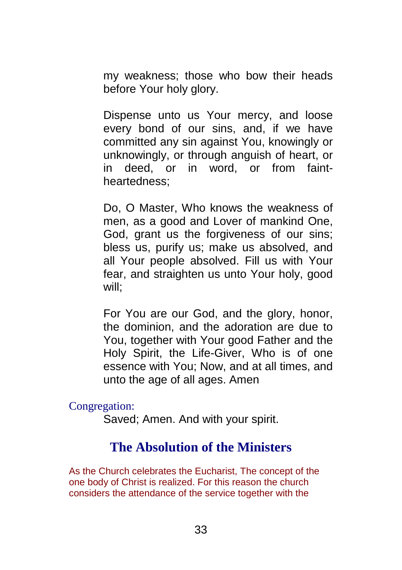my weakness; those who bow their heads before Your holy glory.

Dispense unto us Your mercy, and loose every bond of our sins, and, if we have committed any sin against You, knowingly or unknowingly, or through anguish of heart, or in deed, or in word, or from faintheartedness;

Do, O Master, Who knows the weakness of men, as a good and Lover of mankind One, God, grant us the forgiveness of our sins; bless us, purify us; make us absolved, and all Your people absolved. Fill us with Your fear, and straighten us unto Your holy, good will;

For You are our God, and the glory, honor, the dominion, and the adoration are due to You, together with Your good Father and the Holy Spirit, the Life-Giver, Who is of one essence with You; Now, and at all times, and unto the age of all ages. Amen

Congregation:

Saved; Amen. And with your spirit.

## **The Absolution of the Ministers**

As the Church celebrates the Eucharist, The concept of the one body of Christ is realized. For this reason the church considers the attendance of the service together with the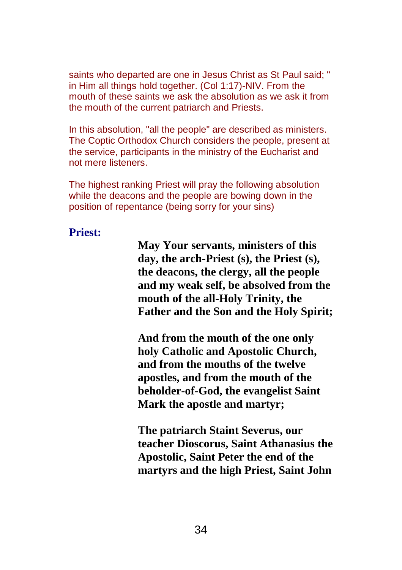saints who departed are one in Jesus Christ as St Paul said; " in Him all things hold together. (Col 1:17)-NIV. From the mouth of these saints we ask the absolution as we ask it from the mouth of the current patriarch and Priests.

In this absolution, "all the people" are described as ministers. The Coptic Orthodox Church considers the people, present at the service, participants in the ministry of the Eucharist and not mere listeners.

The highest ranking Priest will pray the following absolution while the deacons and the people are bowing down in the position of repentance (being sorry for your sins)

### **Priest:**

**May Your servants, ministers of this day, the arch-Priest (s), the Priest (s), the deacons, the clergy, all the people and my weak self, be absolved from the mouth of the all-Holy Trinity, the Father and the Son and the Holy Spirit;**

**And from the mouth of the one only holy Catholic and Apostolic Church, and from the mouths of the twelve apostles, and from the mouth of the beholder-of-God, the evangelist Saint Mark the apostle and martyr;**

**The patriarch Staint Severus, our teacher Dioscorus, Saint Athanasius the Apostolic, Saint Peter the end of the martyrs and the high Priest, Saint John**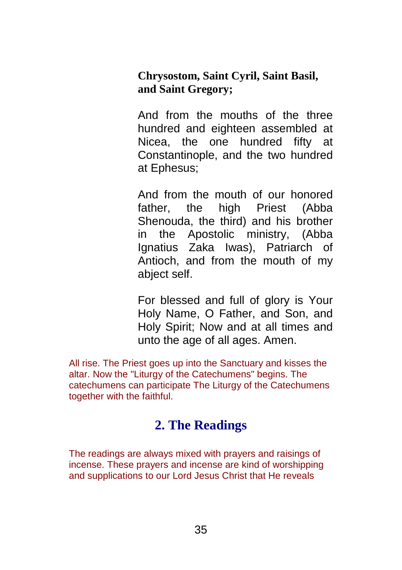<span id="page-34-0"></span>**Chrysostom, Saint Cyril, Saint Basil, and Saint Gregory;**

And from the mouths of the three hundred and eighteen assembled at Nicea, the one hundred fifty at Constantinople, and the two hundred at Ephesus;

And from the mouth of our honored father, the high Priest (Abba Shenouda, the third) and his brother in the Apostolic ministry, (Abba Ignatius Zaka Iwas), Patriarch of Antioch, and from the mouth of my abject self.

For blessed and full of glory is Your Holy Name, O Father, and Son, and Holy Spirit; Now and at all times and unto the age of all ages. Amen.

All rise. The Priest goes up into the Sanctuary and kisses the altar. Now the "Liturgy of the Catechumens" begins. The catechumens can participate The Liturgy of the Catechumens together with the faithful.

## **2. The Readings**

The readings are always mixed with prayers and raisings of incense. These prayers and incense are kind of worshipping and supplications to our Lord Jesus Christ that He reveals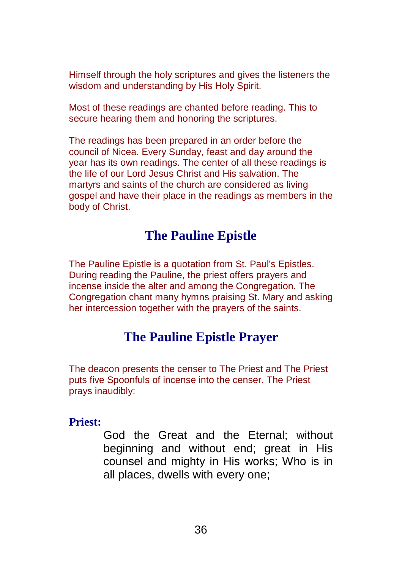Himself through the holy scriptures and gives the listeners the wisdom and understanding by His Holy Spirit.

Most of these readings are chanted before reading. This to secure hearing them and honoring the scriptures.

The readings has been prepared in an order before the council of Nicea. Every Sunday, feast and day around the year has its own readings. The center of all these readings is the life of our Lord Jesus Christ and His salvation. The martyrs and saints of the church are considered as living gospel and have their place in the readings as members in the body of Christ.

## **The Pauline Epistle**

The Pauline Epistle is a quotation from St. Paul's Epistles. During reading the Pauline, the priest offers prayers and incense inside the alter and among the Congregation. The Congregation chant many hymns praising St. Mary and asking her intercession together with the prayers of the saints.

## **The Pauline Epistle Prayer**

The deacon presents the censer to The Priest and The Priest puts five Spoonfuls of incense into the censer. The Priest prays inaudibly:

#### **Priest:**

God the Great and the Eternal; without beginning and without end; great in His counsel and mighty in His works; Who is in all places, dwells with every one;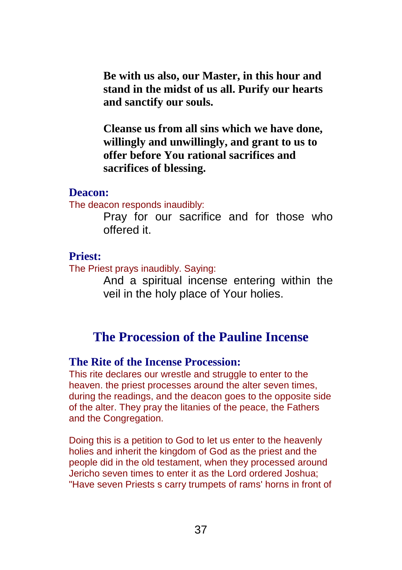**Be with us also, our Master, in this hour and stand in the midst of us all. Purify our hearts and sanctify our souls.**

**Cleanse us from all sins which we have done, willingly and unwillingly, and grant to us to offer before You rational sacrifices and sacrifices of blessing.**

#### **Deacon:**

The deacon responds inaudibly:

Pray for our sacrifice and for those who offered it.

#### **Priest:**

The Priest prays inaudibly. Saying:

And a spiritual incense entering within the veil in the holy place of Your holies.

## **The Procession of the Pauline Incense**

#### **The Rite of the Incense Procession:**

This rite declares our wrestle and struggle to enter to the heaven. the priest processes around the alter seven times, during the readings, and the deacon goes to the opposite side of the alter. They pray the litanies of the peace, the Fathers and the Congregation.

Doing this is a petition to God to let us enter to the heavenly holies and inherit the kingdom of God as the priest and the people did in the old testament, when they processed around Jericho seven times to enter it as the Lord ordered Joshua; "Have seven Priests s carry trumpets of rams' horns in front of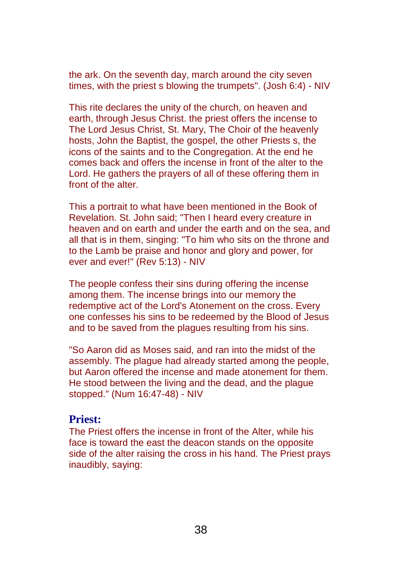the ark. On the seventh day, march around the city seven times, with the priest s blowing the trumpets". (Josh 6:4) - NIV

This rite declares the unity of the church, on heaven and earth, through Jesus Christ. the priest offers the incense to The Lord Jesus Christ, St. Mary, The Choir of the heavenly hosts, John the Baptist, the gospel, the other Priests s, the icons of the saints and to the Congregation. At the end he comes back and offers the incense in front of the alter to the Lord. He gathers the prayers of all of these offering them in front of the alter.

This a portrait to what have been mentioned in the Book of Revelation. St. John said; "Then I heard every creature in heaven and on earth and under the earth and on the sea, and all that is in them, singing: "To him who sits on the throne and to the Lamb be praise and honor and glory and power, for ever and ever!" (Rev 5:13) - NIV

The people confess their sins during offering the incense among them. The incense brings into our memory the redemptive act of the Lord's Atonement on the cross. Every one confesses his sins to be redeemed by the Blood of Jesus and to be saved from the plagues resulting from his sins.

"So Aaron did as Moses said, and ran into the midst of the assembly. The plague had already started among the people, but Aaron offered the incense and made atonement for them. He stood between the living and the dead, and the plague stopped." (Num 16:47-48) - NIV

#### **Priest:**

The Priest offers the incense in front of the Alter, while his face is toward the east the deacon stands on the opposite side of the alter raising the cross in his hand. The Priest prays inaudibly, saying: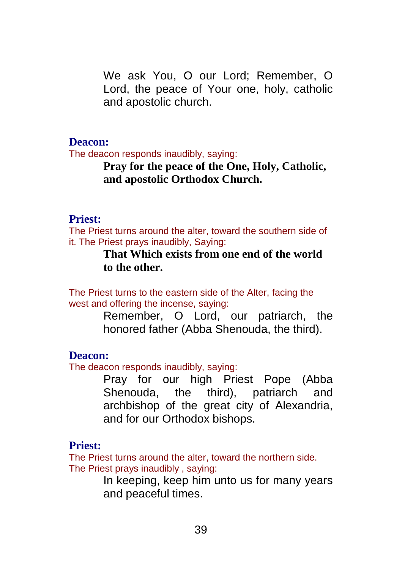We ask You, O our Lord; Remember, O Lord, the peace of Your one, holy, catholic and apostolic church.

#### **Deacon:**

The deacon responds inaudibly, saying:

### **Pray for the peace of the One, Holy, Catholic, and apostolic Orthodox Church.**

#### **Priest:**

The Priest turns around the alter, toward the southern side of it. The Priest prays inaudibly, Saying:

### **That Which exists from one end of the world to the other.**

The Priest turns to the eastern side of the Alter, facing the west and offering the incense, saying:

> Remember, O Lord, our patriarch, the honored father (Abba Shenouda, the third).

#### **Deacon:**

The deacon responds inaudibly, saying:

Pray for our high Priest Pope (Abba Shenouda, the third), patriarch and archbishop of the great city of Alexandria, and for our Orthodox bishops.

### **Priest:**

The Priest turns around the alter, toward the northern side. The Priest prays inaudibly , saying:

> In keeping, keep him unto us for many years and peaceful times.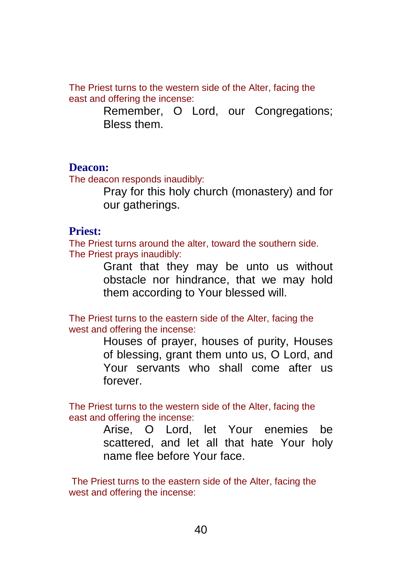The Priest turns to the western side of the Alter, facing the east and offering the incense:

> Remember, O Lord, our Congregations; Bless them.

#### **Deacon:**

The deacon responds inaudibly:

Pray for this holy church (monastery) and for our gatherings.

#### **Priest:**

The Priest turns around the alter, toward the southern side. The Priest prays inaudibly:

> Grant that they may be unto us without obstacle nor hindrance, that we may hold them according to Your blessed will.

The Priest turns to the eastern side of the Alter, facing the west and offering the incense:

> Houses of prayer, houses of purity, Houses of blessing, grant them unto us, O Lord, and Your servants who shall come after us forever.

The Priest turns to the western side of the Alter, facing the east and offering the incense:

> Arise, O Lord, let Your enemies be scattered, and let all that hate Your holy name flee before Your face.

The Priest turns to the eastern side of the Alter, facing the west and offering the incense: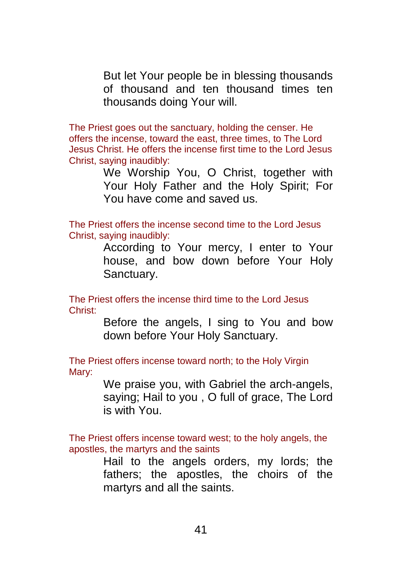But let Your people be in blessing thousands of thousand and ten thousand times ten thousands doing Your will.

The Priest goes out the sanctuary, holding the censer. He offers the incense, toward the east, three times, to The Lord Jesus Christ. He offers the incense first time to the Lord Jesus Christ, saying inaudibly:

> We Worship You, O Christ, together with Your Holy Father and the Holy Spirit; For You have come and saved us.

The Priest offers the incense second time to the Lord Jesus Christ, saying inaudibly:

> According to Your mercy, I enter to Your house, and bow down before Your Holy Sanctuary.

The Priest offers the incense third time to the Lord Jesus Christ:

> Before the angels, I sing to You and bow down before Your Holy Sanctuary.

The Priest offers incense toward north; to the Holy Virgin Mary:

> We praise you, with Gabriel the arch-angels, saying; Hail to you , O full of grace, The Lord is with You.

The Priest offers incense toward west; to the holy angels, the apostles, the martyrs and the saints

> Hail to the angels orders, my lords; the fathers; the apostles, the choirs of the martyrs and all the saints.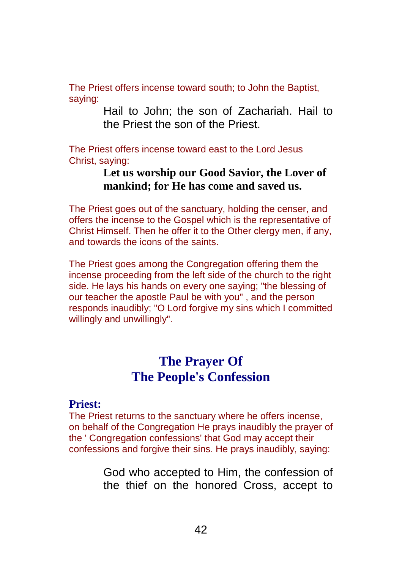The Priest offers incense toward south; to John the Baptist, saying:

> Hail to John; the son of Zachariah. Hail to the Priest the son of the Priest.

The Priest offers incense toward east to the Lord Jesus Christ, saying:

### **Let us worship our Good Savior, the Lover of mankind; for He has come and saved us.**

The Priest goes out of the sanctuary, holding the censer, and offers the incense to the Gospel which is the representative of Christ Himself. Then he offer it to the Other clergy men, if any, and towards the icons of the saints.

The Priest goes among the Congregation offering them the incense proceeding from the left side of the church to the right side. He lays his hands on every one saying; "the blessing of our teacher the apostle Paul be with you" , and the person responds inaudibly; "O Lord forgive my sins which I committed willingly and unwillingly".

## **The Prayer Of The People's Confession**

#### **Priest:**

The Priest returns to the sanctuary where he offers incense, on behalf of the Congregation He prays inaudibly the prayer of the ' Congregation confessions' that God may accept their confessions and forgive their sins. He prays inaudibly, saying:

> God who accepted to Him, the confession of the thief on the honored Cross, accept to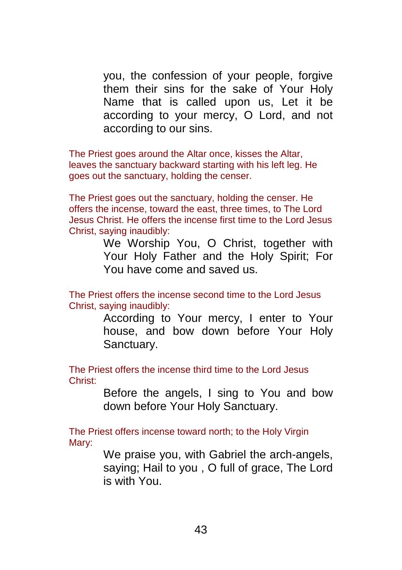you, the confession of your people, forgive them their sins for the sake of Your Holy Name that is called upon us, Let it be according to your mercy, O Lord, and not according to our sins.

The Priest goes around the Altar once, kisses the Altar, leaves the sanctuary backward starting with his left leg. He goes out the sanctuary, holding the censer.

The Priest goes out the sanctuary, holding the censer. He offers the incense, toward the east, three times, to The Lord Jesus Christ. He offers the incense first time to the Lord Jesus Christ, saying inaudibly:

> We Worship You, O Christ, together with Your Holy Father and the Holy Spirit; For You have come and saved us.

The Priest offers the incense second time to the Lord Jesus Christ, saying inaudibly:

> According to Your mercy, I enter to Your house, and bow down before Your Holy Sanctuary.

The Priest offers the incense third time to the Lord Jesus Christ:

> Before the angels, I sing to You and bow down before Your Holy Sanctuary.

The Priest offers incense toward north; to the Holy Virgin Mary:

> We praise you, with Gabriel the arch-angels, saying; Hail to you , O full of grace, The Lord is with You.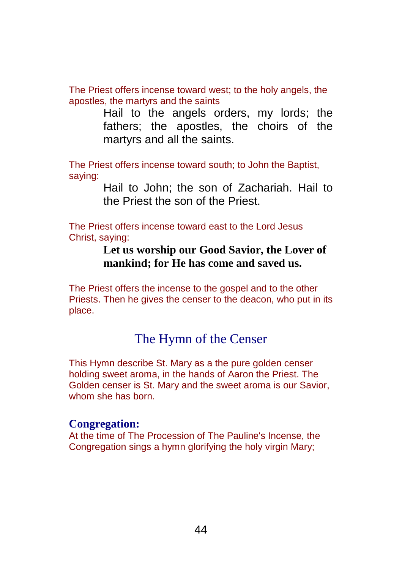The Priest offers incense toward west; to the holy angels, the apostles, the martyrs and the saints

> Hail to the angels orders, my lords; the fathers; the apostles, the choirs of the martyrs and all the saints.

The Priest offers incense toward south; to John the Baptist, saying:

> Hail to John; the son of Zachariah. Hail to the Priest the son of the Priest.

The Priest offers incense toward east to the Lord Jesus Christ, saying:

### **Let us worship our Good Savior, the Lover of mankind; for He has come and saved us.**

The Priest offers the incense to the gospel and to the other Priests. Then he gives the censer to the deacon, who put in its place.

## The Hymn of the Censer

This Hymn describe St. Mary as a the pure golden censer holding sweet aroma, in the hands of Aaron the Priest. The Golden censer is St. Mary and the sweet aroma is our Savior, whom she has born.

#### **Congregation:**

At the time of The Procession of The Pauline's Incense, the Congregation sings a hymn glorifying the holy virgin Mary;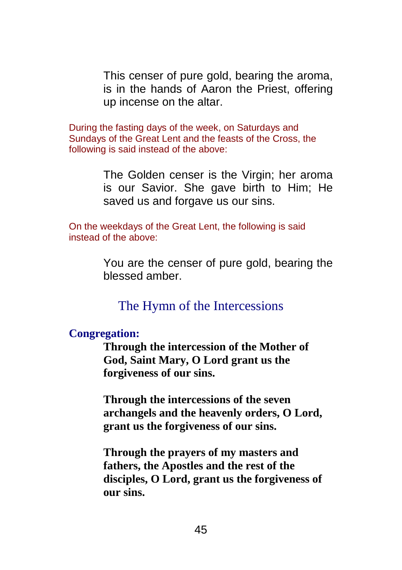This censer of pure gold, bearing the aroma, is in the hands of Aaron the Priest, offering up incense on the altar.

During the fasting days of the week, on Saturdays and Sundays of the Great Lent and the feasts of the Cross, the following is said instead of the above:

> The Golden censer is the Virgin; her aroma is our Savior. She gave birth to Him; He saved us and forgave us our sins.

On the weekdays of the Great Lent, the following is said instead of the above:

> You are the censer of pure gold, bearing the blessed amber.

The Hymn of the Intercessions

#### **Congregation:**

**Through the intercession of the Mother of God, Saint Mary, O Lord grant us the forgiveness of our sins.**

**Through the intercessions of the seven archangels and the heavenly orders, O Lord, grant us the forgiveness of our sins.**

**Through the prayers of my masters and fathers, the Apostles and the rest of the disciples, O Lord, grant us the forgiveness of our sins.**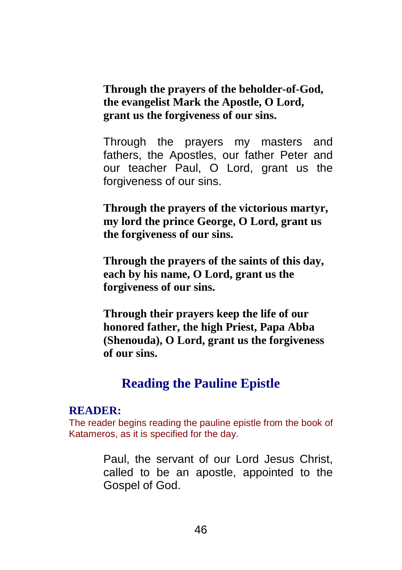**Through the prayers of the beholder-of-God, the evangelist Mark the Apostle, O Lord, grant us the forgiveness of our sins.**

Through the prayers my masters and fathers, the Apostles, our father Peter and our teacher Paul, O Lord, grant us the forgiveness of our sins.

**Through the prayers of the victorious martyr, my lord the prince George, O Lord, grant us the forgiveness of our sins.**

**Through the prayers of the saints of this day, each by his name, O Lord, grant us the forgiveness of our sins.**

**Through their prayers keep the life of our honored father, the high Priest, Papa Abba (Shenouda), O Lord, grant us the forgiveness of our sins.**

## **Reading the Pauline Epistle**

#### **READER:**

The reader begins reading the pauline epistle from the book of Katameros, as it is specified for the day.

> Paul, the servant of our Lord Jesus Christ, called to be an apostle, appointed to the Gospel of God.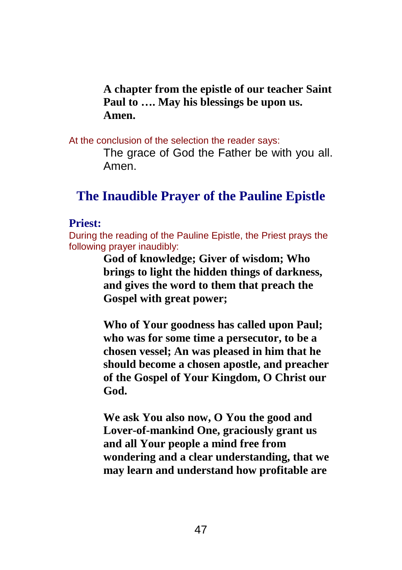**A chapter from the epistle of our teacher Saint Paul to …. May his blessings be upon us. Amen.**

At the conclusion of the selection the reader says:

The grace of God the Father be with you all. Amen.

## **The Inaudible Prayer of the Pauline Epistle**

### **Priest:**

During the reading of the Pauline Epistle, the Priest prays the following prayer inaudibly:

> **God of knowledge; Giver of wisdom; Who brings to light the hidden things of darkness, and gives the word to them that preach the Gospel with great power;**

**Who of Your goodness has called upon Paul; who was for some time a persecutor, to be a chosen vessel; An was pleased in him that he should become a chosen apostle, and preacher of the Gospel of Your Kingdom, O Christ our God.**

**We ask You also now, O You the good and Lover-of-mankind One, graciously grant us and all Your people a mind free from wondering and a clear understanding, that we may learn and understand how profitable are**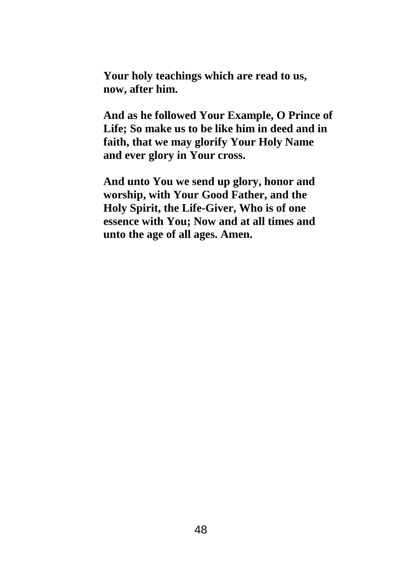**Your holy teachings which are read to us, now, after him.**

**And as he followed Your Example, O Prince of Life; So make us to be like him in deed and in faith, that we may glorify Your Holy Name and ever glory in Your cross.**

**And unto You we send up glory, honor and worship, with Your Good Father, and the Holy Spirit, the Life-Giver, Who is of one essence with You; Now and at all times and unto the age of all ages. Amen.**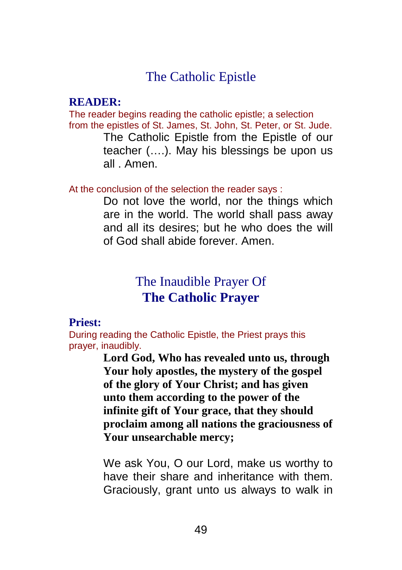## The Catholic Epistle

#### **READER:**

The reader begins reading the catholic epistle; a selection from the epistles of St. James, St. John, St. Peter, or St. Jude.

> The Catholic Epistle from the Epistle of our teacher (….). May his blessings be upon us all . Amen.

At the conclusion of the selection the reader says :

Do not love the world, nor the things which are in the world. The world shall pass away and all its desires; but he who does the will of God shall abide forever. Amen.

## The Inaudible Prayer Of **The Catholic Prayer**

#### **Priest:**

During reading the Catholic Epistle, the Priest prays this prayer, inaudibly.

> **Lord God, Who has revealed unto us, through Your holy apostles, the mystery of the gospel of the glory of Your Christ; and has given unto them according to the power of the infinite gift of Your grace, that they should proclaim among all nations the graciousness of Your unsearchable mercy;**

> We ask You, O our Lord, make us worthy to have their share and inheritance with them. Graciously, grant unto us always to walk in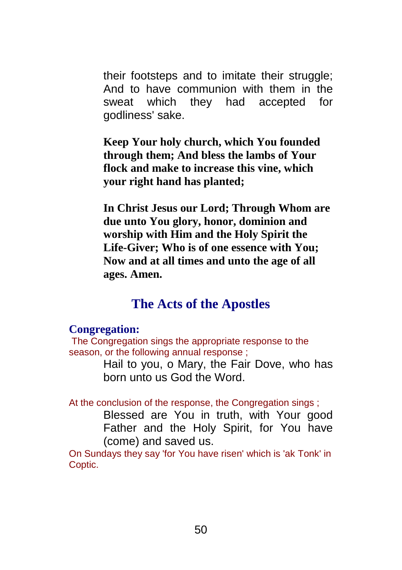their footsteps and to imitate their struggle; And to have communion with them in the sweat which they had accepted for godliness' sake.

**Keep Your holy church, which You founded through them; And bless the lambs of Your flock and make to increase this vine, which your right hand has planted;**

**In Christ Jesus our Lord; Through Whom are due unto You glory, honor, dominion and worship with Him and the Holy Spirit the Life-Giver; Who is of one essence with You; Now and at all times and unto the age of all ages. Amen.**

## **The Acts of the Apostles**

#### **Congregation:**

The Congregation sings the appropriate response to the season, or the following annual response ;

> Hail to you, o Mary, the Fair Dove, who has born unto us God the Word.

At the conclusion of the response, the Congregation sings ;

Blessed are You in truth, with Your good Father and the Holy Spirit, for You have (come) and saved us.

On Sundays they say 'for You have risen' which is 'ak Tonk' in Coptic.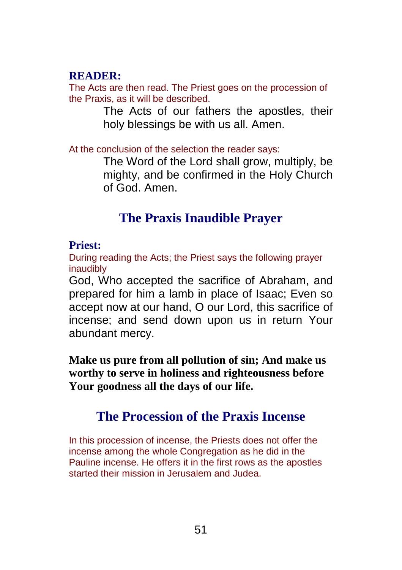### **READER:**

The Acts are then read. The Priest goes on the procession of the Praxis, as it will be described.

> The Acts of our fathers the apostles, their holy blessings be with us all. Amen.

At the conclusion of the selection the reader says:

The Word of the Lord shall grow, multiply, be mighty, and be confirmed in the Holy Church of God. Amen.

## **The Praxis Inaudible Prayer**

### **Priest:**

During reading the Acts; the Priest says the following prayer inaudibly

God, Who accepted the sacrifice of Abraham, and prepared for him a lamb in place of Isaac; Even so accept now at our hand, O our Lord, this sacrifice of incense; and send down upon us in return Your abundant mercy.

**Make us pure from all pollution of sin; And make us worthy to serve in holiness and righteousness before Your goodness all the days of our life.**

## **The Procession of the Praxis Incense**

In this procession of incense, the Priests does not offer the incense among the whole Congregation as he did in the Pauline incense. He offers it in the first rows as the apostles started their mission in Jerusalem and Judea.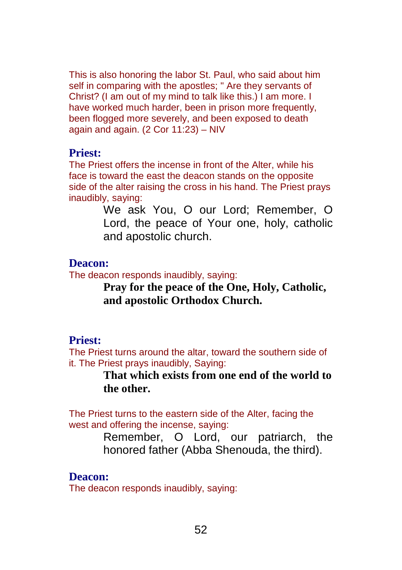This is also honoring the labor St. Paul, who said about him self in comparing with the apostles; " Are they servants of Christ? (I am out of my mind to talk like this.) I am more. I have worked much harder, been in prison more frequently. been flogged more severely, and been exposed to death again and again. (2 Cor 11:23) – NIV

#### **Priest:**

The Priest offers the incense in front of the Alter, while his face is toward the east the deacon stands on the opposite side of the alter raising the cross in his hand. The Priest prays inaudibly, saying:

> We ask You, O our Lord; Remember, O Lord, the peace of Your one, holy, catholic and apostolic church.

#### **Deacon:**

The deacon responds inaudibly, saying:

**Pray for the peace of the One, Holy, Catholic, and apostolic Orthodox Church.**

### **Priest:**

The Priest turns around the altar, toward the southern side of it. The Priest prays inaudibly, Saying:

### **That which exists from one end of the world to the other.**

The Priest turns to the eastern side of the Alter, facing the west and offering the incense, saying:

> Remember, O Lord, our patriarch, the honored father (Abba Shenouda, the third).

#### **Deacon:**

The deacon responds inaudibly, saying: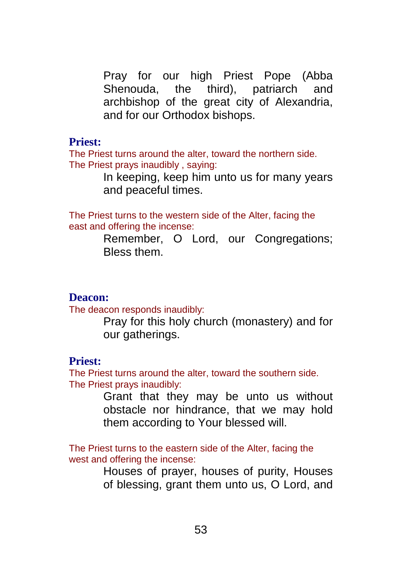Pray for our high Priest Pope (Abba Shenouda, the third), patriarch and archbishop of the great city of Alexandria, and for our Orthodox bishops.

#### **Priest:**

The Priest turns around the alter, toward the northern side. The Priest prays inaudibly , saying:

> In keeping, keep him unto us for many years and peaceful times.

The Priest turns to the western side of the Alter, facing the east and offering the incense:

> Remember, O Lord, our Congregations; Bless them.

#### **Deacon:**

The deacon responds inaudibly:

Pray for this holy church (monastery) and for our gatherings.

#### **Priest:**

The Priest turns around the alter, toward the southern side. The Priest prays inaudibly:

> Grant that they may be unto us without obstacle nor hindrance, that we may hold them according to Your blessed will.

The Priest turns to the eastern side of the Alter, facing the west and offering the incense:

> Houses of prayer, houses of purity, Houses of blessing, grant them unto us, O Lord, and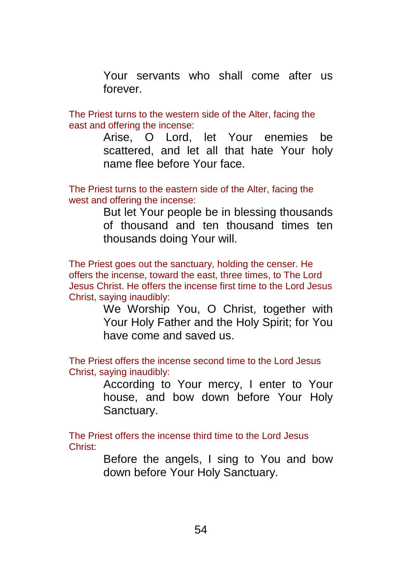Your servants who shall come after us forever.

The Priest turns to the western side of the Alter, facing the east and offering the incense:

> Arise, O Lord, let Your enemies be scattered, and let all that hate Your holy name flee before Your face.

The Priest turns to the eastern side of the Alter, facing the west and offering the incense:

> But let Your people be in blessing thousands of thousand and ten thousand times ten thousands doing Your will.

The Priest goes out the sanctuary, holding the censer. He offers the incense, toward the east, three times, to The Lord Jesus Christ. He offers the incense first time to the Lord Jesus Christ, saying inaudibly:

> We Worship You, O Christ, together with Your Holy Father and the Holy Spirit; for You have come and saved us.

The Priest offers the incense second time to the Lord Jesus Christ, saying inaudibly:

> According to Your mercy, I enter to Your house, and bow down before Your Holy Sanctuary.

The Priest offers the incense third time to the Lord Jesus Christ:

> Before the angels, I sing to You and bow down before Your Holy Sanctuary.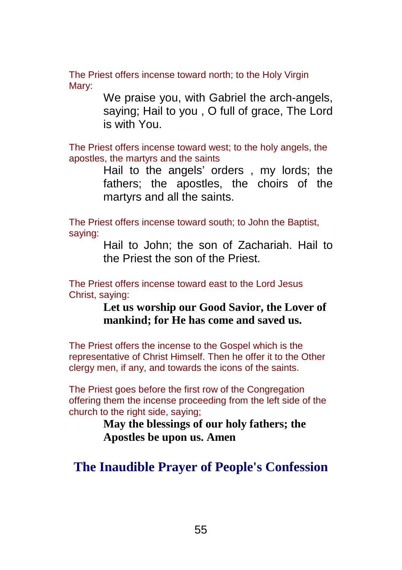The Priest offers incense toward north; to the Holy Virgin Mary:

> We praise you, with Gabriel the arch-angels, saying; Hail to you , O full of grace, The Lord is with You.

The Priest offers incense toward west; to the holy angels, the apostles, the martyrs and the saints

> Hail to the angels' orders , my lords; the fathers; the apostles, the choirs of the martyrs and all the saints.

The Priest offers incense toward south; to John the Baptist, saying:

> Hail to John; the son of Zachariah. Hail to the Priest the son of the Priest.

The Priest offers incense toward east to the Lord Jesus Christ, saying:

> **Let us worship our Good Savior, the Lover of mankind; for He has come and saved us.**

The Priest offers the incense to the Gospel which is the representative of Christ Himself. Then he offer it to the Other clergy men, if any, and towards the icons of the saints.

The Priest goes before the first row of the Congregation offering them the incense proceeding from the left side of the church to the right side, saying;

> **May the blessings of our holy fathers; the Apostles be upon us. Amen**

## **The Inaudible Prayer of People's Confession**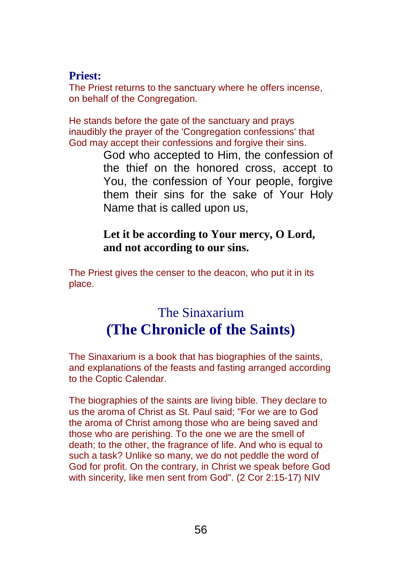#### **Priest:**

The Priest returns to the sanctuary where he offers incense, on behalf of the Congregation.

He stands before the gate of the sanctuary and prays inaudibly the prayer of the 'Congregation confessions' that God may accept their confessions and forgive their sins.

> God who accepted to Him, the confession of the thief on the honored cross, accept to You, the confession of Your people, forgive them their sins for the sake of Your Holy Name that is called upon us,

### **Let it be according to Your mercy, O Lord, and not according to our sins.**

The Priest gives the censer to the deacon, who put it in its place.

# The Sinaxarium **(The Chronicle of the Saints)**

The Sinaxarium is a book that has biographies of the saints, and explanations of the feasts and fasting arranged according to the Coptic Calendar.

The biographies of the saints are living bible. They declare to us the aroma of Christ as St. Paul said; "For we are to God the aroma of Christ among those who are being saved and those who are perishing. To the one we are the smell of death; to the other, the fragrance of life. And who is equal to such a task? Unlike so many, we do not peddle the word of God for profit. On the contrary, in Christ we speak before God with sincerity, like men sent from God". (2 Cor 2:15-17) NIV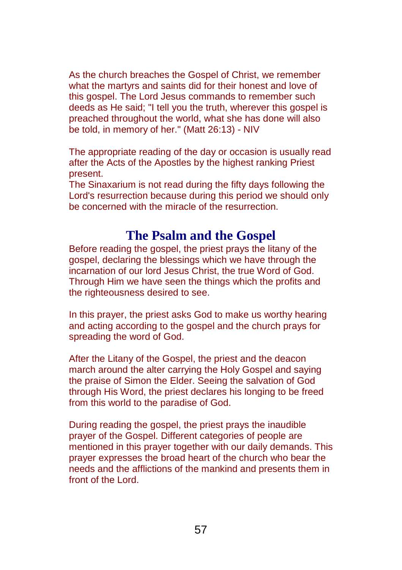As the church breaches the Gospel of Christ, we remember what the martyrs and saints did for their honest and love of this gospel. The Lord Jesus commands to remember such deeds as He said; "I tell you the truth, wherever this gospel is preached throughout the world, what she has done will also be told, in memory of her." (Matt 26:13) - NIV

The appropriate reading of the day or occasion is usually read after the Acts of the Apostles by the highest ranking Priest present.

The Sinaxarium is not read during the fifty days following the Lord's resurrection because during this period we should only be concerned with the miracle of the resurrection.

## **The Psalm and the Gospel**

Before reading the gospel, the priest prays the litany of the gospel, declaring the blessings which we have through the incarnation of our lord Jesus Christ, the true Word of God. Through Him we have seen the things which the profits and the righteousness desired to see.

In this prayer, the priest asks God to make us worthy hearing and acting according to the gospel and the church prays for spreading the word of God.

After the Litany of the Gospel, the priest and the deacon march around the alter carrying the Holy Gospel and saying the praise of Simon the Elder. Seeing the salvation of God through His Word, the priest declares his longing to be freed from this world to the paradise of God.

During reading the gospel, the priest prays the inaudible prayer of the Gospel. Different categories of people are mentioned in this prayer together with our daily demands. This prayer expresses the broad heart of the church who bear the needs and the afflictions of the mankind and presents them in front of the Lord.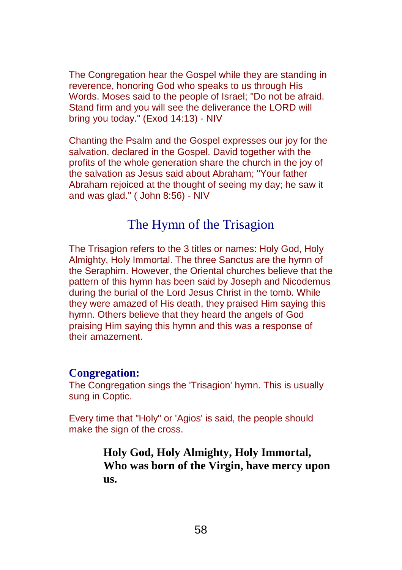The Congregation hear the Gospel while they are standing in reverence, honoring God who speaks to us through His Words. Moses said to the people of Israel; "Do not be afraid. Stand firm and you will see the deliverance the LORD will bring you today." (Exod 14:13) - NIV

Chanting the Psalm and the Gospel expresses our joy for the salvation, declared in the Gospel. David together with the profits of the whole generation share the church in the joy of the salvation as Jesus said about Abraham; "Your father Abraham rejoiced at the thought of seeing my day; he saw it and was glad." ( John 8:56) - NIV

## The Hymn of the Trisagion

The Trisagion refers to the 3 titles or names: Holy God, Holy Almighty, Holy Immortal. The three Sanctus are the hymn of the Seraphim. However, the Oriental churches believe that the pattern of this hymn has been said by Joseph and Nicodemus during the burial of the Lord Jesus Christ in the tomb. While they were amazed of His death, they praised Him saying this hymn. Others believe that they heard the angels of God praising Him saying this hymn and this was a response of their amazement.

#### **Congregation:**

The Congregation sings the 'Trisagion' hymn. This is usually sung in Coptic.

Every time that "Holy" or 'Agios' is said, the people should make the sign of the cross.

> **Holy God, Holy Almighty, Holy Immortal, Who was born of the Virgin, have mercy upon us.**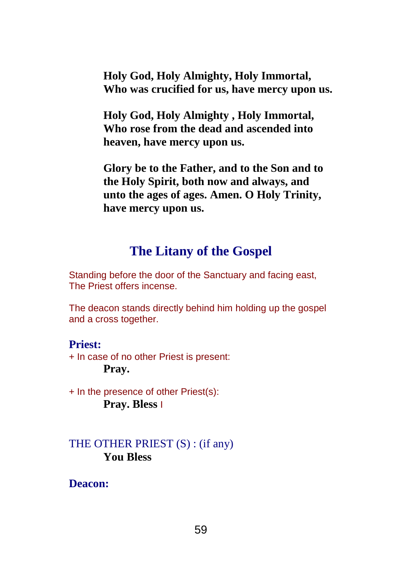**Holy God, Holy Almighty, Holy Immortal, Who was crucified for us, have mercy upon us.**

**Holy God, Holy Almighty , Holy Immortal, Who rose from the dead and ascended into heaven, have mercy upon us.**

**Glory be to the Father, and to the Son and to the Holy Spirit, both now and always, and unto the ages of ages. Amen. O Holy Trinity, have mercy upon us.**

## **The Litany of the Gospel**

Standing before the door of the Sanctuary and facing east, The Priest offers incense.

The deacon stands directly behind him holding up the gospel and a cross together.

#### **Priest:**

+ In case of no other Priest is present: **Pray.**

+ In the presence of other Priest(s): **Pray. Bless** I

### THE OTHER PRIEST (S) : (if any) **You Bless**

**Deacon:**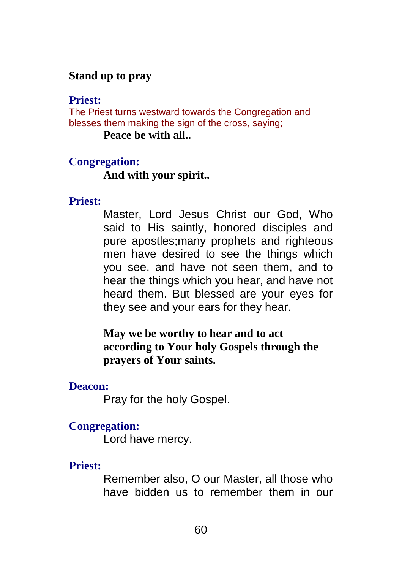### **Stand up to pray**

#### **Priest:**

The Priest turns westward towards the Congregation and blesses them making the sign of the cross, saying;

**Peace be with all..**

#### **Congregation:**

**And with your spirit..**

#### **Priest:**

Master, Lord Jesus Christ our God, Who said to His saintly, honored disciples and pure apostles;many prophets and righteous men have desired to see the things which you see, and have not seen them, and to hear the things which you hear, and have not heard them. But blessed are your eyes for they see and your ears for they hear.

**May we be worthy to hear and to act according to Your holy Gospels through the prayers of Your saints.**

#### **Deacon:**

Pray for the holy Gospel.

#### **Congregation:**

Lord have mercy.

#### **Priest:**

Remember also, O our Master, all those who have bidden us to remember them in our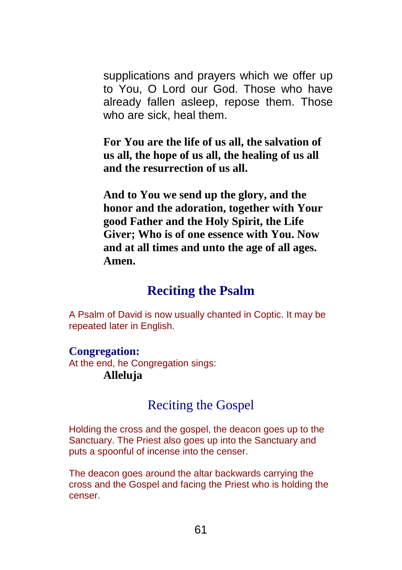supplications and prayers which we offer up to You, O Lord our God. Those who have already fallen asleep, repose them. Those who are sick, heal them.

**For You are the life of us all, the salvation of us all, the hope of us all, the healing of us all and the resurrection of us all.**

**And to You we send up the glory, and the honor and the adoration, together with Your good Father and the Holy Spirit, the Life Giver; Who is of one essence with You. Now and at all times and unto the age of all ages. Amen.**

## **Reciting the Psalm**

A Psalm of David is now usually chanted in Coptic. It may be repeated later in English.

### **Congregation:**

At the end, he Congregation sings: **Alleluja**

## Reciting the Gospel

Holding the cross and the gospel, the deacon goes up to the Sanctuary. The Priest also goes up into the Sanctuary and puts a spoonful of incense into the censer.

The deacon goes around the altar backwards carrying the cross and the Gospel and facing the Priest who is holding the censer.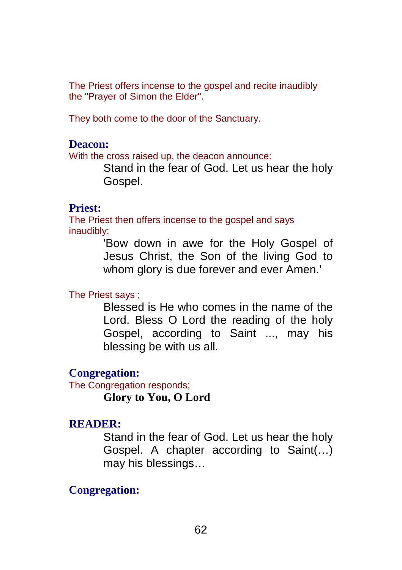The Priest offers incense to the gospel and recite inaudibly the "Prayer of Simon the Elder".

They both come to the door of the Sanctuary.

#### **Deacon:**

With the cross raised up, the deacon announce:

Stand in the fear of God. Let us hear the holy Gospel.

#### **Priest:**

The Priest then offers incense to the gospel and says inaudibly;

> 'Bow down in awe for the Holy Gospel of Jesus Christ, the Son of the living God to whom glory is due forever and ever Amen.'

#### The Priest says ;

Blessed is He who comes in the name of the Lord. Bless O Lord the reading of the holy Gospel, according to Saint ..., may his blessing be with us all.

#### **Congregation:**

The Congregation responds;

**Glory to You, O Lord**

#### **READER:**

Stand in the fear of God. Let us hear the holy Gospel. A chapter according to Saint(…) may his blessings…

### **Congregation:**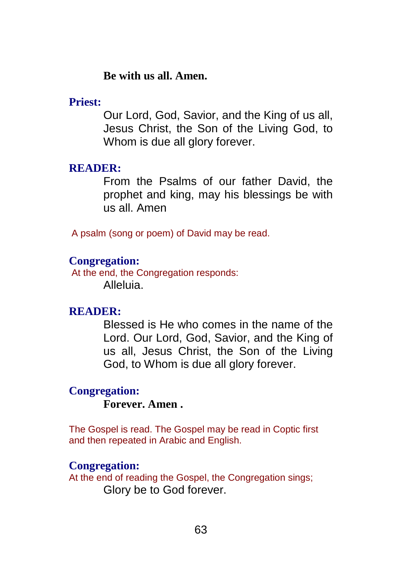#### **Be with us all. Amen.**

#### **Priest:**

Our Lord, God, Savior, and the King of us all, Jesus Christ, the Son of the Living God, to Whom is due all glory forever.

#### **READER:**

From the Psalms of our father David, the prophet and king, may his blessings be with us all. Amen

A psalm (song or poem) of David may be read.

#### **Congregation:**

At the end, the Congregation responds: Alleluia.

#### **READER:**

Blessed is He who comes in the name of the Lord. Our Lord, God, Savior, and the King of us all, Jesus Christ, the Son of the Living God, to Whom is due all glory forever.

#### **Congregation:**

### **Forever. Amen .**

The Gospel is read. The Gospel may be read in Coptic first and then repeated in Arabic and English.

#### **Congregation:**

At the end of reading the Gospel, the Congregation sings; Glory be to God forever.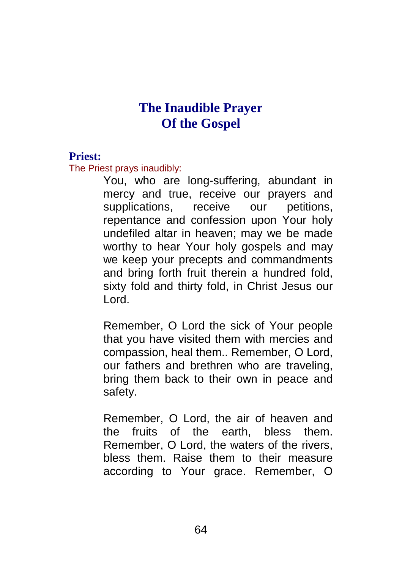## **The Inaudible Prayer Of the Gospel**

#### **Priest:**

The Priest prays inaudibly:

You, who are long-suffering, abundant in mercy and true, receive our prayers and supplications, receive our petitions, repentance and confession upon Your holy undefiled altar in heaven; may we be made worthy to hear Your holy gospels and may we keep your precepts and commandments and bring forth fruit therein a hundred fold, sixty fold and thirty fold, in Christ Jesus our Lord.

Remember, O Lord the sick of Your people that you have visited them with mercies and compassion, heal them.. Remember, O Lord, our fathers and brethren who are traveling, bring them back to their own in peace and safety.

Remember, O Lord, the air of heaven and the fruits of the earth, bless them. Remember, O Lord, the waters of the rivers, bless them. Raise them to their measure according to Your grace. Remember, O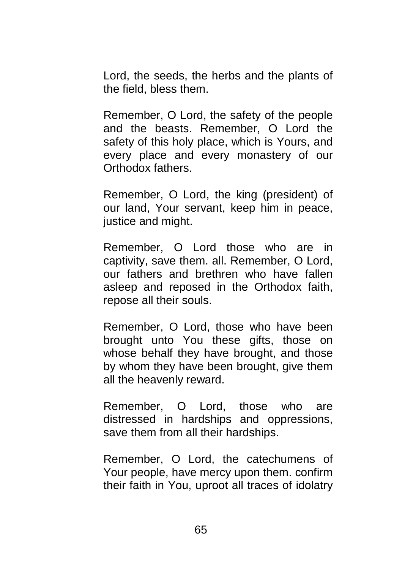Lord, the seeds, the herbs and the plants of the field, bless them.

Remember, O Lord, the safety of the people and the beasts. Remember, O Lord the safety of this holy place, which is Yours, and every place and every monastery of our Orthodox fathers.

Remember, O Lord, the king (president) of our land, Your servant, keep him in peace, justice and might.

Remember, O Lord those who are in captivity, save them. all. Remember, O Lord, our fathers and brethren who have fallen asleep and reposed in the Orthodox faith, repose all their souls.

Remember, O Lord, those who have been brought unto You these gifts, those on whose behalf they have brought, and those by whom they have been brought, give them all the heavenly reward.

Remember, O Lord, those who are distressed in hardships and oppressions, save them from all their hardships.

Remember, O Lord, the catechumens of Your people, have mercy upon them. confirm their faith in You, uproot all traces of idolatry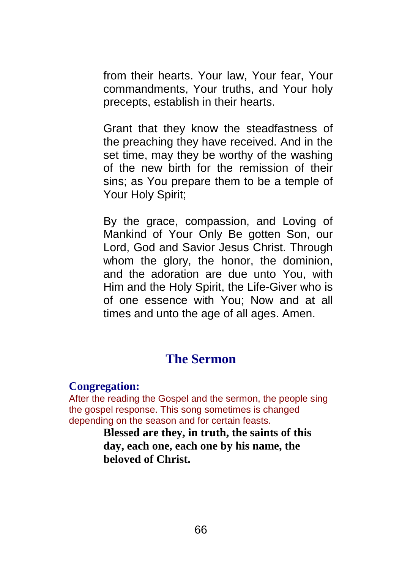from their hearts. Your law, Your fear, Your commandments, Your truths, and Your holy precepts, establish in their hearts.

Grant that they know the steadfastness of the preaching they have received. And in the set time, may they be worthy of the washing of the new birth for the remission of their sins; as You prepare them to be a temple of Your Holy Spirit;

By the grace, compassion, and Loving of Mankind of Your Only Be gotten Son, our Lord, God and Savior Jesus Christ. Through whom the glory, the honor, the dominion, and the adoration are due unto You, with Him and the Holy Spirit, the Life-Giver who is of one essence with You; Now and at all times and unto the age of all ages. Amen.

## **The Sermon**

#### **Congregation:**

After the reading the Gospel and the sermon, the people sing the gospel response. This song sometimes is changed depending on the season and for certain feasts.

> **Blessed are they, in truth, the saints of this day, each one, each one by his name, the beloved of Christ.**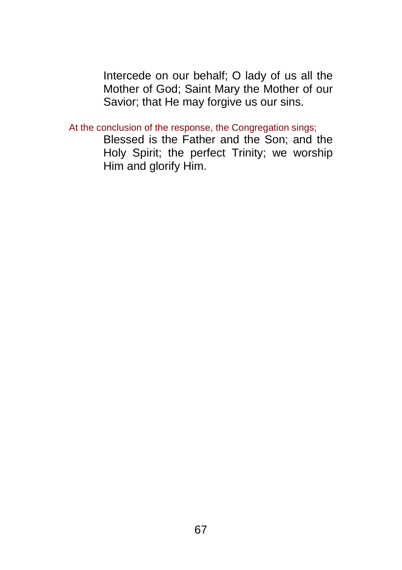Intercede on our behalf; O lady of us all the Mother of God; Saint Mary the Mother of our Savior; that He may forgive us our sins.

At the conclusion of the response, the Congregation sings;

Blessed is the Father and the Son; and the Holy Spirit; the perfect Trinity; we worship Him and glorify Him.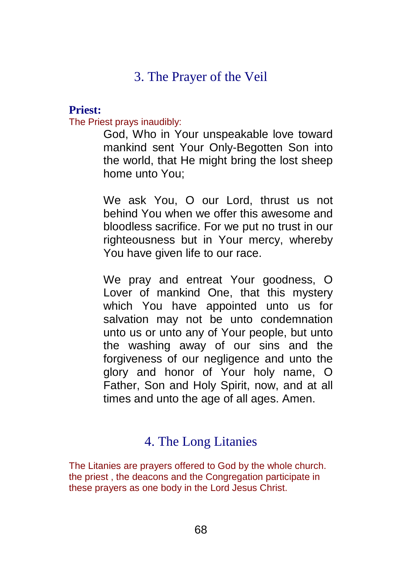## 3. The Prayer of the Veil

#### **Priest:**

The Priest prays inaudibly:

God, Who in Your unspeakable love toward mankind sent Your Only-Begotten Son into the world, that He might bring the lost sheep home unto You;

We ask You, O our Lord, thrust us not behind You when we offer this awesome and bloodless sacrifice. For we put no trust in our righteousness but in Your mercy, whereby You have given life to our race.

We pray and entreat Your goodness, O Lover of mankind One, that this mystery which You have appointed unto us for salvation may not be unto condemnation unto us or unto any of Your people, but unto the washing away of our sins and the forgiveness of our negligence and unto the glory and honor of Your holy name, O Father, Son and Holy Spirit, now, and at all times and unto the age of all ages. Amen.

## 4. The Long Litanies

The Litanies are prayers offered to God by the whole church. the priest , the deacons and the Congregation participate in these prayers as one body in the Lord Jesus Christ.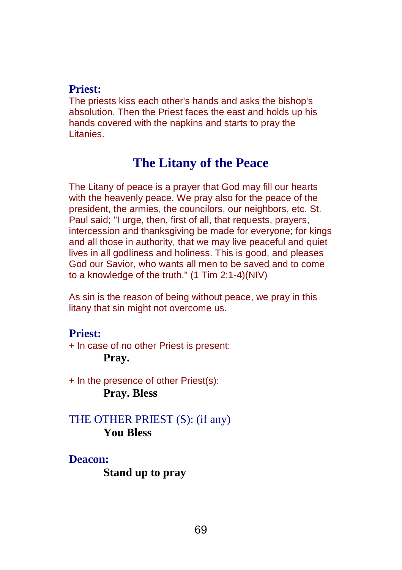#### **Priest:**

The priests kiss each other's hands and asks the bishop's absolution. Then the Priest faces the east and holds up his hands covered with the napkins and starts to pray the Litanies.

## **The Litany of the Peace**

The Litany of peace is a prayer that God may fill our hearts with the heavenly peace. We pray also for the peace of the president, the armies, the councilors, our neighbors, etc. St. Paul said; "I urge, then, first of all, that requests, prayers, intercession and thanksgiving be made for everyone; for kings and all those in authority, that we may live peaceful and quiet lives in all godliness and holiness. This is good, and pleases God our Savior, who wants all men to be saved and to come to a knowledge of the truth." (1 Tim 2:1-4)(NIV)

As sin is the reason of being without peace, we pray in this litany that sin might not overcome us.

#### **Priest:**

+ In case of no other Priest is present: **Pray.**

+ In the presence of other Priest(s): **Pray. Bless**

THE OTHER PRIEST (S): (if any) **You Bless**

**Deacon: Stand up to pray**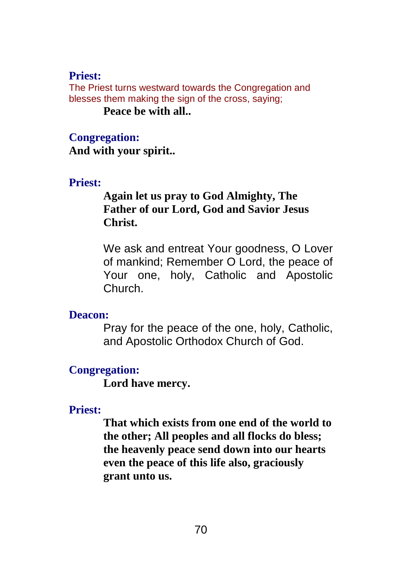#### **Priest:**

The Priest turns westward towards the Congregation and blesses them making the sign of the cross, saying;

#### **Peace be with all..**

#### **Congregation:**

**And with your spirit..**

#### **Priest:**

### **Again let us pray to God Almighty, The Father of our Lord, God and Savior Jesus Christ.**

We ask and entreat Your goodness, O Lover of mankind; Remember O Lord, the peace of Your one, holy, Catholic and Apostolic Church.

#### **Deacon:**

Pray for the peace of the one, holy, Catholic, and Apostolic Orthodox Church of God.

#### **Congregation:**

**Lord have mercy.**

#### **Priest:**

**That which exists from one end of the world to the other; All peoples and all flocks do bless; the heavenly peace send down into our hearts even the peace of this life also, graciously grant unto us.**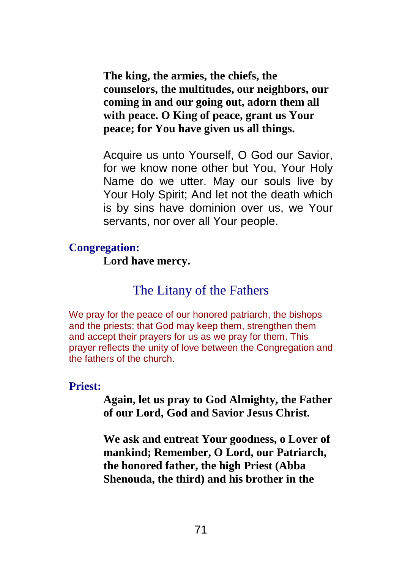**The king, the armies, the chiefs, the counselors, the multitudes, our neighbors, our coming in and our going out, adorn them all with peace. O King of peace, grant us Your peace; for You have given us all things.**

Acquire us unto Yourself, O God our Savior, for we know none other but You, Your Holy Name do we utter. May our souls live by Your Holy Spirit; And let not the death which is by sins have dominion over us, we Your servants, nor over all Your people.

#### **Congregation:**

**Lord have mercy.**

## The Litany of the Fathers

We pray for the peace of our honored patriarch, the bishops and the priests; that God may keep them, strengthen them and accept their prayers for us as we pray for them. This prayer reflects the unity of love between the Congregation and the fathers of the church.

#### **Priest:**

**Again, let us pray to God Almighty, the Father of our Lord, God and Savior Jesus Christ.**

**We ask and entreat Your goodness, o Lover of mankind; Remember, O Lord, our Patriarch, the honored father, the high Priest (Abba Shenouda, the third) and his brother in the**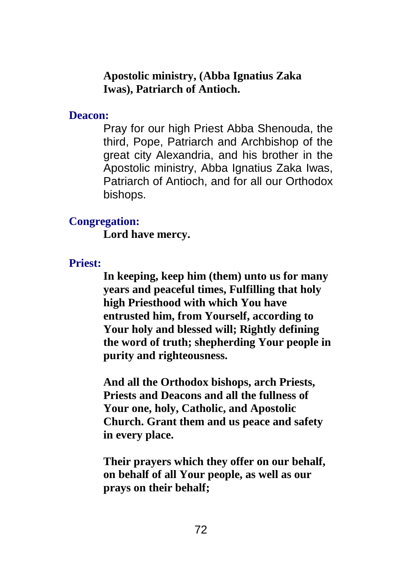### **Apostolic ministry, (Abba Ignatius Zaka Iwas), Patriarch of Antioch.**

### **Deacon:**

Pray for our high Priest Abba Shenouda, the third, Pope, Patriarch and Archbishop of the great city Alexandria, and his brother in the Apostolic ministry, Abba Ignatius Zaka Iwas, Patriarch of Antioch, and for all our Orthodox bishops.

### **Congregation:**

**Lord have mercy.**

## **Priest:**

**In keeping, keep him (them) unto us for many years and peaceful times, Fulfilling that holy high Priesthood with which You have entrusted him, from Yourself, according to Your holy and blessed will; Rightly defining the word of truth; shepherding Your people in purity and righteousness.**

**And all the Orthodox bishops, arch Priests, Priests and Deacons and all the fullness of Your one, holy, Catholic, and Apostolic Church. Grant them and us peace and safety in every place.**

**Their prayers which they offer on our behalf, on behalf of all Your people, as well as our prays on their behalf;**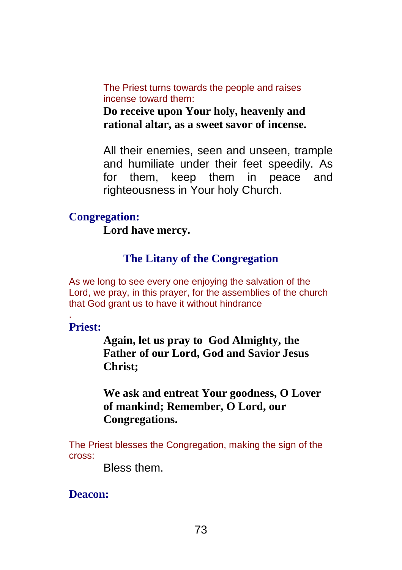The Priest turns towards the people and raises incense toward them:

**Do receive upon Your holy, heavenly and rational altar, as a sweet savor of incense.**

All their enemies, seen and unseen, trample and humiliate under their feet speedily. As for them, keep them in peace and righteousness in Your holy Church.

## **Congregation:**

**Lord have mercy.**

## **The Litany of the Congregation**

As we long to see every one enjoying the salvation of the Lord, we pray, in this prayer, for the assemblies of the church that God grant us to have it without hindrance

**Priest:**

.

**Again, let us pray to God Almighty, the Father of our Lord, God and Savior Jesus Christ;**

**We ask and entreat Your goodness, O Lover of mankind; Remember, O Lord, our Congregations.**

The Priest blesses the Congregation, making the sign of the cross:

Bless them.

**Deacon:**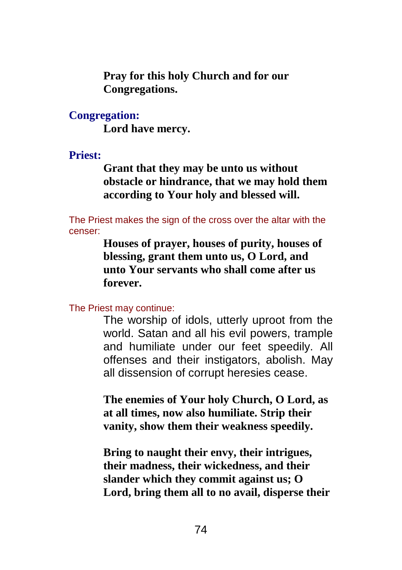**Pray for this holy Church and for our Congregations.**

**Congregation:**

**Lord have mercy.**

**Priest:**

**Grant that they may be unto us without obstacle or hindrance, that we may hold them according to Your holy and blessed will.**

The Priest makes the sign of the cross over the altar with the censer:

> **Houses of prayer, houses of purity, houses of blessing, grant them unto us, O Lord, and unto Your servants who shall come after us forever.**

The Priest may continue:

The worship of idols, utterly uproot from the world. Satan and all his evil powers, trample and humiliate under our feet speedily. All offenses and their instigators, abolish. May all dissension of corrupt heresies cease.

**The enemies of Your holy Church, O Lord, as at all times, now also humiliate. Strip their vanity, show them their weakness speedily.**

**Bring to naught their envy, their intrigues, their madness, their wickedness, and their slander which they commit against us; O Lord, bring them all to no avail, disperse their**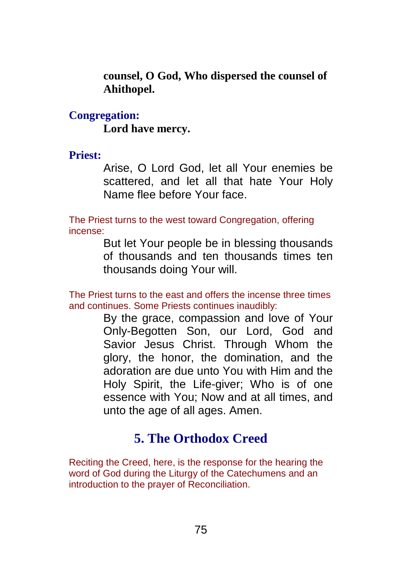**counsel, O God, Who dispersed the counsel of Ahithopel.**

**Congregation: Lord have mercy.**

## **Priest:**

Arise, O Lord God, let all Your enemies be scattered, and let all that hate Your Holy Name flee before Your face.

The Priest turns to the west toward Congregation, offering incense:

> But let Your people be in blessing thousands of thousands and ten thousands times ten thousands doing Your will.

The Priest turns to the east and offers the incense three times and continues. Some Priests continues inaudibly:

By the grace, compassion and love of Your Only-Begotten Son, our Lord, God and Savior Jesus Christ. Through Whom the glory, the honor, the domination, and the adoration are due unto You with Him and the Holy Spirit, the Life-giver; Who is of one essence with You; Now and at all times, and unto the age of all ages. Amen.

# **5. The Orthodox Creed**

Reciting the Creed, here, is the response for the hearing the word of God during the Liturgy of the Catechumens and an introduction to the prayer of Reconciliation.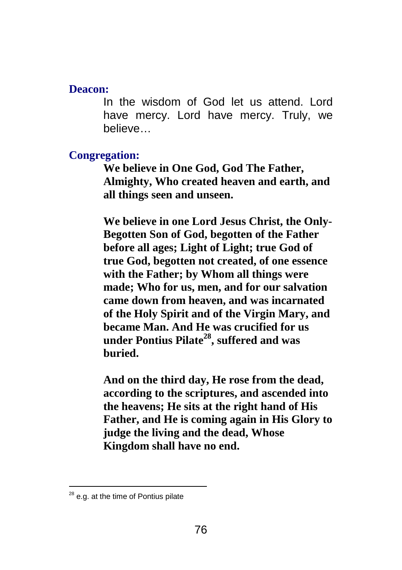#### **Deacon:**

In the wisdom of God let us attend. Lord have mercy. Lord have mercy. Truly, we believe…

#### **Congregation:**

**We believe in One God, God The Father, Almighty, Who created heaven and earth, and all things seen and unseen.**

**We believe in one Lord Jesus Christ, the Only-Begotten Son of God, begotten of the Father before all ages; Light of Light; true God of true God, begotten not created, of one essence with the Father; by Whom all things were made; Who for us, men, and for our salvation came down from heaven, and was incarnated of the Holy Spirit and of the Virgin Mary, and became Man. And He was crucified for us under Pontius Pilate 28 , suffered and was buried.**

**And on the third day, He rose from the dead, according to the scriptures, and ascended into the heavens; He sits at the right hand of His Father, and He is coming again in His Glory to judge the living and the dead, Whose Kingdom shall have no end.**

 $\overline{a}$ 

<sup>&</sup>lt;sup>28</sup> e.g. at the time of Pontius pilate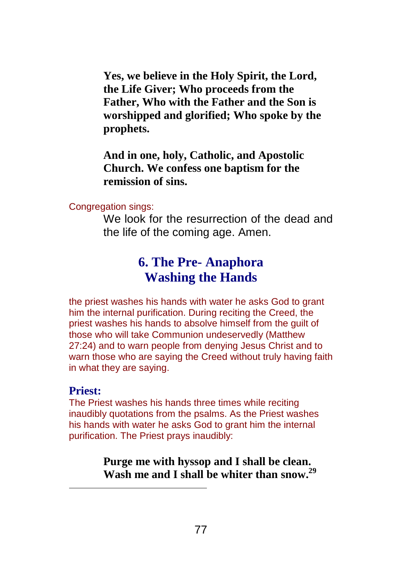**Yes, we believe in the Holy Spirit, the Lord, the Life Giver; Who proceeds from the Father, Who with the Father and the Son is worshipped and glorified; Who spoke by the prophets.**

**And in one, holy, Catholic, and Apostolic Church. We confess one baptism for the remission of sins.**

Congregation sings:

We look for the resurrection of the dead and the life of the coming age. Amen.

# **6. The Pre- Anaphora Washing the Hands**

the priest washes his hands with water he asks God to grant him the internal purification. During reciting the Creed, the priest washes his hands to absolve himself from the guilt of those who will take Communion undeservedly (Matthew 27:24) and to warn people from denying Jesus Christ and to warn those who are saying the Creed without truly having faith in what they are saying.

## **Priest:**

 $\overline{a}$ 

The Priest washes his hands three times while reciting inaudibly quotations from the psalms. As the Priest washes his hands with water he asks God to grant him the internal purification. The Priest prays inaudibly:

> **Purge me with hyssop and I shall be clean. Wash me and I shall be whiter than snow. 29**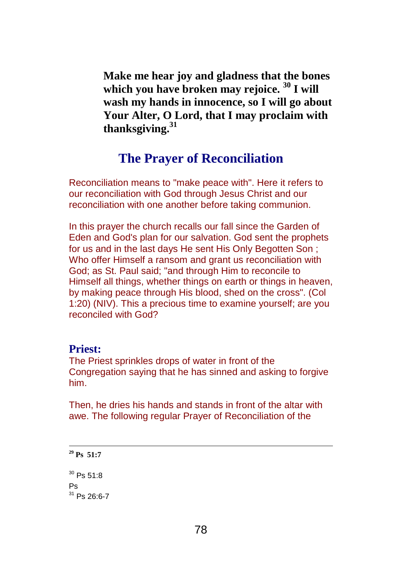**Make me hear joy and gladness that the bones which you have broken may rejoice. <sup>30</sup> I will wash my hands in innocence, so I will go about Your Alter, O Lord, that I may proclaim with thanksgiving. 31**

## **The Prayer of Reconciliation**

Reconciliation means to "make peace with". Here it refers to our reconciliation with God through Jesus Christ and our reconciliation with one another before taking communion.

In this prayer the church recalls our fall since the Garden of Eden and God's plan for our salvation. God sent the prophets for us and in the last days He sent His Only Begotten Son ; Who offer Himself a ransom and grant us reconciliation with God; as St. Paul said; "and through Him to reconcile to Himself all things, whether things on earth or things in heaven, by making peace through His blood, shed on the cross". (Col 1:20) (NIV). This a precious time to examine yourself; are you reconciled with God?

#### **Priest:**

The Priest sprinkles drops of water in front of the Congregation saying that he has sinned and asking to forgive him.

Then, he dries his hands and stands in front of the altar with awe. The following regular Prayer of Reconciliation of the

```
29 Ps 51:7
30 Ps 51:8
Ps
31 Ps 26:6-7
```
 $\overline{\phantom{a}}$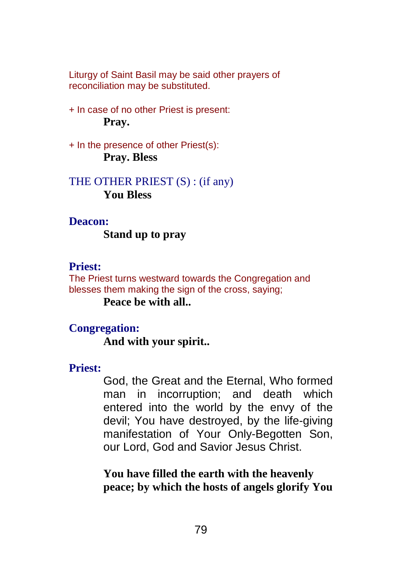Liturgy of Saint Basil may be said other prayers of reconciliation may be substituted.

+ In case of no other Priest is present: **Pray.**

+ In the presence of other Priest(s): **Pray. Bless**

THE OTHER PRIEST (S) : (if any) **You Bless**

#### **Deacon:**

**Stand up to pray**

## **Priest:**

The Priest turns westward towards the Congregation and blesses them making the sign of the cross, saying;

**Peace be with all..**

### **Congregation:**

**And with your spirit..**

#### **Priest:**

God, the Great and the Eternal, Who formed man in incorruption; and death which entered into the world by the envy of the devil; You have destroyed, by the life-giving manifestation of Your Only-Begotten Son, our Lord, God and Savior Jesus Christ.

**You have filled the earth with the heavenly peace; by which the hosts of angels glorify You**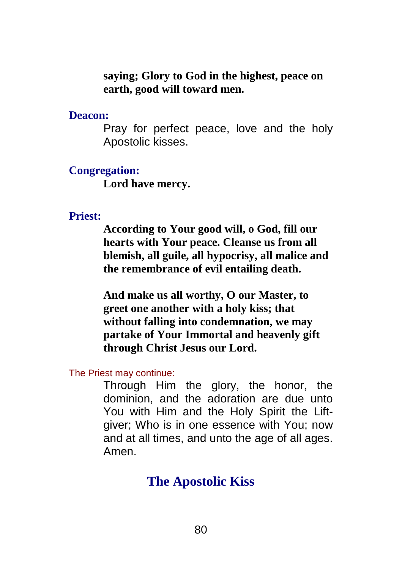**saying; Glory to God in the highest, peace on earth, good will toward men.**

**Deacon:**

Pray for perfect peace, love and the holy Apostolic kisses.

#### **Congregation:**

**Lord have mercy.**

#### **Priest:**

**According to Your good will, o God, fill our hearts with Your peace. Cleanse us from all blemish, all guile, all hypocrisy, all malice and the remembrance of evil entailing death.**

**And make us all worthy, O our Master, to greet one another with a holy kiss; that without falling into condemnation, we may partake of Your Immortal and heavenly gift through Christ Jesus our Lord.**

The Priest may continue:

Through Him the glory, the honor, the dominion, and the adoration are due unto You with Him and the Holy Spirit the Liftgiver; Who is in one essence with You; now and at all times, and unto the age of all ages. Amen.

## **The Apostolic Kiss**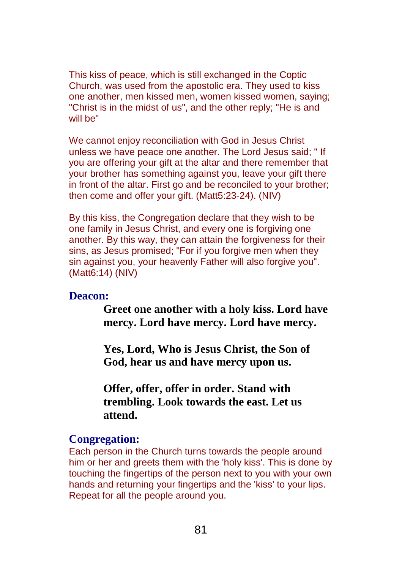This kiss of peace, which is still exchanged in the Coptic Church, was used from the apostolic era. They used to kiss one another, men kissed men, women kissed women, saying; "Christ is in the midst of us", and the other reply; "He is and will be"

We cannot enjoy reconciliation with God in Jesus Christ unless we have peace one another. The Lord Jesus said; " If you are offering your gift at the altar and there remember that your brother has something against you, leave your gift there in front of the altar. First go and be reconciled to your brother; then come and offer your gift. (Matt5:23-24). (NIV)

By this kiss, the Congregation declare that they wish to be one family in Jesus Christ, and every one is forgiving one another. By this way, they can attain the forgiveness for their sins, as Jesus promised; "For if you forgive men when they sin against you, your heavenly Father will also forgive you". (Matt6:14) (NIV)

#### **Deacon:**

**Greet one another with a holy kiss. Lord have mercy. Lord have mercy. Lord have mercy.**

**Yes, Lord, Who is Jesus Christ, the Son of God, hear us and have mercy upon us.**

**Offer, offer, offer in order. Stand with trembling. Look towards the east. Let us attend.**

#### **Congregation:**

Each person in the Church turns towards the people around him or her and greets them with the 'holy kiss'. This is done by touching the fingertips of the person next to you with your own hands and returning your fingertips and the 'kiss' to your lips. Repeat for all the people around you.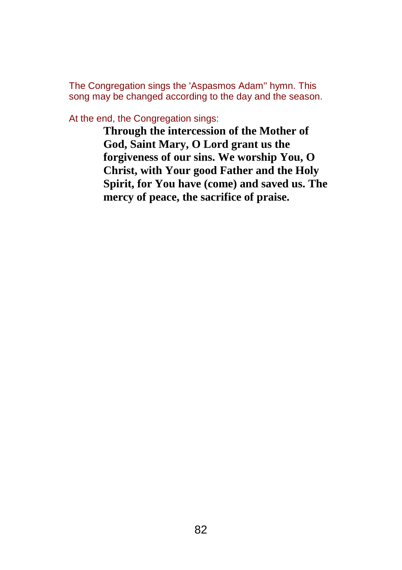The Congregation sings the 'Aspasmos Adam'' hymn. This song may be changed according to the day and the season.

At the end, the Congregation sings:

**Through the intercession of the Mother of God, Saint Mary, O Lord grant us the forgiveness of our sins. We worship You, O Christ, with Your good Father and the Holy Spirit, for You have (come) and saved us. The mercy of peace, the sacrifice of praise.**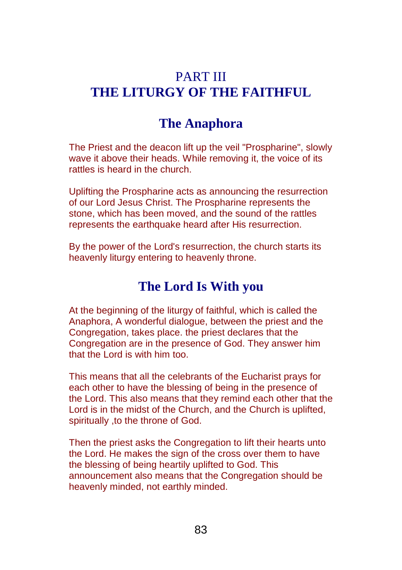# PART III **THE LITURGY OF THE FAITHFUL**

## **The Anaphora**

The Priest and the deacon lift up the veil "Prospharine", slowly wave it above their heads. While removing it, the voice of its rattles is heard in the church.

Uplifting the Prospharine acts as announcing the resurrection of our Lord Jesus Christ. The Prospharine represents the stone, which has been moved, and the sound of the rattles represents the earthquake heard after His resurrection.

By the power of the Lord's resurrection, the church starts its heavenly liturgy entering to heavenly throne.

## **The Lord Is With you**

At the beginning of the liturgy of faithful, which is called the Anaphora, A wonderful dialogue, between the priest and the Congregation, takes place. the priest declares that the Congregation are in the presence of God. They answer him that the Lord is with him too.

This means that all the celebrants of the Eucharist prays for each other to have the blessing of being in the presence of the Lord. This also means that they remind each other that the Lord is in the midst of the Church, and the Church is uplifted, spiritually ,to the throne of God.

Then the priest asks the Congregation to lift their hearts unto the Lord. He makes the sign of the cross over them to have the blessing of being heartily uplifted to God. This announcement also means that the Congregation should be heavenly minded, not earthly minded.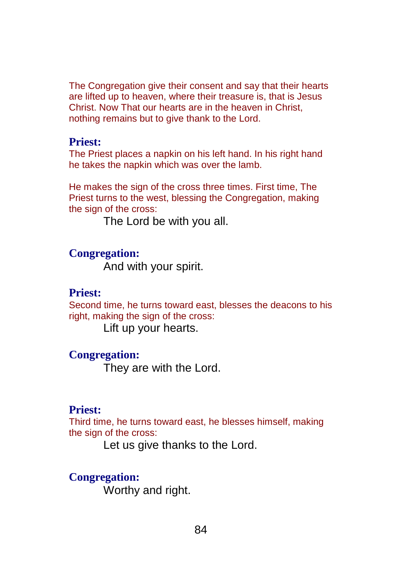The Congregation give their consent and say that their hearts are lifted up to heaven, where their treasure is, that is Jesus Christ. Now That our hearts are in the heaven in Christ, nothing remains but to give thank to the Lord.

#### **Priest:**

The Priest places a napkin on his left hand. In his right hand he takes the napkin which was over the lamb.

He makes the sign of the cross three times. First time, The Priest turns to the west, blessing the Congregation, making the sign of the cross:

The Lord be with you all.

#### **Congregation:**

And with your spirit.

#### **Priest:**

Second time, he turns toward east, blesses the deacons to his right, making the sign of the cross:

Lift up your hearts.

## **Congregation:**

They are with the Lord.

### **Priest:**

Third time, he turns toward east, he blesses himself, making the sign of the cross:

Let us give thanks to the Lord.

### **Congregation:**

Worthy and right.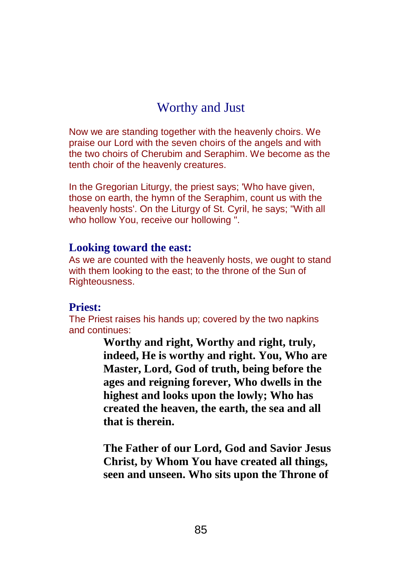# Worthy and Just

Now we are standing together with the heavenly choirs. We praise our Lord with the seven choirs of the angels and with the two choirs of Cherubim and Seraphim. We become as the tenth choir of the heavenly creatures.

In the Gregorian Liturgy, the priest says: 'Who have given, those on earth, the hymn of the Seraphim, count us with the heavenly hosts'. On the Liturgy of St. Cyril, he says; "With all who hollow You, receive our hollowing ".

#### **Looking toward the east:**

As we are counted with the heavenly hosts, we ought to stand with them looking to the east; to the throne of the Sun of Righteousness.

### **Priest:**

The Priest raises his hands up; covered by the two napkins and continues:

> **Worthy and right, Worthy and right, truly, indeed, He is worthy and right. You, Who are Master, Lord, God of truth, being before the ages and reigning forever, Who dwells in the highest and looks upon the lowly; Who has created the heaven, the earth, the sea and all that is therein.**

**The Father of our Lord, God and Savior Jesus Christ, by Whom You have created all things, seen and unseen. Who sits upon the Throne of**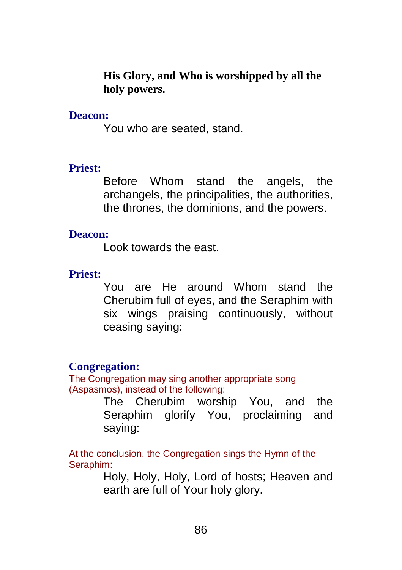**His Glory, and Who is worshipped by all the holy powers.**

### **Deacon:**

You who are seated, stand.

## **Priest:**

Before Whom stand the angels, the archangels, the principalities, the authorities, the thrones, the dominions, and the powers.

## **Deacon:**

Look towards the east.

## **Priest:**

You are He around Whom stand the Cherubim full of eyes, and the Seraphim with six wings praising continuously, without ceasing saying:

## **Congregation:**

The Congregation may sing another appropriate song (Aspasmos), instead of the following:

> The Cherubim worship You, and the Seraphim glorify You, proclaiming and saying:

At the conclusion, the Congregation sings the Hymn of the Seraphim:

Holy, Holy, Holy, Lord of hosts; Heaven and earth are full of Your holy glory.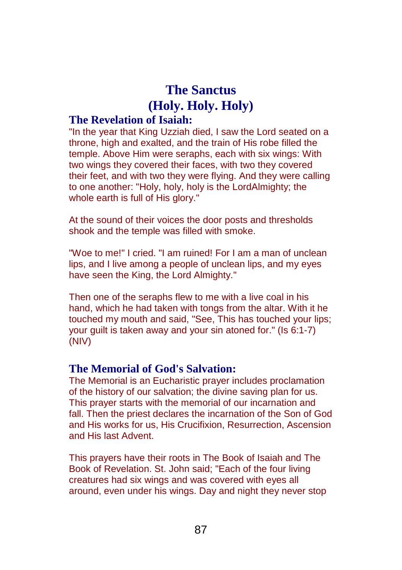# **The Sanctus (Holy. Holy. Holy)**

### **The Revelation of Isaiah:**

"In the year that King Uzziah died, I saw the Lord seated on a throne, high and exalted, and the train of His robe filled the temple. Above Him were seraphs, each with six wings: With two wings they covered their faces, with two they covered their feet, and with two they were flying. And they were calling to one another: "Holy, holy, holy is the LordAlmighty; the whole earth is full of His glory."

At the sound of their voices the door posts and thresholds shook and the temple was filled with smoke.

"Woe to me!" I cried. "I am ruined! For I am a man of unclean lips, and I live among a people of unclean lips, and my eyes have seen the King, the Lord Almighty."

Then one of the seraphs flew to me with a live coal in his hand, which he had taken with tongs from the altar. With it he touched my mouth and said, "See, This has touched your lips; your guilt is taken away and your sin atoned for." (Is 6:1-7) (NIV)

### **The Memorial of God's Salvation:**

The Memorial is an Eucharistic prayer includes proclamation of the history of our salvation; the divine saving plan for us. This prayer starts with the memorial of our incarnation and fall. Then the priest declares the incarnation of the Son of God and His works for us, His Crucifixion, Resurrection, Ascension and His last Advent.

This prayers have their roots in The Book of Isaiah and The Book of Revelation. St. John said; "Each of the four living creatures had six wings and was covered with eyes all around, even under his wings. Day and night they never stop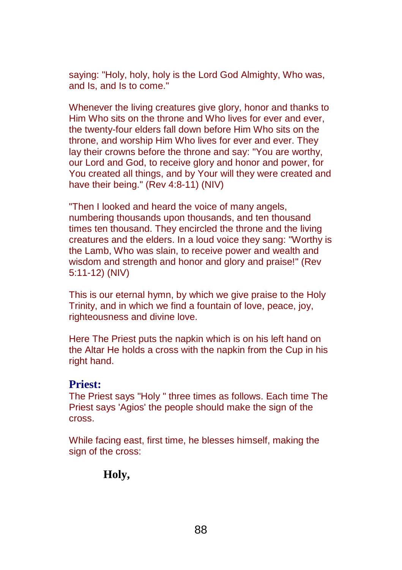saying: "Holy, holy, holy is the Lord God Almighty, Who was, and Is, and Is to come."

Whenever the living creatures give glory, honor and thanks to Him Who sits on the throne and Who lives for ever and ever, the twenty-four elders fall down before Him Who sits on the throne, and worship Him Who lives for ever and ever. They lay their crowns before the throne and say: "You are worthy, our Lord and God, to receive glory and honor and power, for You created all things, and by Your will they were created and have their being." (Rev 4:8-11) (NIV)

"Then I looked and heard the voice of many angels, numbering thousands upon thousands, and ten thousand times ten thousand. They encircled the throne and the living creatures and the elders. In a loud voice they sang: "Worthy is the Lamb, Who was slain, to receive power and wealth and wisdom and strength and honor and glory and praise!" (Rev 5:11-12) (NIV)

This is our eternal hymn, by which we give praise to the Holy Trinity, and in which we find a fountain of love, peace, joy, righteousness and divine love.

Here The Priest puts the napkin which is on his left hand on the Altar He holds a cross with the napkin from the Cup in his right hand.

#### **Priest:**

The Priest says "Holy " three times as follows. Each time The Priest says 'Agios' the people should make the sign of the cross.

While facing east, first time, he blesses himself, making the sign of the cross:

**Holy,**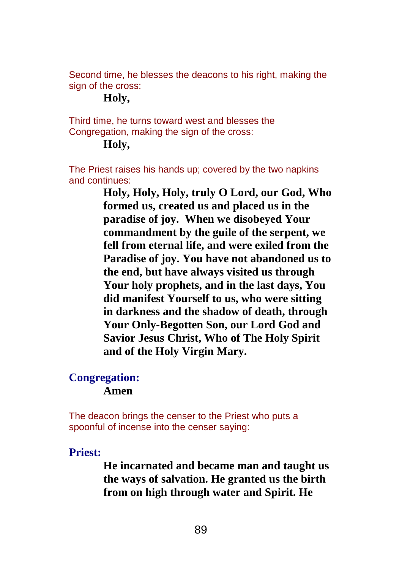Second time, he blesses the deacons to his right, making the sign of the cross:

## **Holy,**

Third time, he turns toward west and blesses the Congregation, making the sign of the cross:

## **Holy,**

The Priest raises his hands up; covered by the two napkins and continues:

> **Holy, Holy, Holy, truly O Lord, our God, Who formed us, created us and placed us in the paradise of joy. When we disobeyed Your commandment by the guile of the serpent, we fell from eternal life, and were exiled from the Paradise of joy. You have not abandoned us to the end, but have always visited us through Your holy prophets, and in the last days, You did manifest Yourself to us, who were sitting in darkness and the shadow of death, through Your Only-Begotten Son, our Lord God and Savior Jesus Christ, Who of The Holy Spirit and of the Holy Virgin Mary.**

#### **Congregation: Amen**

The deacon brings the censer to the Priest who puts a spoonful of incense into the censer saying:

## **Priest:**

**He incarnated and became man and taught us the ways of salvation. He granted us the birth from on high through water and Spirit. He**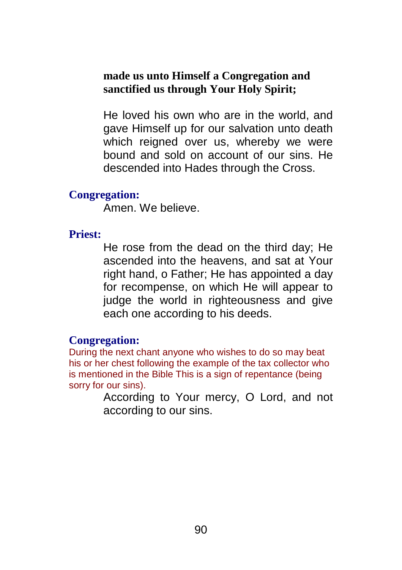## **made us unto Himself a Congregation and sanctified us through Your Holy Spirit;**

He loved his own who are in the world, and gave Himself up for our salvation unto death which reigned over us, whereby we were bound and sold on account of our sins. He descended into Hades through the Cross.

### **Congregation:**

Amen. We believe.

#### **Priest:**

He rose from the dead on the third day; He ascended into the heavens, and sat at Your right hand, o Father; He has appointed a day for recompense, on which He will appear to judge the world in righteousness and give each one according to his deeds.

### **Congregation:**

During the next chant anyone who wishes to do so may beat his or her chest following the example of the tax collector who is mentioned in the Bible This is a sign of repentance (being sorry for our sins).

> According to Your mercy, O Lord, and not according to our sins.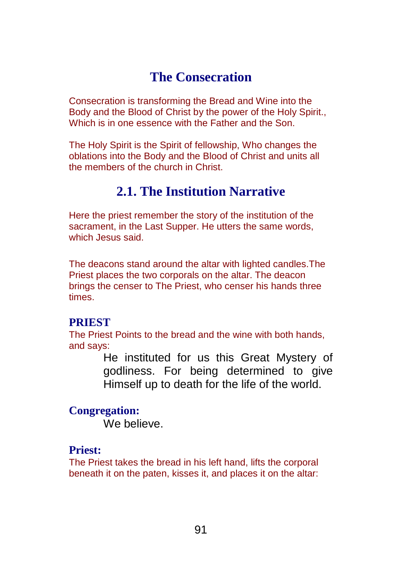# **The Consecration**

Consecration is transforming the Bread and Wine into the Body and the Blood of Christ by the power of the Holy Spirit., Which is in one essence with the Father and the Son.

The Holy Spirit is the Spirit of fellowship, Who changes the oblations into the Body and the Blood of Christ and units all the members of the church in Christ.

# **2.1. The Institution Narrative**

Here the priest remember the story of the institution of the sacrament, in the Last Supper. He utters the same words, which Jesus said.

The deacons stand around the altar with lighted candles.The Priest places the two corporals on the altar. The deacon brings the censer to The Priest, who censer his hands three times.

### **PRIEST**

The Priest Points to the bread and the wine with both hands, and says:

> He instituted for us this Great Mystery of godliness. For being determined to give Himself up to death for the life of the world.

## **Congregation:**

We believe.

## **Priest:**

The Priest takes the bread in his left hand, lifts the corporal beneath it on the paten, kisses it, and places it on the altar: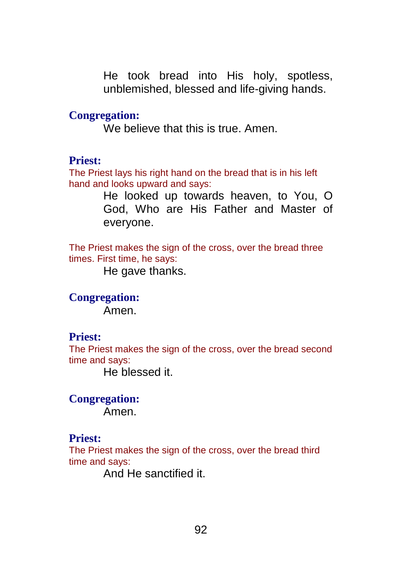He took bread into His holy, spotless, unblemished, blessed and life-giving hands.

### **Congregation:**

We believe that this is true. Amen.

### **Priest:**

The Priest lays his right hand on the bread that is in his left hand and looks upward and says:

> He looked up towards heaven, to You, O God, Who are His Father and Master of everyone.

The Priest makes the sign of the cross, over the bread three times. First time, he says:

He gave thanks.

**Congregation:** Amen.

#### **Priest:**

The Priest makes the sign of the cross, over the bread second time and says:

He blessed it.

**Congregation:** Amen.

#### **Priest:**

The Priest makes the sign of the cross, over the bread third time and says:

And He sanctified it.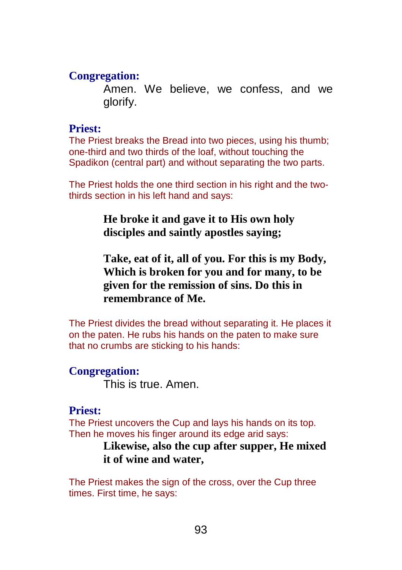#### **Congregation:**

Amen. We believe, we confess, and we glorify.

#### **Priest:**

The Priest breaks the Bread into two pieces, using his thumb; one-third and two thirds of the loaf, without touching the Spadikon (central part) and without separating the two parts.

The Priest holds the one third section in his right and the twothirds section in his left hand and says:

## **He broke it and gave it to His own holy disciples and saintly apostles saying;**

**Take, eat of it, all of you. For this is my Body, Which is broken for you and for many, to be given for the remission of sins. Do this in remembrance of Me.**

The Priest divides the bread without separating it. He places it on the paten. He rubs his hands on the paten to make sure that no crumbs are sticking to his hands:

#### **Congregation:**

This is true. Amen.

#### **Priest:**

The Priest uncovers the Cup and lays his hands on its top. Then he moves his finger around its edge arid says:

## **Likewise, also the cup after supper, He mixed it of wine and water,**

The Priest makes the sign of the cross, over the Cup three times. First time, he says: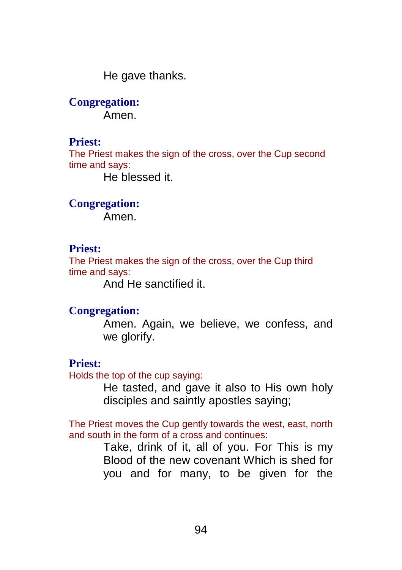He gave thanks.

**Congregation:** Amen.

#### **Priest:**

The Priest makes the sign of the cross, over the Cup second time and says:

He blessed it.

**Congregation:**

Amen.

### **Priest:**

The Priest makes the sign of the cross, over the Cup third time and says:

And He sanctified it.

#### **Congregation:**

Amen. Again, we believe, we confess, and we glorify.

#### **Priest:**

Holds the top of the cup saying:

He tasted, and gave it also to His own holy disciples and saintly apostles saying;

The Priest moves the Cup gently towards the west, east, north and south in the form of a cross and continues:

> Take, drink of it, all of you. For This is my Blood of the new covenant Which is shed for you and for many, to be given for the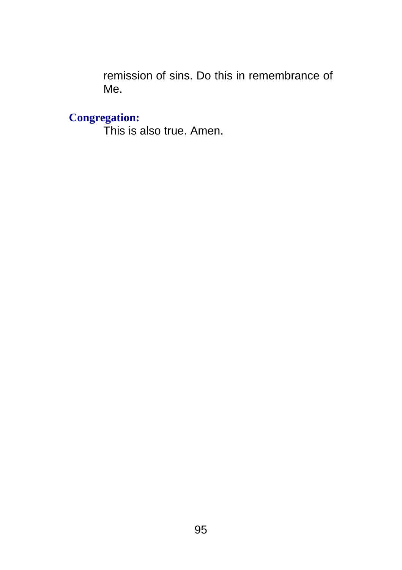remission of sins. Do this in remembrance of Me.

## **Congregation:**

This is also true. Amen.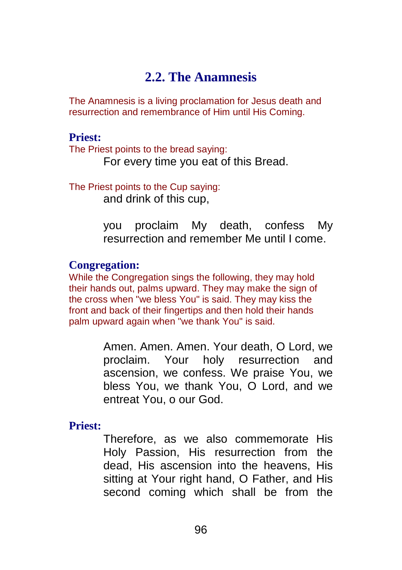## **2.2. The Anamnesis**

The Anamnesis is a living proclamation for Jesus death and resurrection and remembrance of Him until His Coming.

#### **Priest:**

The Priest points to the bread saying: For every time you eat of this Bread.

The Priest points to the Cup saying: and drink of this cup,

> you proclaim My death, confess My resurrection and remember Me until I come.

### **Congregation:**

While the Congregation sings the following, they may hold their hands out, palms upward. They may make the sign of the cross when "we bless You" is said. They may kiss the front and back of their fingertips and then hold their hands palm upward again when "we thank You" is said.

> Amen. Amen. Amen. Your death, O Lord, we proclaim. Your holy resurrection and ascension, we confess. We praise You, we bless You, we thank You, O Lord, and we entreat You, o our God.

**Priest:**

Therefore, as we also commemorate His Holy Passion, His resurrection from the dead, His ascension into the heavens, His sitting at Your right hand, O Father, and His second coming which shall be from the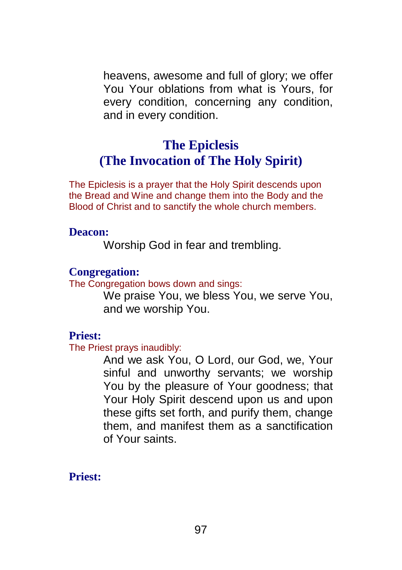heavens, awesome and full of glory; we offer You Your oblations from what is Yours, for every condition, concerning any condition, and in every condition.

# **The Epiclesis (The Invocation of The Holy Spirit)**

The Epiclesis is a prayer that the Holy Spirit descends upon the Bread and Wine and change them into the Body and the Blood of Christ and to sanctify the whole church members.

## **Deacon:**

Worship God in fear and trembling.

## **Congregation:**

The Congregation bows down and sings:

We praise You, we bless You, we serve You, and we worship You.

## **Priest:**

The Priest prays inaudibly:

And we ask You, O Lord, our God, we, Your sinful and unworthy servants; we worship You by the pleasure of Your goodness; that Your Holy Spirit descend upon us and upon these gifts set forth, and purify them, change them, and manifest them as a sanctification of Your saints.

**Priest:**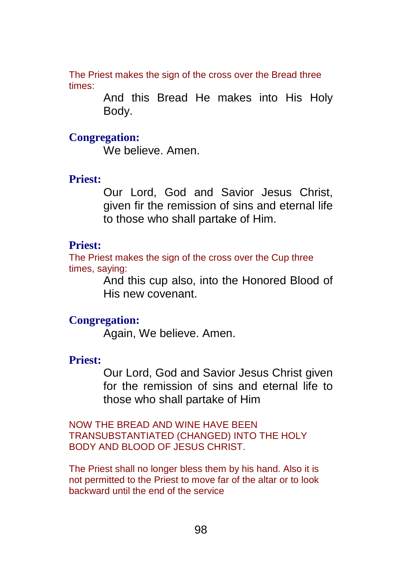The Priest makes the sign of the cross over the Bread three times:

> And this Bread He makes into His Holy Body.

### **Congregation:**

We believe. Amen.

#### **Priest:**

Our Lord, God and Savior Jesus Christ, given fir the remission of sins and eternal life to those who shall partake of Him.

#### **Priest:**

The Priest makes the sign of the cross over the Cup three times, saying:

And this cup also, into the Honored Blood of His new covenant.

#### **Congregation:**

Again, We believe. Amen.

#### **Priest:**

Our Lord, God and Savior Jesus Christ given for the remission of sins and eternal life to those who shall partake of Him

NOW THE BREAD AND WINE HAVE BEEN TRANSUBSTANTIATED (CHANGED) INTO THE HOLY BODY AND BLOOD OF JESUS CHRIST.

The Priest shall no longer bless them by his hand. Also it is not permitted to the Priest to move far of the altar or to look backward until the end of the service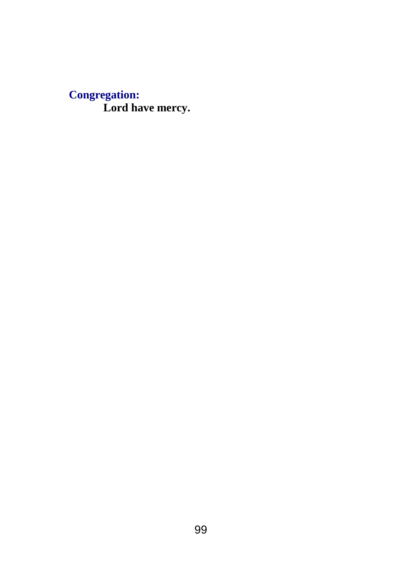## **Congregation: Lord have mercy.**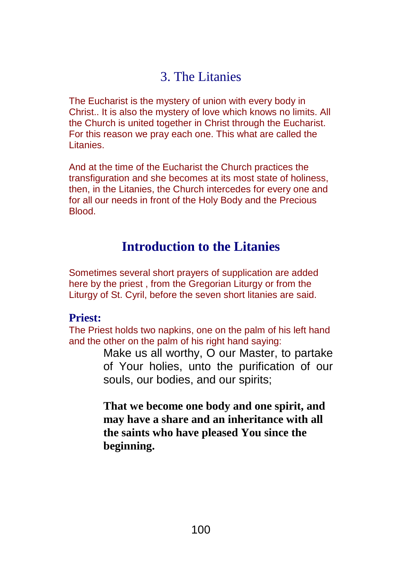# 3. The Litanies

The Eucharist is the mystery of union with every body in Christ.. It is also the mystery of love which knows no limits. All the Church is united together in Christ through the Eucharist. For this reason we pray each one. This what are called the Litanies.

And at the time of the Eucharist the Church practices the transfiguration and she becomes at its most state of holiness, then, in the Litanies, the Church intercedes for every one and for all our needs in front of the Holy Body and the Precious Blood.

## **Introduction to the Litanies**

Sometimes several short prayers of supplication are added here by the priest , from the Gregorian Liturgy or from the Liturgy of St. Cyril, before the seven short litanies are said.

## **Priest:**

The Priest holds two napkins, one on the palm of his left hand and the other on the palm of his right hand saying:

> Make us all worthy, O our Master, to partake of Your holies, unto the purification of our souls, our bodies, and our spirits;

**That we become one body and one spirit, and may have a share and an inheritance with all the saints who have pleased You since the beginning.**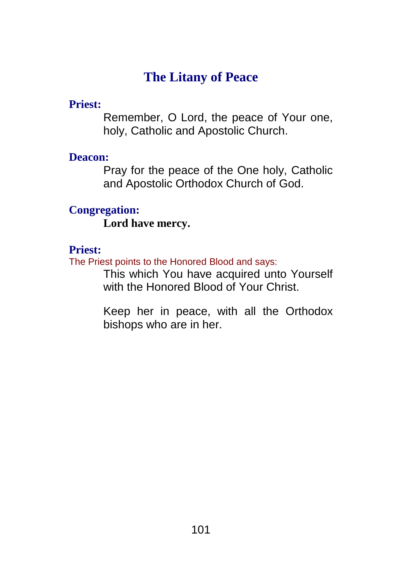# **The Litany of Peace**

## **Priest:**

Remember, O Lord, the peace of Your one, holy, Catholic and Apostolic Church.

## **Deacon:**

Pray for the peace of the One holy, Catholic and Apostolic Orthodox Church of God.

## **Congregation:**

**Lord have mercy.**

## **Priest:**

The Priest points to the Honored Blood and says:

This which You have acquired unto Yourself with the Honored Blood of Your Christ.

Keep her in peace, with all the Orthodox bishops who are in her.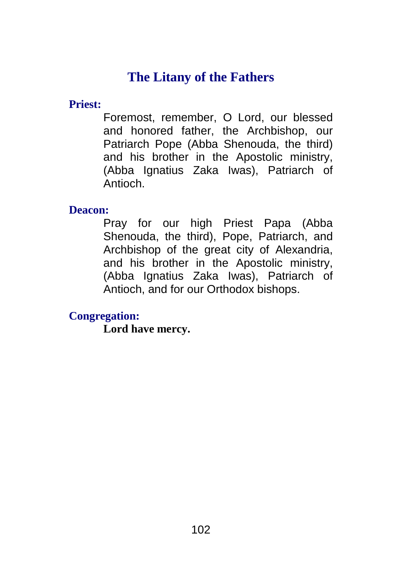# **The Litany of the Fathers**

**Priest:**

Foremost, remember, O Lord, our blessed and honored father, the Archbishop, our Patriarch Pope (Abba Shenouda, the third) and his brother in the Apostolic ministry, (Abba Ignatius Zaka Iwas), Patriarch of Antioch.

**Deacon:**

Pray for our high Priest Papa (Abba Shenouda, the third), Pope, Patriarch, and Archbishop of the great city of Alexandria, and his brother in the Apostolic ministry, (Abba Ignatius Zaka Iwas), Patriarch of Antioch, and for our Orthodox bishops.

**Congregation:**

**Lord have mercy.**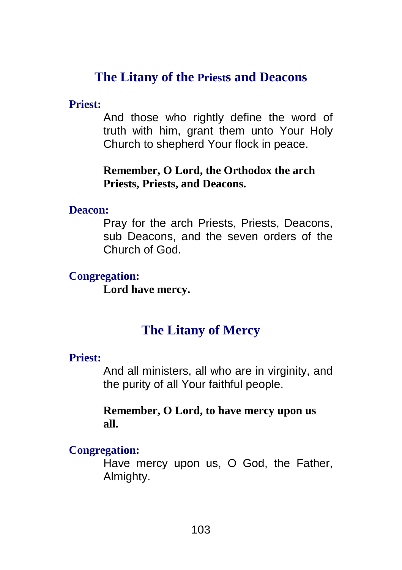# **The Litany of the Priests and Deacons**

## **Priest:**

And those who rightly define the word of truth with him, grant them unto Your Holy Church to shepherd Your flock in peace.

## **Remember, O Lord, the Orthodox the arch Priests, Priests, and Deacons.**

## **Deacon:**

Pray for the arch Priests, Priests, Deacons, sub Deacons, and the seven orders of the Church of God.

## **Congregation:**

**Lord have mercy.**

# **The Litany of Mercy**

## **Priest:**

And all ministers, all who are in virginity, and the purity of all Your faithful people.

## **Remember, O Lord, to have mercy upon us all.**

## **Congregation:**

Have mercy upon us, O God, the Father, Almighty.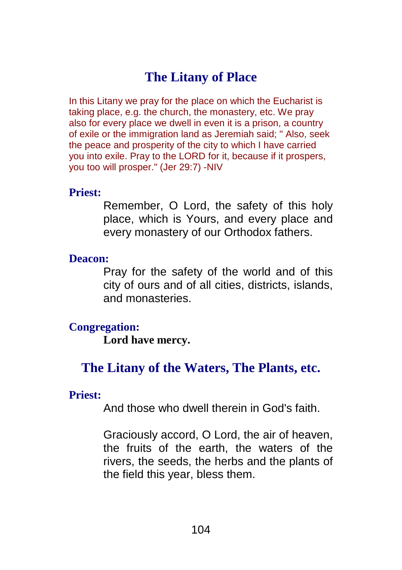# **The Litany of Place**

In this Litany we pray for the place on which the Eucharist is taking place, e.g. the church, the monastery, etc. We pray also for every place we dwell in even it is a prison, a country of exile or the immigration land as Jeremiah said; " Also, seek the peace and prosperity of the city to which I have carried you into exile. Pray to the LORD for it, because if it prospers, you too will prosper." (Jer 29:7) -NIV

### **Priest:**

Remember, O Lord, the safety of this holy place, which is Yours, and every place and every monastery of our Orthodox fathers.

#### **Deacon:**

Pray for the safety of the world and of this city of ours and of all cities, districts, islands, and monasteries.

### **Congregation:**

**Lord have mercy.**

## **The Litany of the Waters, The Plants, etc.**

## **Priest:**

And those who dwell therein in God's faith.

Graciously accord, O Lord, the air of heaven, the fruits of the earth, the waters of the rivers, the seeds, the herbs and the plants of the field this year, bless them.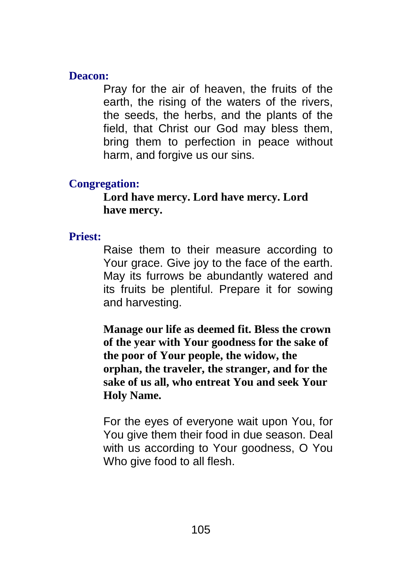## **Deacon:**

Pray for the air of heaven, the fruits of the earth, the rising of the waters of the rivers, the seeds, the herbs, and the plants of the field, that Christ our God may bless them, bring them to perfection in peace without harm, and forgive us our sins.

## **Congregation:**

**Lord have mercy. Lord have mercy. Lord have mercy.**

## **Priest:**

Raise them to their measure according to Your grace. Give joy to the face of the earth. May its furrows be abundantly watered and its fruits be plentiful. Prepare it for sowing and harvesting.

**Manage our life as deemed fit. Bless the crown of the year with Your goodness for the sake of the poor of Your people, the widow, the orphan, the traveler, the stranger, and for the sake of us all, who entreat You and seek Your Holy Name.**

For the eyes of everyone wait upon You, for You give them their food in due season. Deal with us according to Your goodness, O You Who give food to all flesh.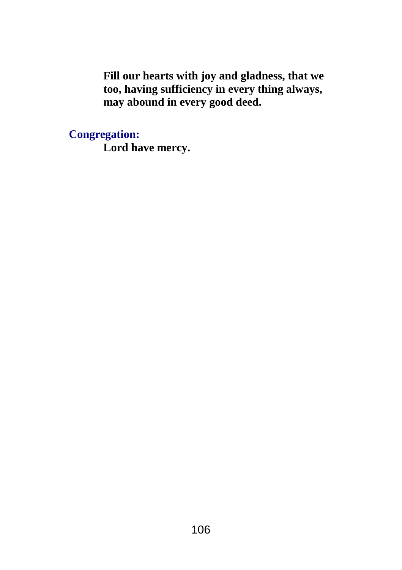**Fill our hearts with joy and gladness, that we too, having sufficiency in every thing always, may abound in every good deed.**

**Congregation:**

**Lord have mercy.**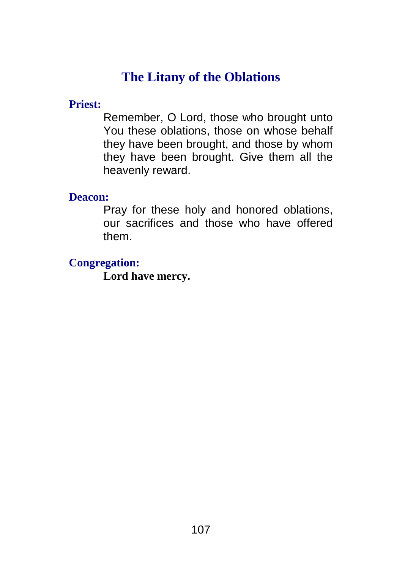# **The Litany of the Oblations**

## **Priest:**

Remember, O Lord, those who brought unto You these oblations, those on whose behalf they have been brought, and those by whom they have been brought. Give them all the heavenly reward.

## **Deacon:**

Pray for these holy and honored oblations, our sacrifices and those who have offered them.

## **Congregation:**

**Lord have mercy.**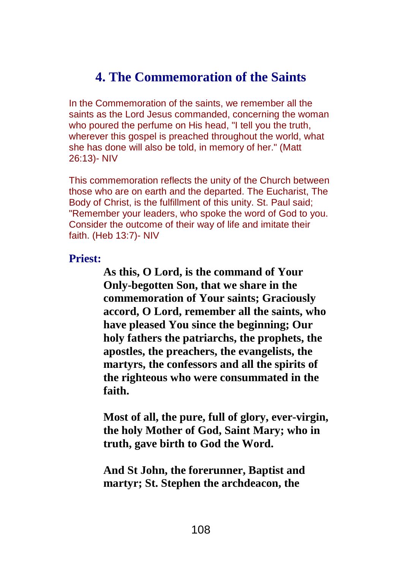# **4. The Commemoration of the Saints**

In the Commemoration of the saints, we remember all the saints as the Lord Jesus commanded, concerning the woman who poured the perfume on His head, "I tell you the truth, wherever this gospel is preached throughout the world, what she has done will also be told, in memory of her." (Matt 26:13)- NIV

This commemoration reflects the unity of the Church between those who are on earth and the departed. The Eucharist, The Body of Christ, is the fulfillment of this unity. St. Paul said; "Remember your leaders, who spoke the word of God to you. Consider the outcome of their way of life and imitate their faith. (Heb 13:7)- NIV

#### **Priest:**

**As this, O Lord, is the command of Your Only-begotten Son, that we share in the commemoration of Your saints; Graciously accord, O Lord, remember all the saints, who have pleased You since the beginning; Our holy fathers the patriarchs, the prophets, the apostles, the preachers, the evangelists, the martyrs, the confessors and all the spirits of the righteous who were consummated in the faith.**

**Most of all, the pure, full of glory, ever-virgin, the holy Mother of God, Saint Mary; who in truth, gave birth to God the Word.**

**And St John, the forerunner, Baptist and martyr; St. Stephen the archdeacon, the**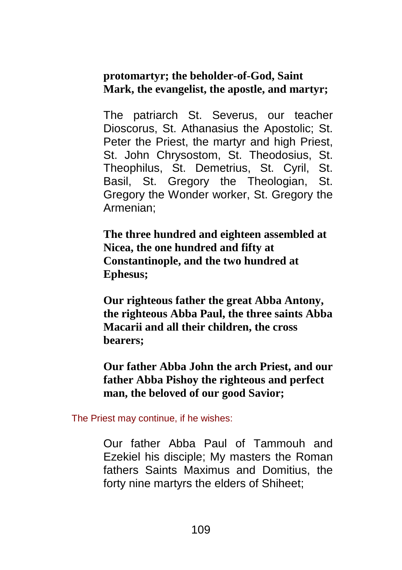## **protomartyr; the beholder-of-God, Saint Mark, the evangelist, the apostle, and martyr;**

The patriarch St. Severus, our teacher Dioscorus, St. Athanasius the Apostolic; St. Peter the Priest, the martyr and high Priest, St. John Chrysostom, St. Theodosius, St. Theophilus, St. Demetrius, St. Cyril, St. Basil, St. Gregory the Theologian, St. Gregory the Wonder worker, St. Gregory the Armenian;

**The three hundred and eighteen assembled at Nicea, the one hundred and fifty at Constantinople, and the two hundred at Ephesus;**

**Our righteous father the great Abba Antony, the righteous Abba Paul, the three saints Abba Macarii and all their children, the cross bearers;**

**Our father Abba John the arch Priest, and our father Abba Pishoy the righteous and perfect man, the beloved of our good Savior;**

The Priest may continue, if he wishes:

Our father Abba Paul of Tammouh and Ezekiel his disciple; My masters the Roman fathers Saints Maximus and Domitius, the forty nine martyrs the elders of Shiheet;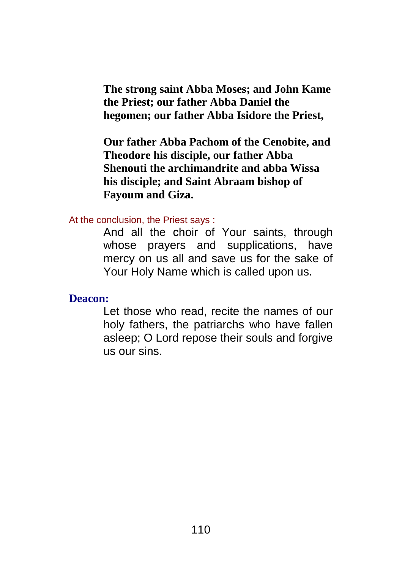**The strong saint Abba Moses; and John Kame the Priest; our father Abba Daniel the hegomen; our father Abba Isidore the Priest,**

**Our father Abba Pachom of the Cenobite, and Theodore his disciple, our father Abba Shenouti the archimandrite and abba Wissa his disciple; and Saint Abraam bishop of Fayoum and Giza.**

At the conclusion, the Priest says :

And all the choir of Your saints, through whose prayers and supplications, have mercy on us all and save us for the sake of Your Holy Name which is called upon us.

**Deacon:**

Let those who read, recite the names of our holy fathers, the patriarchs who have fallen asleep; O Lord repose their souls and forgive us our sins.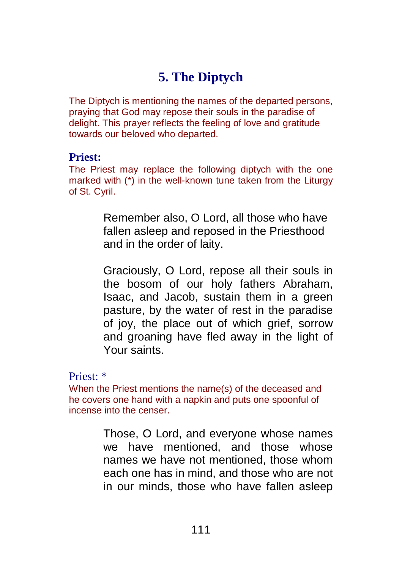# **5. The Diptych**

The Diptych is mentioning the names of the departed persons, praying that God may repose their souls in the paradise of delight. This prayer reflects the feeling of love and gratitude towards our beloved who departed.

#### **Priest:**

The Priest may replace the following diptych with the one marked with (\*) in the well-known tune taken from the Liturgy of St. Cyril.

> Remember also, O Lord, all those who have fallen asleep and reposed in the Priesthood and in the order of laity.

Graciously, O Lord, repose all their souls in the bosom of our holy fathers Abraham, Isaac, and Jacob, sustain them in a green pasture, by the water of rest in the paradise of joy, the place out of which grief, sorrow and groaning have fled away in the light of Your saints.

Priest: \*

When the Priest mentions the name(s) of the deceased and he covers one hand with a napkin and puts one spoonful of incense into the censer.

> Those, O Lord, and everyone whose names we have mentioned, and those whose names we have not mentioned, those whom each one has in mind, and those who are not in our minds, those who have fallen asleep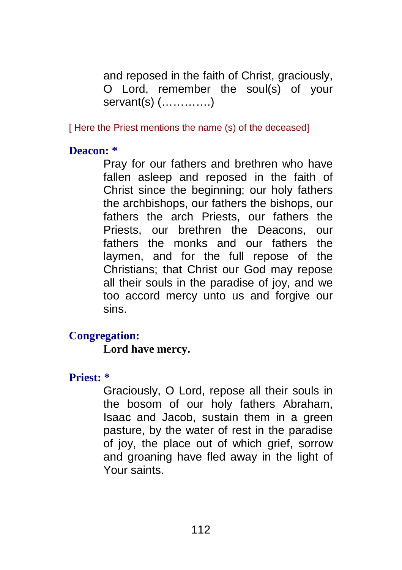and reposed in the faith of Christ, graciously, O Lord, remember the soul(s) of your servant(s) (………….)

[ Here the Priest mentions the name (s) of the deceased]

**Deacon: \***

Pray for our fathers and brethren who have fallen asleep and reposed in the faith of Christ since the beginning; our holy fathers the archbishops, our fathers the bishops, our fathers the arch Priests, our fathers the Priests, our brethren the Deacons, our fathers the monks and our fathers the laymen, and for the full repose of the Christians; that Christ our God may repose all their souls in the paradise of joy, and we too accord mercy unto us and forgive our sins.

## **Congregation:**

**Lord have mercy.**

## **Priest: \***

Graciously, O Lord, repose all their souls in the bosom of our holy fathers Abraham, Isaac and Jacob, sustain them in a green pasture, by the water of rest in the paradise of joy, the place out of which grief, sorrow and groaning have fled away in the light of Your saints.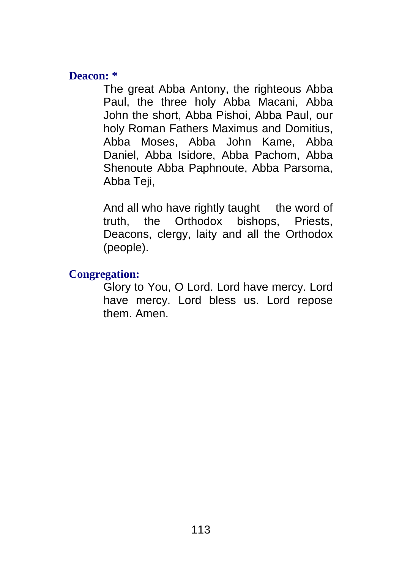#### **Deacon: \***

The great Abba Antony, the righteous Abba Paul, the three holy Abba Macani, Abba John the short, Abba Pishoi, Abba Paul, our holy Roman Fathers Maximus and Domitius, Abba Moses, Abba John Kame, Abba Daniel, Abba Isidore, Abba Pachom, Abba Shenoute Abba Paphnoute, Abba Parsoma, Abba Teji,

And all who have rightly taught the word of truth, the Orthodox bishops, Priests, Deacons, clergy, laity and all the Orthodox (people).

## **Congregation:**

Glory to You, O Lord. Lord have mercy. Lord have mercy. Lord bless us. Lord repose them. Amen.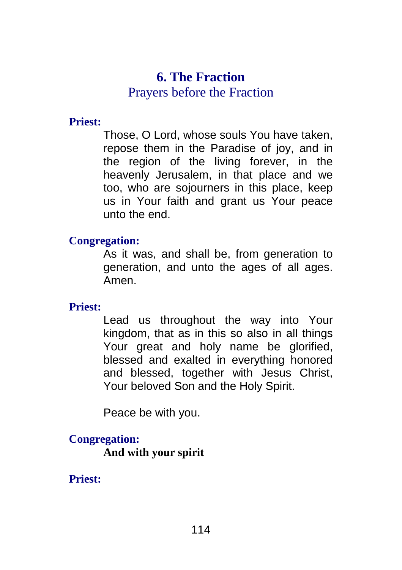# **6. The Fraction**

## Prayers before the Fraction

## **Priest:**

Those, O Lord, whose souls You have taken, repose them in the Paradise of joy, and in the region of the living forever, in the heavenly Jerusalem, in that place and we too, who are sojourners in this place, keep us in Your faith and grant us Your peace unto the end.

## **Congregation:**

As it was, and shall be, from generation to generation, and unto the ages of all ages. Amen.

## **Priest:**

Lead us throughout the way into Your kingdom, that as in this so also in all things Your great and holy name be glorified, blessed and exalted in everything honored and blessed, together with Jesus Christ, Your beloved Son and the Holy Spirit.

Peace be with you.

## **Congregation:**

**And with your spirit**

## **Priest:**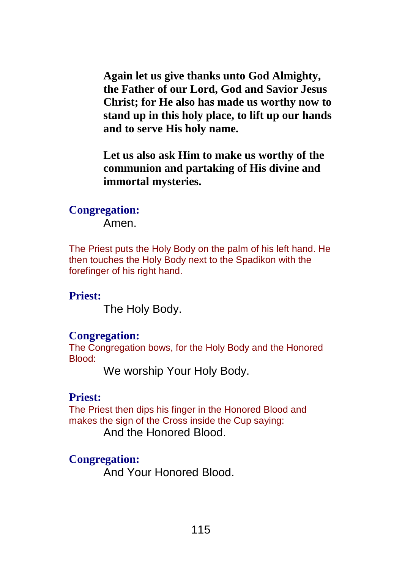**Again let us give thanks unto God Almighty, the Father of our Lord, God and Savior Jesus Christ; for He also has made us worthy now to stand up in this holy place, to lift up our hands and to serve His holy name.**

**Let us also ask Him to make us worthy of the communion and partaking of His divine and immortal mysteries.**

## **Congregation:**

Amen.

The Priest puts the Holy Body on the palm of his left hand. He then touches the Holy Body next to the Spadikon with the forefinger of his right hand.

## **Priest:**

The Holy Body.

## **Congregation:**

The Congregation bows, for the Holy Body and the Honored Blood:

We worship Your Holy Body.

## **Priest:**

The Priest then dips his finger in the Honored Blood and makes the sign of the Cross inside the Cup saying:

And the Honored Blood.

## **Congregation:**

And Your Honored Blood.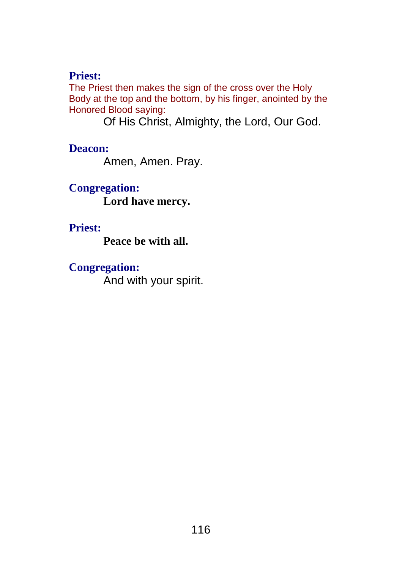## **Priest:**

The Priest then makes the sign of the cross over the Holy Body at the top and the bottom, by his finger, anointed by the Honored Blood saying:

Of His Christ, Almighty, the Lord, Our God.

**Deacon:**

Amen, Amen. Pray.

**Congregation: Lord have mercy.**

## **Priest:**

**Peace be with all.**

## **Congregation:**

And with your spirit.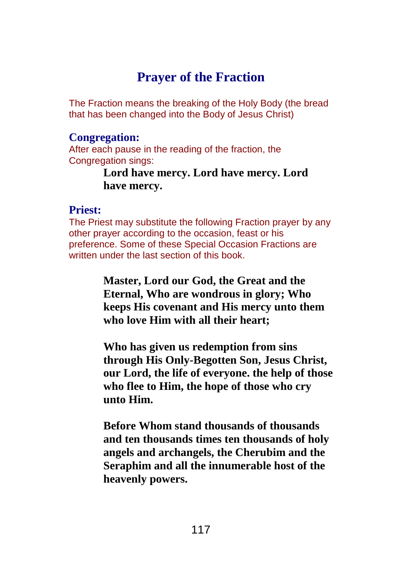## **Prayer of the Fraction**

The Fraction means the breaking of the Holy Body (the bread that has been changed into the Body of Jesus Christ)

## **Congregation:**

After each pause in the reading of the fraction, the Congregation sings:

> **Lord have mercy. Lord have mercy. Lord have mercy.**

## **Priest:**

The Priest may substitute the following Fraction prayer by any other prayer according to the occasion, feast or his preference. Some of these Special Occasion Fractions are written under the last section of this book.

> **Master, Lord our God, the Great and the Eternal, Who are wondrous in glory; Who keeps His covenant and His mercy unto them who love Him with all their heart;**

**Who has given us redemption from sins through His Only-Begotten Son, Jesus Christ, our Lord, the life of everyone. the help of those who flee to Him, the hope of those who cry unto Him.**

**Before Whom stand thousands of thousands and ten thousands times ten thousands of holy angels and archangels, the Cherubim and the Seraphim and all the innumerable host of the heavenly powers.**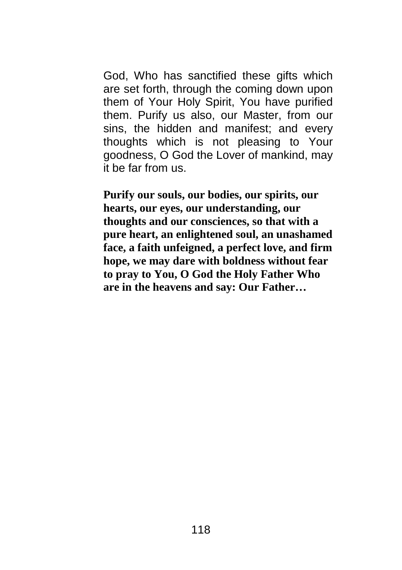God, Who has sanctified these gifts which are set forth, through the coming down upon them of Your Holy Spirit, You have purified them. Purify us also, our Master, from our sins, the hidden and manifest; and every thoughts which is not pleasing to Your goodness, O God the Lover of mankind, may it be far from us.

**Purify our souls, our bodies, our spirits, our hearts, our eyes, our understanding, our thoughts and our consciences, so that with a pure heart, an enlightened soul, an unashamed face, a faith unfeigned, a perfect love, and firm hope, we may dare with boldness without fear to pray to You, O God the Holy Father Who are in the heavens and say: Our Father…**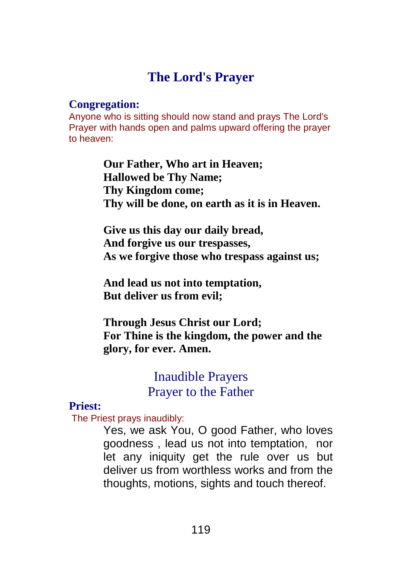# **The Lord's Prayer**

#### **Congregation:**

Anyone who is sitting should now stand and prays The Lord's Prayer with hands open and palms upward offering the prayer to heaven:

> **Our Father, Who art in Heaven; Hallowed be Thy Name; Thy Kingdom come; Thy will be done, on earth as it is in Heaven.**

> **Give us this day our daily bread, And forgive us our trespasses, As we forgive those who trespass against us;**

**And lead us not into temptation, But deliver us from evil;**

**Through Jesus Christ our Lord; For Thine is the kingdom, the power and the glory, for ever. Amen.**

## Inaudible Prayers Prayer to the Father

## **Priest:**

The Priest prays inaudibly:

Yes, we ask You, O good Father, who loves goodness , lead us not into temptation, nor let any iniquity get the rule over us but deliver us from worthless works and from the thoughts, motions, sights and touch thereof.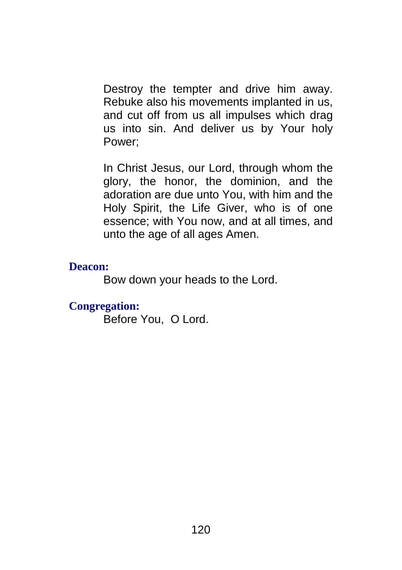Destroy the tempter and drive him away. Rebuke also his movements implanted in us, and cut off from us all impulses which drag us into sin. And deliver us by Your holy Power;

In Christ Jesus, our Lord, through whom the glory, the honor, the dominion, and the adoration are due unto You, with him and the Holy Spirit, the Life Giver, who is of one essence; with You now, and at all times, and unto the age of all ages Amen.

#### **Deacon:**

Bow down your heads to the Lord.

#### **Congregation:**

Before You, O Lord.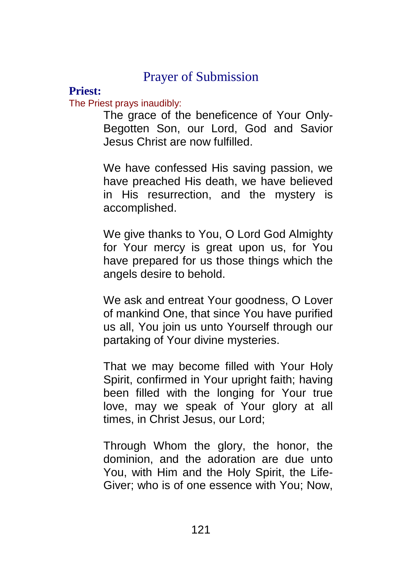## Prayer of Submission

## **Priest:**

#### The Priest prays inaudibly:

The grace of the beneficence of Your Only-Begotten Son, our Lord, God and Savior Jesus Christ are now fulfilled.

We have confessed His saving passion, we have preached His death, we have believed in His resurrection, and the mystery is accomplished.

We give thanks to You, O Lord God Almighty for Your mercy is great upon us, for You have prepared for us those things which the angels desire to behold.

We ask and entreat Your goodness, O Lover of mankind One, that since You have purified us all, You join us unto Yourself through our partaking of Your divine mysteries.

That we may become filled with Your Holy Spirit, confirmed in Your upright faith; having been filled with the longing for Your true love, may we speak of Your glory at all times, in Christ Jesus, our Lord;

Through Whom the glory, the honor, the dominion, and the adoration are due unto You, with Him and the Holy Spirit, the Life-Giver; who is of one essence with You; Now,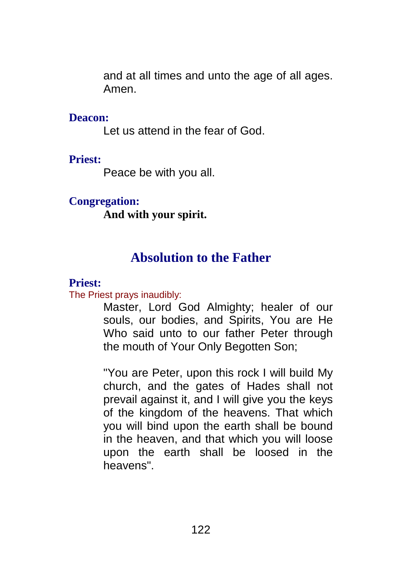and at all times and unto the age of all ages. Amen.

#### **Deacon:**

Let us attend in the fear of God.

## **Priest:**

Peace be with you all.

## **Congregation:**

**And with your spirit.**

# **Absolution to the Father**

## **Priest:**

The Priest prays inaudibly:

Master, Lord God Almighty; healer of our souls, our bodies, and Spirits, You are He Who said unto to our father Peter through the mouth of Your Only Begotten Son;

"You are Peter, upon this rock I will build My church, and the gates of Hades shall not prevail against it, and I will give you the keys of the kingdom of the heavens. That which you will bind upon the earth shall be bound in the heaven, and that which you will loose upon the earth shall be loosed in the heavens".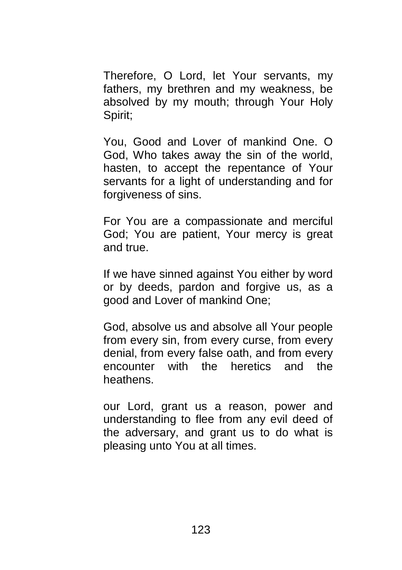Therefore, O Lord, let Your servants, my fathers, my brethren and my weakness, be absolved by my mouth; through Your Holy Spirit;

You, Good and Lover of mankind One. O God, Who takes away the sin of the world, hasten, to accept the repentance of Your servants for a light of understanding and for forgiveness of sins.

For You are a compassionate and merciful God; You are patient, Your mercy is great and true.

If we have sinned against You either by word or by deeds, pardon and forgive us, as a good and Lover of mankind One;

God, absolve us and absolve all Your people from every sin, from every curse, from every denial, from every false oath, and from every encounter with the heretics and the heathens.

our Lord, grant us a reason, power and understanding to flee from any evil deed of the adversary, and grant us to do what is pleasing unto You at all times.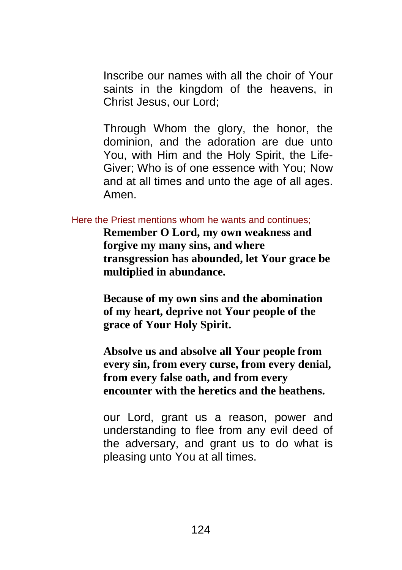Inscribe our names with all the choir of Your saints in the kingdom of the heavens, in Christ Jesus, our Lord;

Through Whom the glory, the honor, the dominion, and the adoration are due unto You, with Him and the Holy Spirit, the Life-Giver; Who is of one essence with You; Now and at all times and unto the age of all ages. Amen.

#### Here the Priest mentions whom he wants and continues;

**Remember O Lord, my own weakness and forgive my many sins, and where transgression has abounded, let Your grace be multiplied in abundance.**

**Because of my own sins and the abomination of my heart, deprive not Your people of the grace of Your Holy Spirit.**

**Absolve us and absolve all Your people from every sin, from every curse, from every denial, from every false oath, and from every encounter with the heretics and the heathens.**

our Lord, grant us a reason, power and understanding to flee from any evil deed of the adversary, and grant us to do what is pleasing unto You at all times.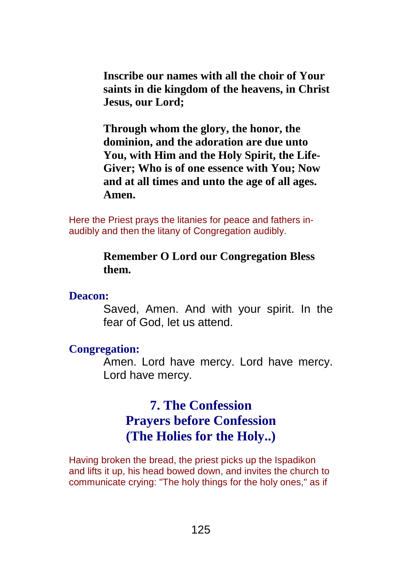**Inscribe our names with all the choir of Your saints in die kingdom of the heavens, in Christ Jesus, our Lord;**

**Through whom the glory, the honor, the dominion, and the adoration are due unto You, with Him and the Holy Spirit, the Life-Giver; Who is of one essence with You; Now and at all times and unto the age of all ages. Amen.**

Here the Priest prays the litanies for peace and fathers inaudibly and then the litany of Congregation audibly.

#### **Remember O Lord our Congregation Bless them.**

#### **Deacon:**

Saved, Amen. And with your spirit. In the fear of God, let us attend.

#### **Congregation:**

Amen. Lord have mercy. Lord have mercy. Lord have mercy.

# **7. The Confession Prayers before Confession (The Holies for the Holy..)**

Having broken the bread, the priest picks up the Ispadikon and lifts it up, his head bowed down, and invites the church to communicate crying: "The holy things for the holy ones," as if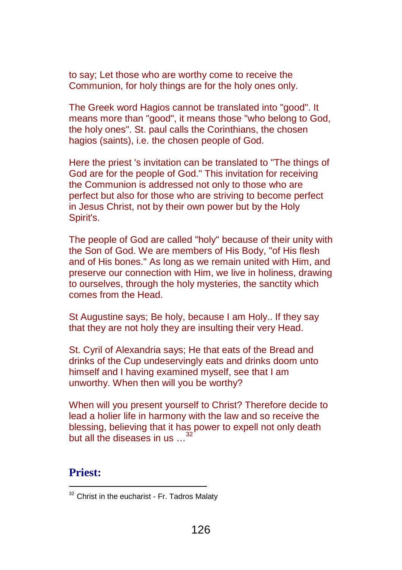to say; Let those who are worthy come to receive the Communion, for holy things are for the holy ones only.

The Greek word Hagios cannot be translated into "good". It means more than "good", it means those "who belong to God, the holy ones". St. paul calls the Corinthians, the chosen hagios (saints), i.e. the chosen people of God.

Here the priest 's invitation can be translated to "The things of God are for the people of God." This invitation for receiving the Communion is addressed not only to those who are perfect but also for those who are striving to become perfect in Jesus Christ, not by their own power but by the Holy Spirit's.

The people of God are called "holy" because of their unity with the Son of God. We are members of His Body, "of His flesh and of His bones." As long as we remain united with Him, and preserve our connection with Him, we live in holiness, drawing to ourselves, through the holy mysteries, the sanctity which comes from the Head.

St Augustine says; Be holy, because I am Holy.. If they say that they are not holy they are insulting their very Head.

St. Cyril of Alexandria says; He that eats of the Bread and drinks of the Cup undeservingly eats and drinks doom unto himself and I having examined myself, see that I am unworthy. When then will you be worthy?

When will you present yourself to Christ? Therefore decide to lead a holier life in harmony with the law and so receive the blessing, believing that it has power to expell not only death but all the diseases in us ...<sup>32</sup>

### **Priest:**

 $\overline{a}$ 

 $32$  Christ in the eucharist - Fr. Tadros Malaty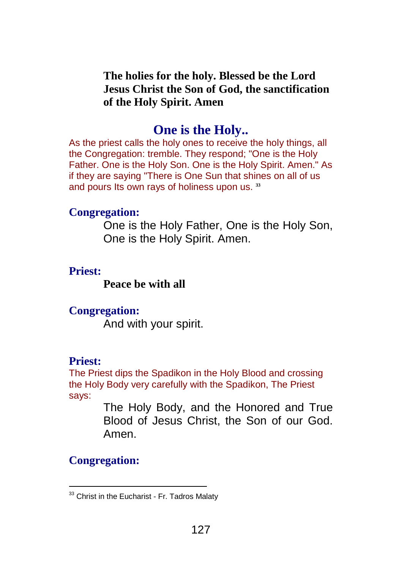## **The holies for the holy. Blessed be the Lord Jesus Christ the Son of God, the sanctification of the Holy Spirit. Amen**

## **One is the Holy..**

As the priest calls the holy ones to receive the holy things, all the Congregation: tremble. They respond; "One is the Holy Father. One is the Holy Son. One is the Holy Spirit. Amen." As if they are saying "There is One Sun that shines on all of us and pours Its own rays of holiness upon us. **33**

#### **Congregation:**

One is the Holy Father, One is the Holy Son, One is the Holy Spirit. Amen.

### **Priest:**

**Peace be with all**

## **Congregation:**

And with your spirit.

## **Priest:**

The Priest dips the Spadikon in the Holy Blood and crossing the Holy Body very carefully with the Spadikon, The Priest says:

> The Holy Body, and the Honored and True Blood of Jesus Christ, the Son of our God. Amen.

## **Congregation:**

 $\overline{a}$ 

<sup>&</sup>lt;sup>33</sup> Christ in the Eucharist - Fr. Tadros Malaty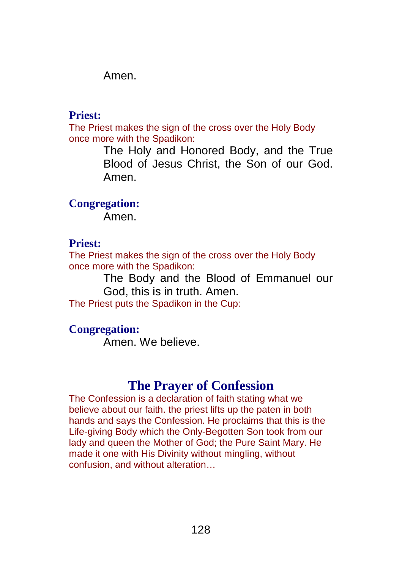Amen.

## **Priest:**

The Priest makes the sign of the cross over the Holy Body once more with the Spadikon:

> The Holy and Honored Body, and the True Blood of Jesus Christ, the Son of our God. Amen.

**Congregation:**

Amen.

## **Priest:**

The Priest makes the sign of the cross over the Holy Body once more with the Spadikon:

The Body and the Blood of Emmanuel our God, this is in truth. Amen.

The Priest puts the Spadikon in the Cup:

## **Congregation:**

Amen. We believe.

## **The Prayer of Confession**

The Confession is a declaration of faith stating what we believe about our faith. the priest lifts up the paten in both hands and says the Confession. He proclaims that this is the Life-giving Body which the Only-Begotten Son took from our lady and queen the Mother of God; the Pure Saint Mary. He made it one with His Divinity without mingling, without confusion, and without alteration…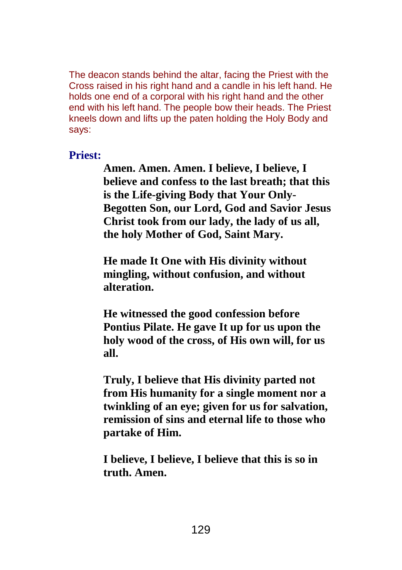The deacon stands behind the altar, facing the Priest with the Cross raised in his right hand and a candle in his left hand. He holds one end of a corporal with his right hand and the other end with his left hand. The people bow their heads. The Priest kneels down and lifts up the paten holding the Holy Body and says:

### **Priest:**

**Amen. Amen. Amen. I believe, I believe, I believe and confess to the last breath; that this is the Life-giving Body that Your Only-Begotten Son, our Lord, God and Savior Jesus Christ took from our lady, the lady of us all, the holy Mother of God, Saint Mary.**

**He made It One with His divinity without mingling, without confusion, and without alteration.**

**He witnessed the good confession before Pontius Pilate. He gave It up for us upon the holy wood of the cross, of His own will, for us all.**

**Truly, I believe that His divinity parted not from His humanity for a single moment nor a twinkling of an eye; given for us for salvation, remission of sins and eternal life to those who partake of Him.**

**I believe, I believe, I believe that this is so in truth. Amen.**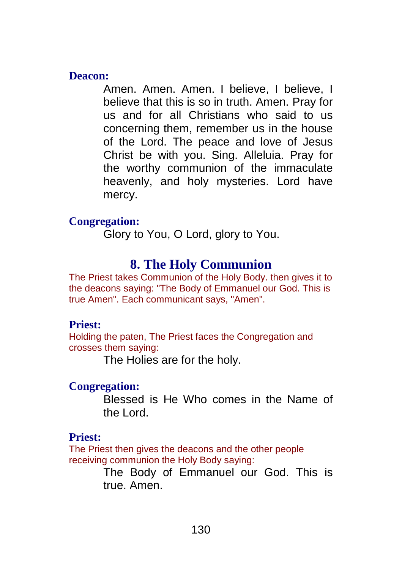#### **Deacon:**

Amen. Amen. Amen. I believe, I believe, I believe that this is so in truth. Amen. Pray for us and for all Christians who said to us concerning them, remember us in the house of the Lord. The peace and love of Jesus Christ be with you. Sing. Alleluia. Pray for the worthy communion of the immaculate heavenly, and holy mysteries. Lord have mercy.

## **Congregation:**

Glory to You, O Lord, glory to You.

## **8. The Holy Communion**

The Priest takes Communion of the Holy Body. then gives it to the deacons saying: "The Body of Emmanuel our God. This is true Amen". Each communicant says, "Amen".

## **Priest:**

Holding the paten, The Priest faces the Congregation and crosses them saying:

The Holies are for the holy.

## **Congregation:**

Blessed is He Who comes in the Name of the Lord.

## **Priest:**

The Priest then gives the deacons and the other people receiving communion the Holy Body saying:

> The Body of Emmanuel our God. This is true. Amen.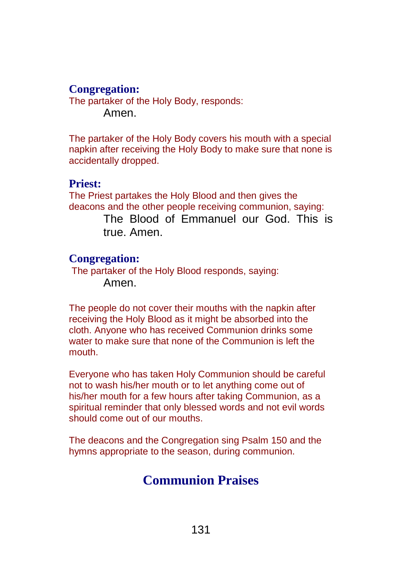## **Congregation:**

The partaker of the Holy Body, responds: Amen.

The partaker of the Holy Body covers his mouth with a special napkin after receiving the Holy Body to make sure that none is accidentally dropped.

#### **Priest:**

The Priest partakes the Holy Blood and then gives the deacons and the other people receiving communion, saying: The Blood of Emmanuel our God. This is true. Amen.

### **Congregation:**

The partaker of the Holy Blood responds, saying: Amen.

The people do not cover their mouths with the napkin after receiving the Holy Blood as it might be absorbed into the cloth. Anyone who has received Communion drinks some water to make sure that none of the Communion is left the mouth.

Everyone who has taken Holy Communion should be careful not to wash his/her mouth or to let anything come out of his/her mouth for a few hours after taking Communion, as a spiritual reminder that only blessed words and not evil words should come out of our mouths.

The deacons and the Congregation sing Psalm 150 and the hymns appropriate to the season, during communion.

# **Communion Praises**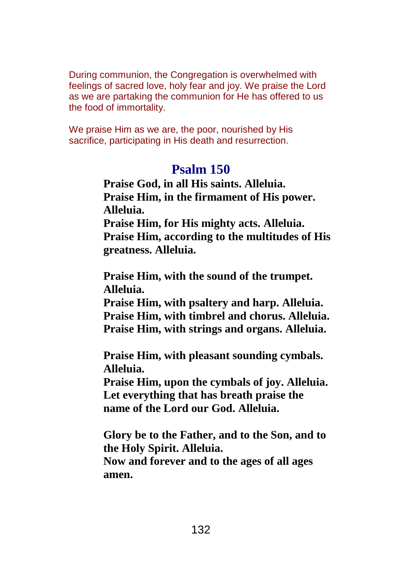During communion, the Congregation is overwhelmed with feelings of sacred love, holy fear and joy. We praise the Lord as we are partaking the communion for He has offered to us the food of immortality.

We praise Him as we are, the poor, nourished by His sacrifice, participating in His death and resurrection.

## **Psalm 150**

**Praise God, in all His saints. Alleluia. Praise Him, in the firmament of His power. Alleluia.**

**Praise Him, for His mighty acts. Alleluia. Praise Him, according to the multitudes of His greatness. Alleluia.**

**Praise Him, with the sound of the trumpet. Alleluia.**

**Praise Him, with psaltery and harp. Alleluia. Praise Him, with timbrel and chorus. Alleluia. Praise Him, with strings and organs. Alleluia.**

**Praise Him, with pleasant sounding cymbals. Alleluia.**

**Praise Him, upon the cymbals of joy. Alleluia. Let everything that has breath praise the name of the Lord our God. Alleluia.**

**Glory be to the Father, and to the Son, and to the Holy Spirit. Alleluia.**

**Now and forever and to the ages of all ages amen.**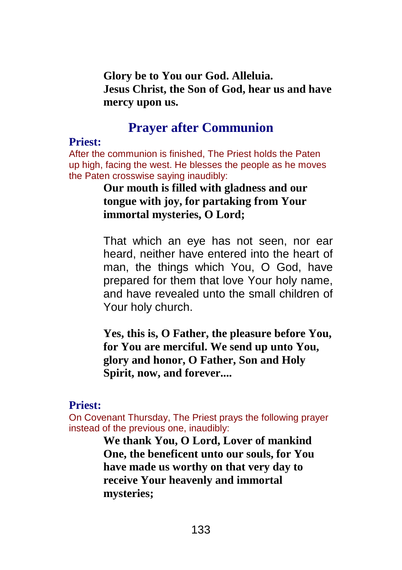**Glory be to You our God. Alleluia. Jesus Christ, the Son of God, hear us and have mercy upon us.**

## **Prayer after Communion**

#### **Priest:**

After the communion is finished, The Priest holds the Paten up high, facing the west. He blesses the people as he moves the Paten crosswise saying inaudibly:

## **Our mouth is filled with gladness and our tongue with joy, for partaking from Your immortal mysteries, O Lord;**

That which an eye has not seen, nor ear heard, neither have entered into the heart of man, the things which You, O God, have prepared for them that love Your holy name, and have revealed unto the small children of Your holy church.

**Yes, this is, O Father, the pleasure before You, for You are merciful. We send up unto You, glory and honor, O Father, Son and Holy Spirit, now, and forever....**

#### **Priest:**

On Covenant Thursday, The Priest prays the following prayer instead of the previous one, inaudibly:

> **We thank You, O Lord, Lover of mankind One, the beneficent unto our souls, for You have made us worthy on that very day to receive Your heavenly and immortal mysteries;**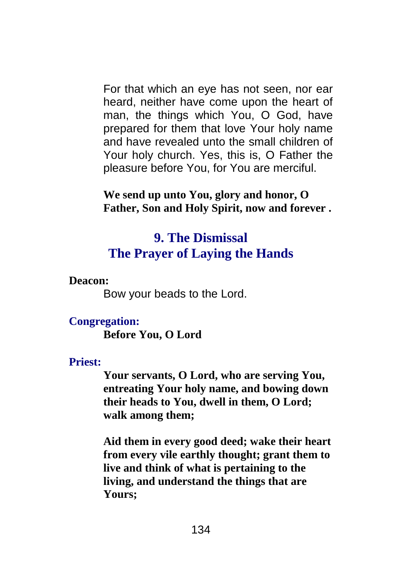For that which an eye has not seen, nor ear heard, neither have come upon the heart of man, the things which You, O God, have prepared for them that love Your holy name and have revealed unto the small children of Your holy church. Yes, this is, O Father the pleasure before You, for You are merciful.

**We send up unto You, glory and honor, O Father, Son and Holy Spirit, now and forever .**

## **9. The Dismissal The Prayer of Laying the Hands**

**Deacon:**

Bow your beads to the Lord.

## **Congregation:**

**Before You, O Lord**

## **Priest:**

**Your servants, O Lord, who are serving You, entreating Your holy name, and bowing down their heads to You, dwell in them, O Lord; walk among them;**

**Aid them in every good deed; wake their heart from every vile earthly thought; grant them to live and think of what is pertaining to the living, and understand the things that are Yours;**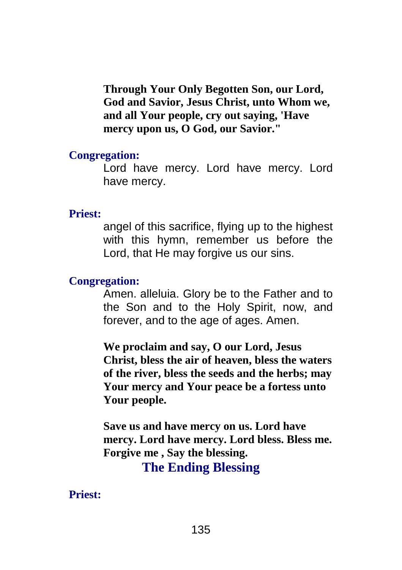**Through Your Only Begotten Son, our Lord, God and Savior, Jesus Christ, unto Whom we, and all Your people, cry out saying, 'Have mercy upon us, O God, our Savior."**

#### **Congregation:**

Lord have mercy. Lord have mercy. Lord have mercy.

#### **Priest:**

angel of this sacrifice, flying up to the highest with this hymn, remember us before the Lord, that He may forgive us our sins.

## **Congregation:**

Amen. alleluia. Glory be to the Father and to the Son and to the Holy Spirit, now, and forever, and to the age of ages. Amen.

**We proclaim and say, O our Lord, Jesus Christ, bless the air of heaven, bless the waters of the river, bless the seeds and the herbs; may Your mercy and Your peace be a fortess unto Your people.**

**Save us and have mercy on us. Lord have mercy. Lord have mercy. Lord bless. Bless me. Forgive me , Say the blessing.**

**The Ending Blessing**

**Priest:**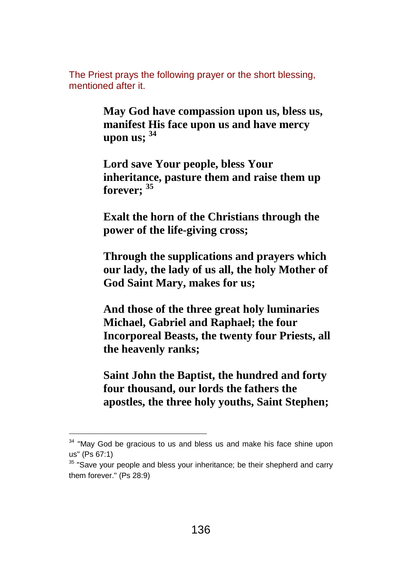The Priest prays the following prayer or the short blessing, mentioned after it.

> **May God have compassion upon us, bless us, manifest His face upon us and have mercy upon us; <sup>34</sup>**

> **Lord save Your people, bless Your inheritance, pasture them and raise them up forever; <sup>35</sup>**

> **Exalt the horn of the Christians through the power of the life-giving cross;**

**Through the supplications and prayers which our lady, the lady of us all, the holy Mother of God Saint Mary, makes for us;**

**And those of the three great holy luminaries Michael, Gabriel and Raphael; the four Incorporeal Beasts, the twenty four Priests, all the heavenly ranks;**

**Saint John the Baptist, the hundred and forty four thousand, our lords the fathers the apostles, the three holy youths, Saint Stephen;**

 $\overline{a}$ 

 $34$  "May God be gracious to us and bless us and make his face shine upon us" (Ps 67:1)

 $35$  "Save your people and bless your inheritance; be their shepherd and carry them forever." (Ps 28:9)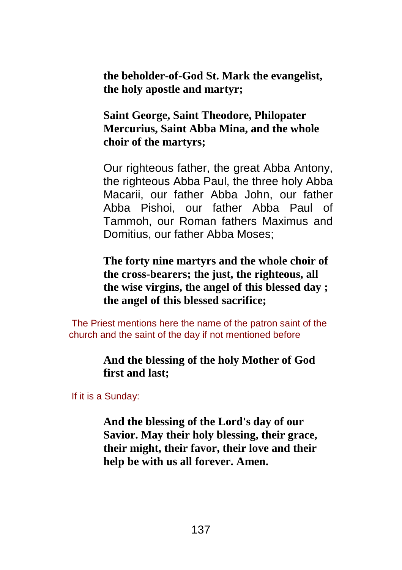**the beholder-of-God St. Mark the evangelist, the holy apostle and martyr;**

**Saint George, Saint Theodore, Philopater Mercurius, Saint Abba Mina, and the whole choir of the martyrs;**

Our righteous father, the great Abba Antony, the righteous Abba Paul, the three holy Abba Macarii, our father Abba John, our father Abba Pishoi, our father Abba Paul of Tammoh, our Roman fathers Maximus and Domitius, our father Abba Moses;

**The forty nine martyrs and the whole choir of the cross-bearers; the just, the righteous, all the wise virgins, the angel of this blessed day ; the angel of this blessed sacrifice;**

The Priest mentions here the name of the patron saint of the church and the saint of the day if not mentioned before

> **And the blessing of the holy Mother of God first and last;**

If it is a Sunday:

**And the blessing of the Lord's day of our Savior. May their holy blessing, their grace, their might, their favor, their love and their help be with us all forever. Amen.**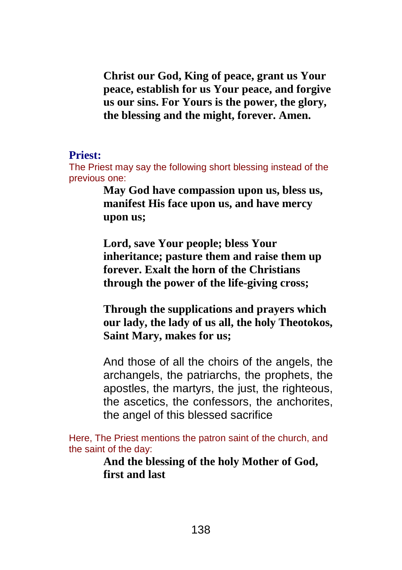**Christ our God, King of peace, grant us Your peace, establish for us Your peace, and forgive us our sins. For Yours is the power, the glory, the blessing and the might, forever. Amen.**

#### **Priest:**

The Priest may say the following short blessing instead of the previous one:

> **May God have compassion upon us, bless us, manifest His face upon us, and have mercy upon us;**

> **Lord, save Your people; bless Your inheritance; pasture them and raise them up forever. Exalt the horn of the Christians through the power of the life-giving cross;**

**Through the supplications and prayers which our lady, the lady of us all, the holy Theotokos, Saint Mary, makes for us;**

And those of all the choirs of the angels, the archangels, the patriarchs, the prophets, the apostles, the martyrs, the just, the righteous, the ascetics, the confessors, the anchorites, the angel of this blessed sacrifice

Here, The Priest mentions the patron saint of the church, and the saint of the day:

> **And the blessing of the holy Mother of God, first and last**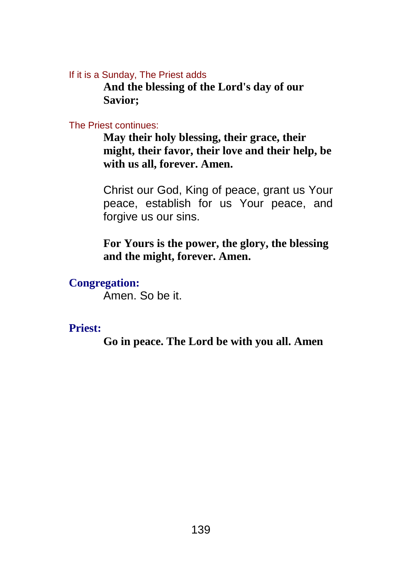If it is a Sunday, The Priest adds

**And the blessing of the Lord's day of our Savior;**

#### The Priest continues:

**May their holy blessing, their grace, their might, their favor, their love and their help, be with us all, forever. Amen.**

Christ our God, King of peace, grant us Your peace, establish for us Your peace, and forgive us our sins.

**For Yours is the power, the glory, the blessing and the might, forever. Amen.**

## **Congregation:**

Amen. So be it.

## **Priest:**

**Go in peace. The Lord be with you all. Amen**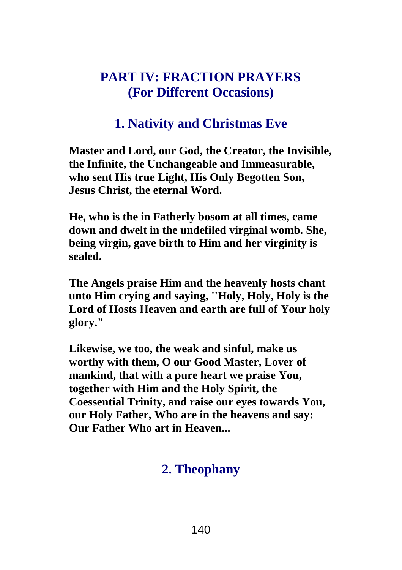# **PART IV: FRACTION PRAYERS (For Different Occasions)**

# **1. Nativity and Christmas Eve**

**Master and Lord, our God, the Creator, the Invisible, the Infinite, the Unchangeable and Immeasurable, who sent His true Light, His Only Begotten Son, Jesus Christ, the eternal Word.**

**He, who is the in Fatherly bosom at all times, came down and dwelt in the undefiled virginal womb. She, being virgin, gave birth to Him and her virginity is sealed.**

**The Angels praise Him and the heavenly hosts chant unto Him crying and saying, ''Holy, Holy, Holy is the Lord of Hosts Heaven and earth are full of Your holy glory."**

**Likewise, we too, the weak and sinful, make us worthy with them, O our Good Master, Lover of mankind, that with a pure heart we praise You, together with Him and the Holy Spirit, the Coessential Trinity, and raise our eyes towards You, our Holy Father, Who are in the heavens and say: Our Father Who art in Heaven...**

## **2. Theophany**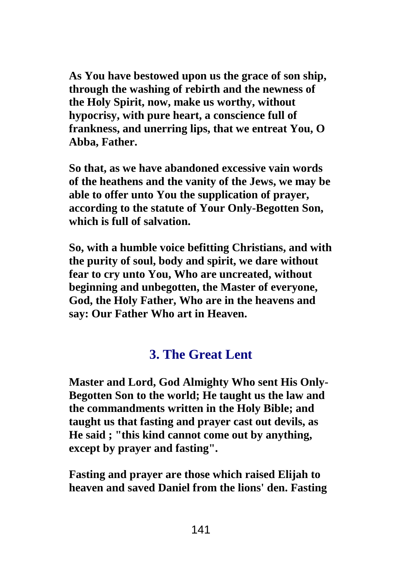**As You have bestowed upon us the grace of son ship, through the washing of rebirth and the newness of the Holy Spirit, now, make us worthy, without hypocrisy, with pure heart, a conscience full of frankness, and unerring lips, that we entreat You, O Abba, Father.**

**So that, as we have abandoned excessive vain words of the heathens and the vanity of the Jews, we may be able to offer unto You the supplication of prayer, according to the statute of Your Only-Begotten Son, which is full of salvation.**

**So, with a humble voice befitting Christians, and with the purity of soul, body and spirit, we dare without fear to cry unto You, Who are uncreated, without beginning and unbegotten, the Master of everyone, God, the Holy Father, Who are in the heavens and say: Our Father Who art in Heaven.**

# **3. The Great Lent**

**Master and Lord, God Almighty Who sent His Only-Begotten Son to the world; He taught us the law and the commandments written in the Holy Bible; and taught us that fasting and prayer cast out devils, as He said ; "this kind cannot come out by anything, except by prayer and fasting".**

**Fasting and prayer are those which raised Elijah to heaven and saved Daniel from the lions' den. Fasting**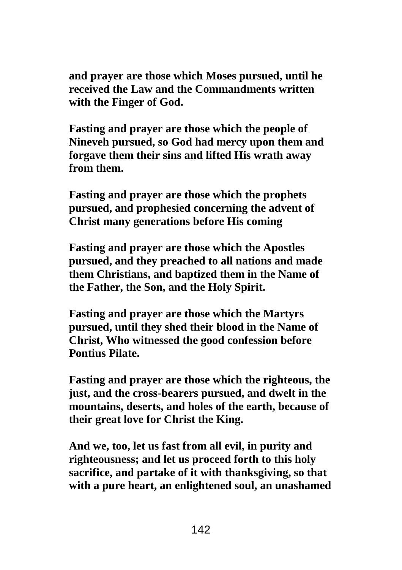**and prayer are those which Moses pursued, until he received the Law and the Commandments written with the Finger of God.**

**Fasting and prayer are those which the people of Nineveh pursued, so God had mercy upon them and forgave them their sins and lifted His wrath away from them.**

**Fasting and prayer are those which the prophets pursued, and prophesied concerning the advent of Christ many generations before His coming**

**Fasting and prayer are those which the Apostles pursued, and they preached to all nations and made them Christians, and baptized them in the Name of the Father, the Son, and the Holy Spirit.**

**Fasting and prayer are those which the Martyrs pursued, until they shed their blood in the Name of Christ, Who witnessed the good confession before Pontius Pilate.**

**Fasting and prayer are those which the righteous, the just, and the cross-bearers pursued, and dwelt in the mountains, deserts, and holes of the earth, because of their great love for Christ the King.**

**And we, too, let us fast from all evil, in purity and righteousness; and let us proceed forth to this holy sacrifice, and partake of it with thanksgiving, so that with a pure heart, an enlightened soul, an unashamed**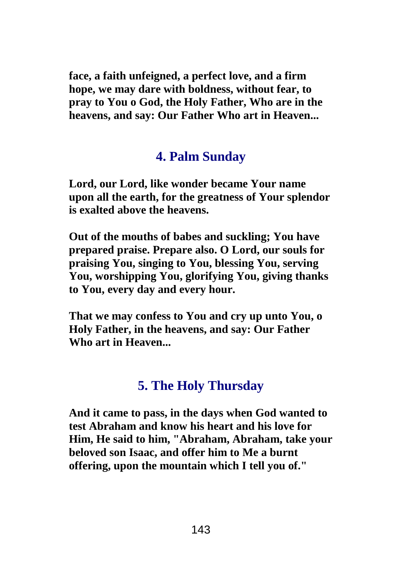**face, a faith unfeigned, a perfect love, and a firm hope, we may dare with boldness, without fear, to pray to You o God, the Holy Father, Who are in the heavens, and say: Our Father Who art in Heaven...**

## **4. Palm Sunday**

**Lord, our Lord, like wonder became Your name upon all the earth, for the greatness of Your splendor is exalted above the heavens.**

**Out of the mouths of babes and suckling; You have prepared praise. Prepare also. O Lord, our souls for praising You, singing to You, blessing You, serving You, worshipping You, glorifying You, giving thanks to You, every day and every hour.**

**That we may confess to You and cry up unto You, o Holy Father, in the heavens, and say: Our Father Who art in Heaven...**

# **5. The Holy Thursday**

**And it came to pass, in the days when God wanted to test Abraham and know his heart and his love for Him, He said to him, "Abraham, Abraham, take your beloved son Isaac, and offer him to Me a burnt offering, upon the mountain which I tell you of."**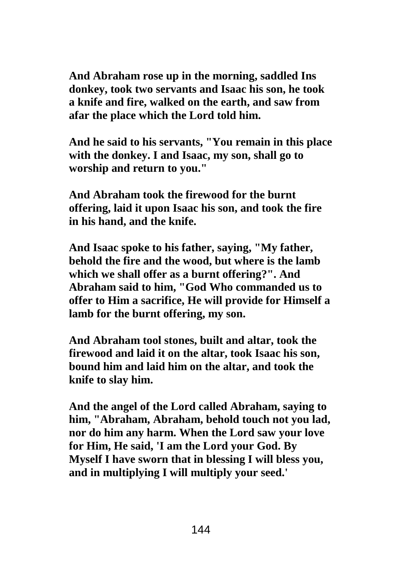**And Abraham rose up in the morning, saddled Ins donkey, took two servants and Isaac his son, he took a knife and fire, walked on the earth, and saw from afar the place which the Lord told him.**

**And he said to his servants, "You remain in this place with the donkey. I and Isaac, my son, shall go to worship and return to you."**

**And Abraham took the firewood for the burnt offering, laid it upon Isaac his son, and took the fire in his hand, and the knife.**

**And Isaac spoke to his father, saying, "My father, behold the fire and the wood, but where is the lamb which we shall offer as a burnt offering?". And Abraham said to him, "God Who commanded us to offer to Him a sacrifice, He will provide for Himself a lamb for the burnt offering, my son.**

**And Abraham tool stones, built and altar, took the firewood and laid it on the altar, took Isaac his son, bound him and laid him on the altar, and took the knife to slay him.**

**And the angel of the Lord called Abraham, saying to him, "Abraham, Abraham, behold touch not you lad, nor do him any harm. When the Lord saw your love for Him, He said, 'I am the Lord your God. By Myself I have sworn that in blessing I will bless you, and in multiplying I will multiply your seed.'**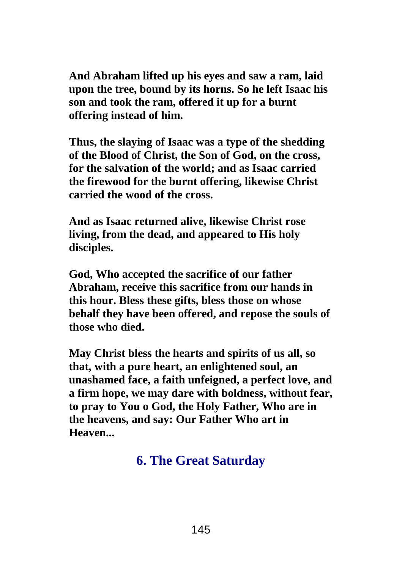**And Abraham lifted up his eyes and saw a ram, laid upon the tree, bound by its horns. So he left Isaac his son and took the ram, offered it up for a burnt offering instead of him.**

**Thus, the slaying of Isaac was a type of the shedding of the Blood of Christ, the Son of God, on the cross, for the salvation of the world; and as Isaac carried the firewood for the burnt offering, likewise Christ carried the wood of the cross.**

**And as Isaac returned alive, likewise Christ rose living, from the dead, and appeared to His holy disciples.**

**God, Who accepted the sacrifice of our father Abraham, receive this sacrifice from our hands in this hour. Bless these gifts, bless those on whose behalf they have been offered, and repose the souls of those who died.**

**May Christ bless the hearts and spirits of us all, so that, with a pure heart, an enlightened soul, an unashamed face, a faith unfeigned, a perfect love, and a firm hope, we may dare with boldness, without fear, to pray to You o God, the Holy Father, Who are in the heavens, and say: Our Father Who art in Heaven...**

# **6. The Great Saturday**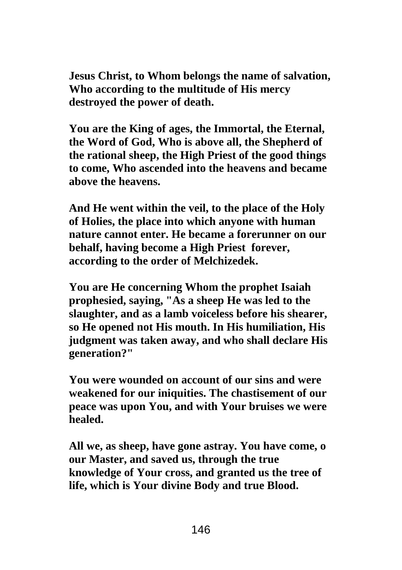**Jesus Christ, to Whom belongs the name of salvation, Who according to the multitude of His mercy destroyed the power of death.**

**You are the King of ages, the Immortal, the Eternal, the Word of God, Who is above all, the Shepherd of the rational sheep, the High Priest of the good things to come, Who ascended into the heavens and became above the heavens.**

**And He went within the veil, to the place of the Holy of Holies, the place into which anyone with human nature cannot enter. He became a forerunner on our behalf, having become a High Priest forever, according to the order of Melchizedek.**

**You are He concerning Whom the prophet Isaiah prophesied, saying, "As a sheep He was led to the slaughter, and as a lamb voiceless before his shearer, so He opened not His mouth. In His humiliation, His judgment was taken away, and who shall declare His generation?"**

**You were wounded on account of our sins and were weakened for our iniquities. The chastisement of our peace was upon You, and with Your bruises we were healed.**

**All we, as sheep, have gone astray. You have come, o our Master, and saved us, through the true knowledge of Your cross, and granted us the tree of life, which is Your divine Body and true Blood.**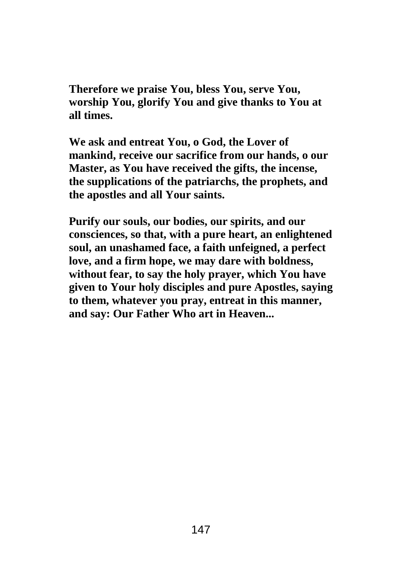**Therefore we praise You, bless You, serve You, worship You, glorify You and give thanks to You at all times.**

**We ask and entreat You, o God, the Lover of mankind, receive our sacrifice from our hands, o our Master, as You have received the gifts, the incense, the supplications of the patriarchs, the prophets, and the apostles and all Your saints.**

**Purify our souls, our bodies, our spirits, and our consciences, so that, with a pure heart, an enlightened soul, an unashamed face, a faith unfeigned, a perfect love, and a firm hope, we may dare with boldness, without fear, to say the holy prayer, which You have given to Your holy disciples and pure Apostles, saying to them, whatever you pray, entreat in this manner, and say: Our Father Who art in Heaven...**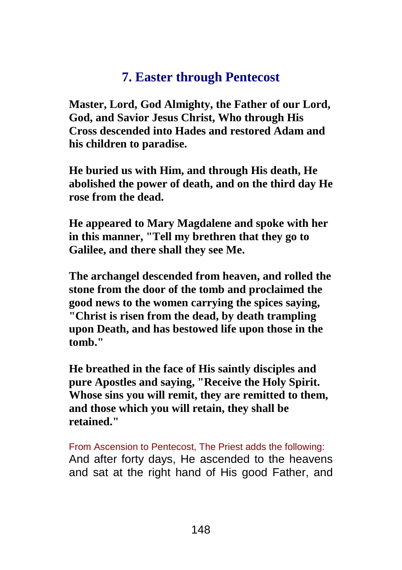# **7. Easter through Pentecost**

**Master, Lord, God Almighty, the Father of our Lord, God, and Savior Jesus Christ, Who through His Cross descended into Hades and restored Adam and his children to paradise.**

**He buried us with Him, and through His death, He abolished the power of death, and on the third day He rose from the dead.**

**He appeared to Mary Magdalene and spoke with her in this manner, "Tell my brethren that they go to Galilee, and there shall they see Me.**

**The archangel descended from heaven, and rolled the stone from the door of the tomb and proclaimed the good news to the women carrying the spices saying, "Christ is risen from the dead, by death trampling upon Death, and has bestowed life upon those in the tomb."**

**He breathed in the face of His saintly disciples and pure Apostles and saying, "Receive the Holy Spirit. Whose sins you will remit, they are remitted to them, and those which you will retain, they shall be retained."**

From Ascension to Pentecost, The Priest adds the following: And after forty days, He ascended to the heavens and sat at the right hand of His good Father, and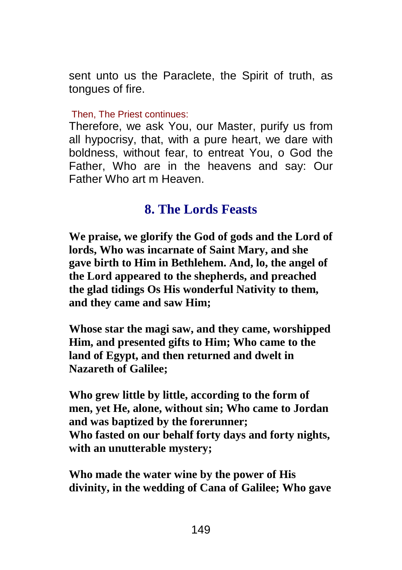sent unto us the Paraclete, the Spirit of truth, as tongues of fire.

Then, The Priest continues:

Therefore, we ask You, our Master, purify us from all hypocrisy, that, with a pure heart, we dare with boldness, without fear, to entreat You, o God the Father, Who are in the heavens and say: Our Father Who art m Heaven.

### **8. The Lords Feasts**

**We praise, we glorify the God of gods and the Lord of lords, Who was incarnate of Saint Mary, and she gave birth to Him in Bethlehem. And, lo, the angel of the Lord appeared to the shepherds, and preached the glad tidings Os His wonderful Nativity to them, and they came and saw Him;**

**Whose star the magi saw, and they came, worshipped Him, and presented gifts to Him; Who came to the land of Egypt, and then returned and dwelt in Nazareth of Galilee;**

**Who grew little by little, according to the form of men, yet He, alone, without sin; Who came to Jordan and was baptized by the forerunner; Who fasted on our behalf forty days and forty nights, with an unutterable mystery;**

**Who made the water wine by the power of His divinity, in the wedding of Cana of Galilee; Who gave**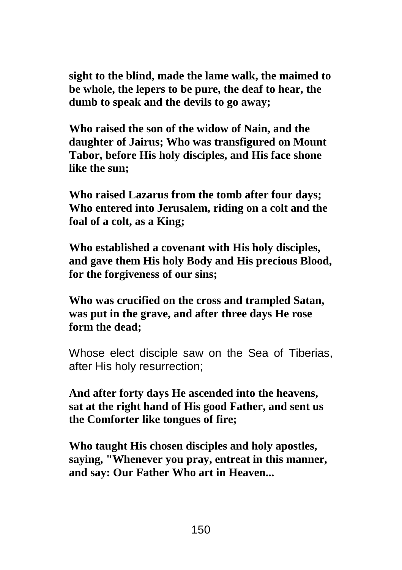**sight to the blind, made the lame walk, the maimed to be whole, the lepers to be pure, the deaf to hear, the dumb to speak and the devils to go away;**

**Who raised the son of the widow of Nain, and the daughter of Jairus; Who was transfigured on Mount Tabor, before His holy disciples, and His face shone like the sun;**

**Who raised Lazarus from the tomb after four days; Who entered into Jerusalem, riding on a colt and the foal of a colt, as a King;**

**Who established a covenant with His holy disciples, and gave them His holy Body and His precious Blood, for the forgiveness of our sins;**

**Who was crucified on the cross and trampled Satan, was put in the grave, and after three days He rose form the dead;**

Whose elect disciple saw on the Sea of Tiberias, after His holy resurrection;

**And after forty days He ascended into the heavens, sat at the right hand of His good Father, and sent us the Comforter like tongues of fire;**

**Who taught His chosen disciples and holy apostles, saying, "Whenever you pray, entreat in this manner, and say: Our Father Who art in Heaven...**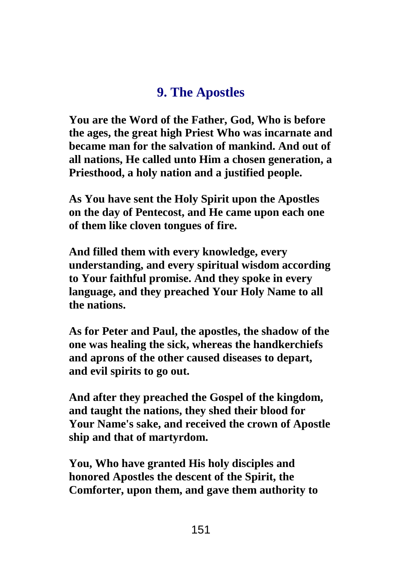#### **9. The Apostles**

**You are the Word of the Father, God, Who is before the ages, the great high Priest Who was incarnate and became man for the salvation of mankind. And out of all nations, He called unto Him a chosen generation, a Priesthood, a holy nation and a justified people.**

**As You have sent the Holy Spirit upon the Apostles on the day of Pentecost, and He came upon each one of them like cloven tongues of fire.**

**And filled them with every knowledge, every understanding, and every spiritual wisdom according to Your faithful promise. And they spoke in every language, and they preached Your Holy Name to all the nations.**

**As for Peter and Paul, the apostles, the shadow of the one was healing the sick, whereas the handkerchiefs and aprons of the other caused diseases to depart, and evil spirits to go out.**

**And after they preached the Gospel of the kingdom, and taught the nations, they shed their blood for Your Name's sake, and received the crown of Apostle ship and that of martyrdom.**

**You, Who have granted His holy disciples and honored Apostles the descent of the Spirit, the Comforter, upon them, and gave them authority to**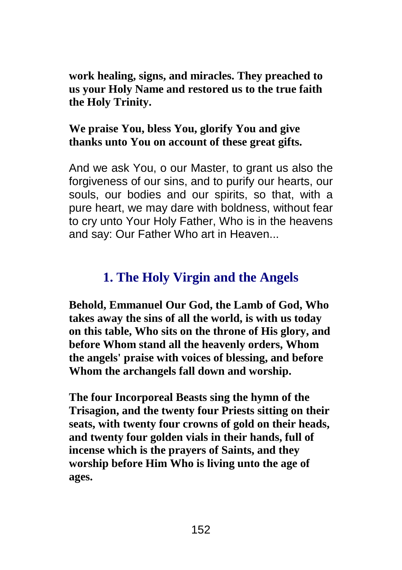**work healing, signs, and miracles. They preached to us your Holy Name and restored us to the true faith the Holy Trinity.**

#### **We praise You, bless You, glorify You and give thanks unto You on account of these great gifts.**

And we ask You, o our Master, to grant us also the forgiveness of our sins, and to purify our hearts, our souls, our bodies and our spirits, so that, with a pure heart, we may dare with boldness, without fear to cry unto Your Holy Father, Who is in the heavens and say: Our Father Who art in Heaven...

### **1. The Holy Virgin and the Angels**

**Behold, Emmanuel Our God, the Lamb of God, Who takes away the sins of all the world, is with us today on this table, Who sits on the throne of His glory, and before Whom stand all the heavenly orders, Whom the angels' praise with voices of blessing, and before Whom the archangels fall down and worship.**

**The four Incorporeal Beasts sing the hymn of the Trisagion, and the twenty four Priests sitting on their seats, with twenty four crowns of gold on their heads, and twenty four golden vials in their hands, full of incense which is the prayers of Saints, and they worship before Him Who is living unto the age of ages.**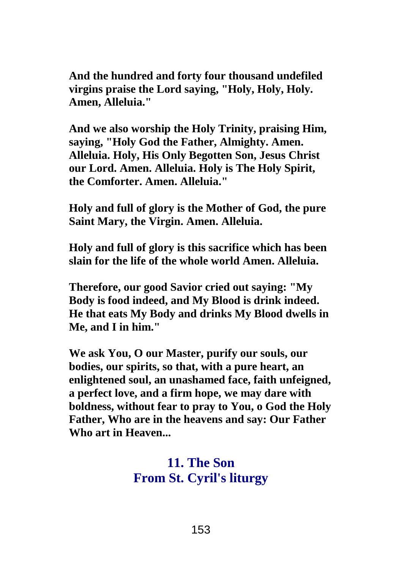**And the hundred and forty four thousand undefiled virgins praise the Lord saying, "Holy, Holy, Holy. Amen, Alleluia."**

**And we also worship the Holy Trinity, praising Him, saying, "Holy God the Father, Almighty. Amen. Alleluia. Holy, His Only Begotten Son, Jesus Christ our Lord. Amen. Alleluia. Holy is The Holy Spirit, the Comforter. Amen. Alleluia."**

**Holy and full of glory is the Mother of God, the pure Saint Mary, the Virgin. Amen. Alleluia.**

**Holy and full of glory is this sacrifice which has been slain for the life of the whole world Amen. Alleluia.**

**Therefore, our good Savior cried out saying: "My Body is food indeed, and My Blood is drink indeed. He that eats My Body and drinks My Blood dwells in Me, and I in him."**

**We ask You, O our Master, purify our souls, our bodies, our spirits, so that, with a pure heart, an enlightened soul, an unashamed face, faith unfeigned, a perfect love, and a firm hope, we may dare with boldness, without fear to pray to You, o God the Holy Father, Who are in the heavens and say: Our Father Who art in Heaven...**

### **11. The Son From St. Cyril's liturgy**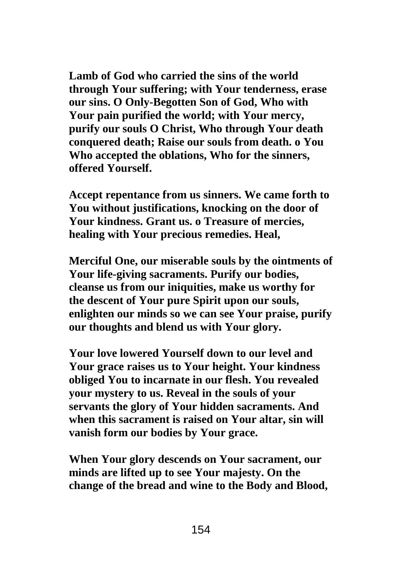**Lamb of God who carried the sins of the world through Your suffering; with Your tenderness, erase our sins. O Only-Begotten Son of God, Who with Your pain purified the world; with Your mercy, purify our souls O Christ, Who through Your death conquered death; Raise our souls from death. o You Who accepted the oblations, Who for the sinners, offered Yourself.**

**Accept repentance from us sinners. We came forth to You without justifications, knocking on the door of Your kindness. Grant us. o Treasure of mercies, healing with Your precious remedies. Heal,**

**Merciful One, our miserable souls by the ointments of Your life-giving sacraments. Purify our bodies, cleanse us from our iniquities, make us worthy for the descent of Your pure Spirit upon our souls, enlighten our minds so we can see Your praise, purify our thoughts and blend us with Your glory.**

**Your love lowered Yourself down to our level and Your grace raises us to Your height. Your kindness obliged You to incarnate in our flesh. You revealed your mystery to us. Reveal in the souls of your servants the glory of Your hidden sacraments. And when this sacrament is raised on Your altar, sin will vanish form our bodies by Your grace.**

**When Your glory descends on Your sacrament, our minds are lifted up to see Your majesty. On the change of the bread and wine to the Body and Blood,**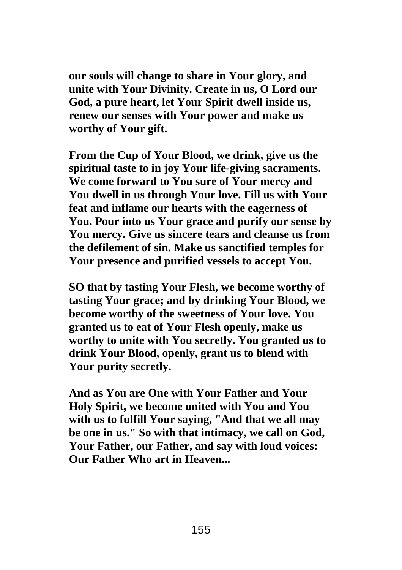**our souls will change to share in Your glory, and unite with Your Divinity. Create in us, O Lord our God, a pure heart, let Your Spirit dwell inside us, renew our senses with Your power and make us worthy of Your gift.**

**From the Cup of Your Blood, we drink, give us the spiritual taste to in joy Your life-giving sacraments. We come forward to You sure of Your mercy and You dwell in us through Your love. Fill us with Your feat and inflame our hearts with the eagerness of You. Pour into us Your grace and purify our sense by You mercy. Give us sincere tears and cleanse us from the defilement of sin. Make us sanctified temples for Your presence and purified vessels to accept You.**

**SO that by tasting Your Flesh, we become worthy of tasting Your grace; and by drinking Your Blood, we become worthy of the sweetness of Your love. You granted us to eat of Your Flesh openly, make us worthy to unite with You secretly. You granted us to drink Your Blood, openly, grant us to blend with Your purity secretly.**

**And as You are One with Your Father and Your Holy Spirit, we become united with You and You with us to fulfill Your saying, "And that we all may be one in us." So with that intimacy, we call on God, Your Father, our Father, and say with loud voices: Our Father Who art in Heaven...**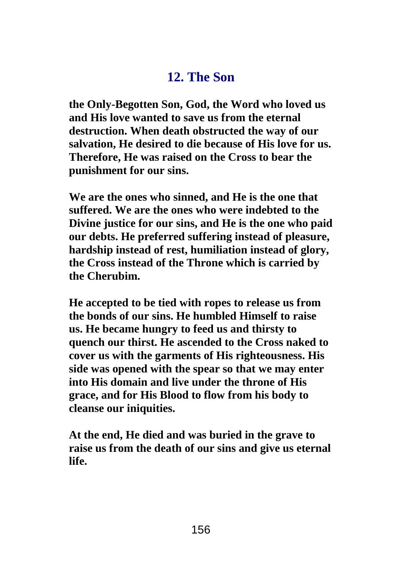# **12. The Son**

**the Only-Begotten Son, God, the Word who loved us and His love wanted to save us from the eternal destruction. When death obstructed the way of our salvation, He desired to die because of His love for us. Therefore, He was raised on the Cross to bear the punishment for our sins.**

**We are the ones who sinned, and He is the one that suffered. We are the ones who were indebted to the Divine justice for our sins, and He is the one who paid our debts. He preferred suffering instead of pleasure, hardship instead of rest, humiliation instead of glory, the Cross instead of the Throne which is carried by the Cherubim.**

**He accepted to be tied with ropes to release us from the bonds of our sins. He humbled Himself to raise us. He became hungry to feed us and thirsty to quench our thirst. He ascended to the Cross naked to cover us with the garments of His righteousness. His side was opened with the spear so that we may enter into His domain and live under the throne of His grace, and for His Blood to flow from his body to cleanse our iniquities.**

**At the end, He died and was buried in the grave to raise us from the death of our sins and give us eternal life.**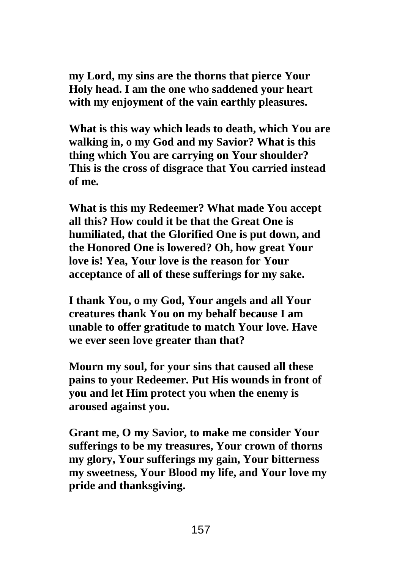**my Lord, my sins are the thorns that pierce Your Holy head. I am the one who saddened your heart with my enjoyment of the vain earthly pleasures.**

**What is this way which leads to death, which You are walking in, o my God and my Savior? What is this thing which You are carrying on Your shoulder? This is the cross of disgrace that You carried instead of me.**

**What is this my Redeemer? What made You accept all this? How could it be that the Great One is humiliated, that the Glorified One is put down, and the Honored One is lowered? Oh, how great Your love is! Yea, Your love is the reason for Your acceptance of all of these sufferings for my sake.**

**I thank You, o my God, Your angels and all Your creatures thank You on my behalf because I am unable to offer gratitude to match Your love. Have we ever seen love greater than that?**

**Mourn my soul, for your sins that caused all these pains to your Redeemer. Put His wounds in front of you and let Him protect you when the enemy is aroused against you.**

**Grant me, O my Savior, to make me consider Your sufferings to be my treasures, Your crown of thorns my glory, Your sufferings my gain, Your bitterness my sweetness, Your Blood my life, and Your love my pride and thanksgiving.**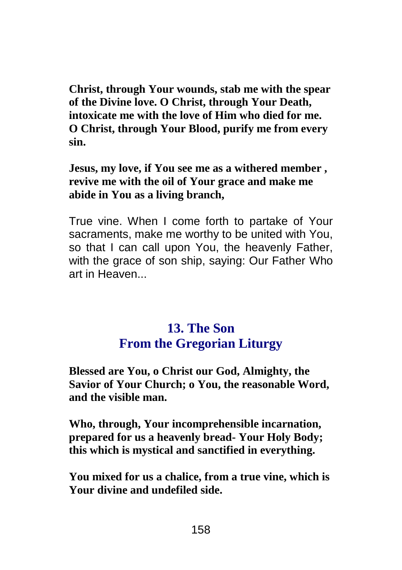**Christ, through Your wounds, stab me with the spear of the Divine love. O Christ, through Your Death, intoxicate me with the love of Him who died for me. O Christ, through Your Blood, purify me from every sin.**

**Jesus, my love, if You see me as a withered member , revive me with the oil of Your grace and make me abide in You as a living branch,**

True vine. When I come forth to partake of Your sacraments, make me worthy to be united with You, so that I can call upon You, the heavenly Father, with the grace of son ship, saying: Our Father Who art in Heaven...

### **13. The Son From the Gregorian Liturgy**

**Blessed are You, o Christ our God, Almighty, the Savior of Your Church; o You, the reasonable Word, and the visible man.**

**Who, through, Your incomprehensible incarnation, prepared for us a heavenly bread- Your Holy Body; this which is mystical and sanctified in everything.**

**You mixed for us a chalice, from a true vine, which is Your divine and undefiled side.**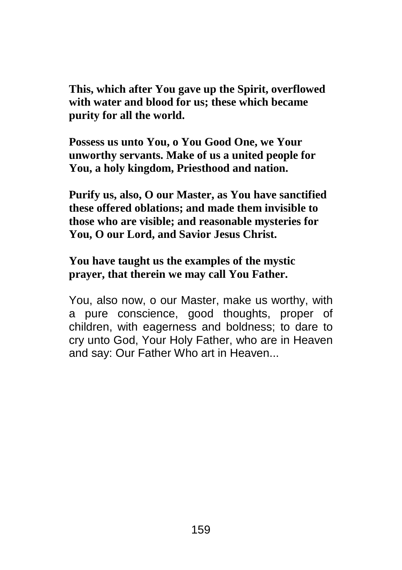**This, which after You gave up the Spirit, overflowed with water and blood for us; these which became purity for all the world.**

**Possess us unto You, o You Good One, we Your unworthy servants. Make of us a united people for You, a holy kingdom, Priesthood and nation.**

**Purify us, also, O our Master, as You have sanctified these offered oblations; and made them invisible to those who are visible; and reasonable mysteries for You, O our Lord, and Savior Jesus Christ.**

**You have taught us the examples of the mystic prayer, that therein we may call You Father.**

You, also now, o our Master, make us worthy, with a pure conscience, good thoughts, proper of children, with eagerness and boldness; to dare to cry unto God, Your Holy Father, who are in Heaven and say: Our Father Who art in Heaven...